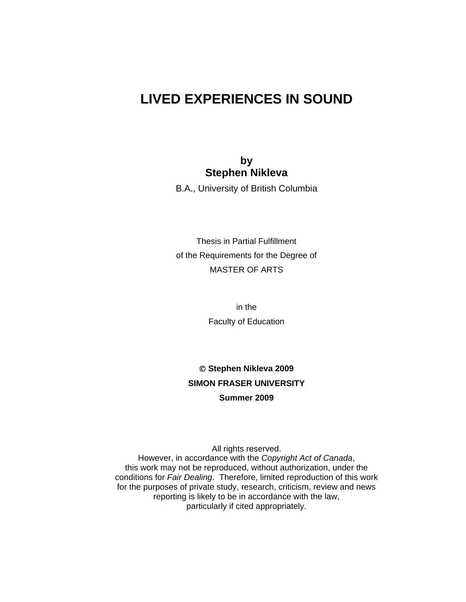# **LIVED EXPERIENCES IN SOUND**

### **by Stephen Nikleva**

B.A., University of British Columbia

Thesis in Partial Fulfillment of the Requirements for the Degree of MASTER OF ARTS

> in the Faculty of Education

 **Stephen Nikleva 2009 SIMON FRASER UNIVERSITY Summer 2009** 

All rights reserved. However, in accordance with the *Copyright Act of Canada*, this work may not be reproduced, without authorization, under the conditions for *Fair Dealing*. Therefore, limited reproduction of this work for the purposes of private study, research, criticism, review and news reporting is likely to be in accordance with the law, particularly if cited appropriately.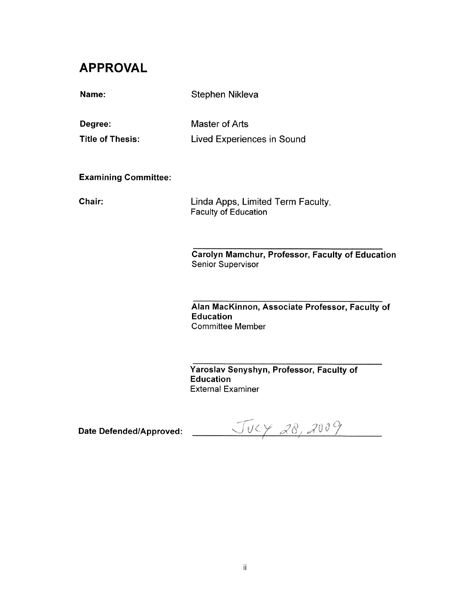# **APPROVAL**

| Name:                       | Stephen Nikleva                                                                                |
|-----------------------------|------------------------------------------------------------------------------------------------|
| Degree:                     | Master of Arts                                                                                 |
| <b>Title of Thesis:</b>     | Lived Experiences in Sound                                                                     |
|                             |                                                                                                |
| <b>Examining Committee:</b> |                                                                                                |
| Chair:                      | Linda Apps, Limited Term Faculty,<br><b>Faculty of Education</b>                               |
|                             | Carolyn Mamchur, Professor, Faculty of Education<br><b>Senior Supervisor</b>                   |
|                             | Alan MacKinnon, Associate Professor, Faculty of<br><b>Education</b><br><b>Committee Member</b> |

Yaroslav Senyshyn, Professor, Faculty of **Education External Examiner** 

Date Defended/Approved:  $\sqrt{V}$   $\leftarrow$   $\sqrt{8}$   $28$   $200$   $\%$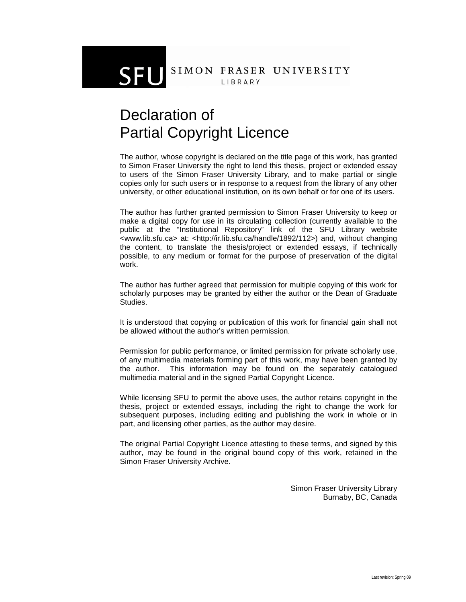# SIMON FRASER UNIVERSITY LIBRARY

# Declaration of Partial Copyright Licence

SFL

The author, whose copyright is declared on the title page of this work, has granted to Simon Fraser University the right to lend this thesis, project or extended essay to users of the Simon Fraser University Library, and to make partial or single copies only for such users or in response to a request from the library of any other university, or other educational institution, on its own behalf or for one of its users.

The author has further granted permission to Simon Fraser University to keep or make a digital copy for use in its circulating collection (currently available to the public at the "Institutional Repository" link of the SFU Library website <www.lib.sfu.ca> at: <http://ir.lib.sfu.ca/handle/1892/112>) and, without changing the content, to translate the thesis/project or extended essays, if technically possible, to any medium or format for the purpose of preservation of the digital work.

The author has further agreed that permission for multiple copying of this work for scholarly purposes may be granted by either the author or the Dean of Graduate Studies.

It is understood that copying or publication of this work for financial gain shall not be allowed without the author's written permission.

Permission for public performance, or limited permission for private scholarly use, of any multimedia materials forming part of this work, may have been granted by the author. This information may be found on the separately catalogued multimedia material and in the signed Partial Copyright Licence.

While licensing SFU to permit the above uses, the author retains copyright in the thesis, project or extended essays, including the right to change the work for subsequent purposes, including editing and publishing the work in whole or in part, and licensing other parties, as the author may desire.

The original Partial Copyright Licence attesting to these terms, and signed by this author, may be found in the original bound copy of this work, retained in the Simon Fraser University Archive.

> Simon Fraser University Library Burnaby, BC, Canada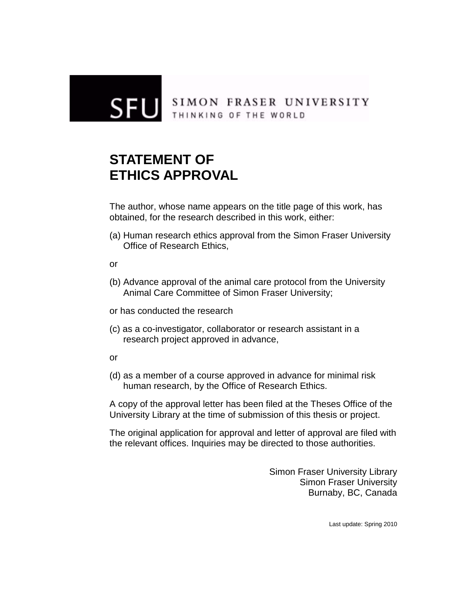

# SIMON FRASER UNIVERSITY<br>THINKING OF THE WORLD

# **STATEMENT OF ETHICS APPROVAL**

The author, whose name appears on the title page of this work, has obtained, for the research described in this work, either:

(a) Human research ethics approval from the Simon Fraser University Office of Research Ethics,

or

- (b) Advance approval of the animal care protocol from the University Animal Care Committee of Simon Fraser University;
- or has conducted the research
- (c) as a co-investigator, collaborator or research assistant in a research project approved in advance,
- or
- (d) as a member of a course approved in advance for minimal risk human research, by the Office of Research Ethics.

A copy of the approval letter has been filed at the Theses Office of the University Library at the time of submission of this thesis or project.

The original application for approval and letter of approval are filed with the relevant offices. Inquiries may be directed to those authorities.

> Simon Fraser University Library Simon Fraser University Burnaby, BC, Canada

> > Last update: Spring 2010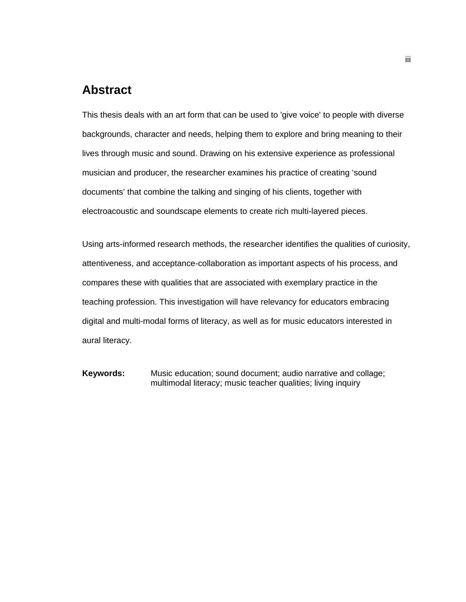# <span id="page-4-0"></span>**Abstract**

This thesis deals with an art form that can be used to 'give voice' to people with diverse backgrounds, character and needs, helping them to explore and bring meaning to their lives through music and sound. Drawing on his extensive experience as professional musician and producer, the researcher examines his practice of creating 'sound documents' that combine the talking and singing of his clients, together with electroacoustic and soundscape elements to create rich multi-layered pieces.

Using arts-informed research methods, the researcher identifies the qualities of curiosity, attentiveness, and acceptance-collaboration as important aspects of his process, and compares these with qualities that are associated with exemplary practice in the teaching profession. This investigation will have relevancy for educators embracing digital and multi-modal forms of literacy, as well as for music educators interested in aural literacy.

**Keywords:** Music education; sound document; audio narrative and collage; multimodal literacy; music teacher qualities; living inquiry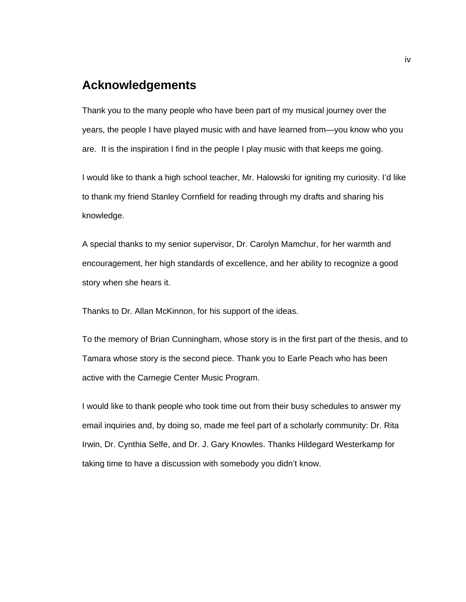# <span id="page-5-0"></span>**Acknowledgements**

Thank you to the many people who have been part of my musical journey over the years, the people I have played music with and have learned from—you know who you are. It is the inspiration I find in the people I play music with that keeps me going.

I would like to thank a high school teacher, Mr. Halowski for igniting my curiosity. I'd like to thank my friend Stanley Cornfield for reading through my drafts and sharing his knowledge.

A special thanks to my senior supervisor, Dr. Carolyn Mamchur, for her warmth and encouragement, her high standards of excellence, and her ability to recognize a good story when she hears it.

Thanks to Dr. Allan McKinnon, for his support of the ideas.

To the memory of Brian Cunningham, whose story is in the first part of the thesis, and to Tamara whose story is the second piece. Thank you to Earle Peach who has been active with the Carnegie Center Music Program.

I would like to thank people who took time out from their busy schedules to answer my email inquiries and, by doing so, made me feel part of a scholarly community: Dr. Rita Irwin, Dr. Cynthia Selfe, and Dr. J. Gary Knowles. Thanks Hildegard Westerkamp for taking time to have a discussion with somebody you didn't know.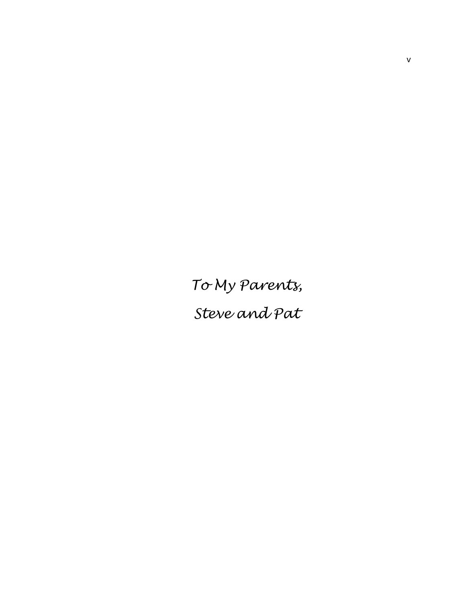<span id="page-6-0"></span>*To My Parents,* 

*Steve and Pat*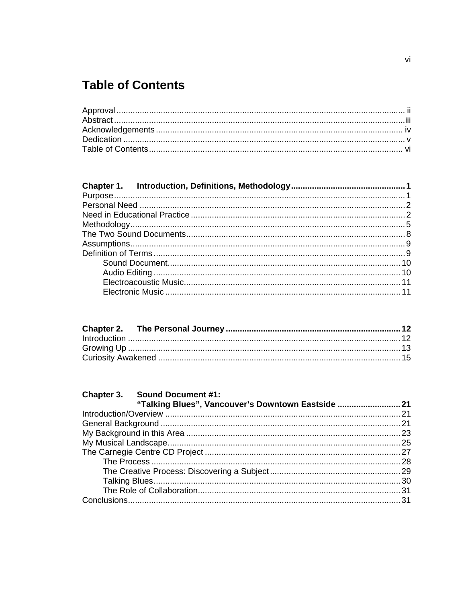# <span id="page-7-0"></span>**Table of Contents**

| Chapter 3. Sound Document #1:<br>"Talking Blues", Vancouver's Downtown Eastside 21 |  |
|------------------------------------------------------------------------------------|--|
|                                                                                    |  |
|                                                                                    |  |
|                                                                                    |  |
|                                                                                    |  |
|                                                                                    |  |
|                                                                                    |  |
|                                                                                    |  |
|                                                                                    |  |
|                                                                                    |  |
|                                                                                    |  |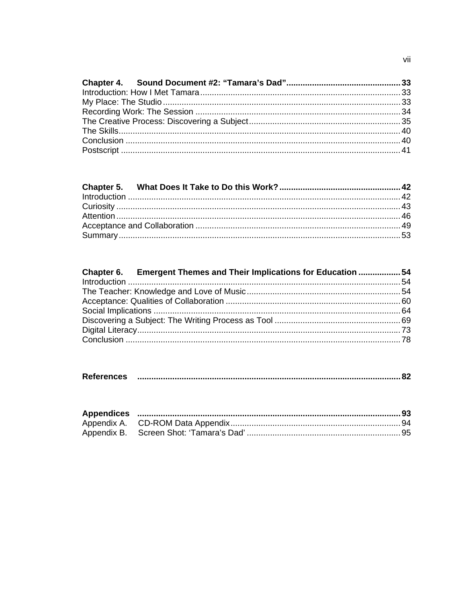| Chapter 6. Emergent Themes and Their Implications for Education  54 |
|---------------------------------------------------------------------|
|                                                                     |
|                                                                     |
|                                                                     |
|                                                                     |
|                                                                     |
|                                                                     |
|                                                                     |
|                                                                     |

| <b>References</b> |  |  |
|-------------------|--|--|
|-------------------|--|--|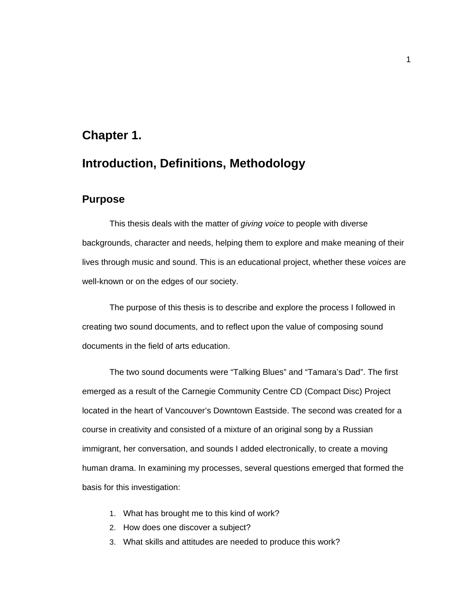# **Chapter 1. Introduction, Definitions, Methodology**

#### **Purpose**

<span id="page-9-1"></span><span id="page-9-0"></span>This thesis deals with the matter of *giving voice* to people with diverse backgrounds, character and needs, helping them to explore and make meaning of their lives through music and sound. This is an educational project, whether these *voices* are well-known or on the edges of our society.

The purpose of this thesis is to describe and explore the process I followed in creating two sound documents, and to reflect upon the value of composing sound documents in the field of arts education.

The two sound documents were "Talking Blues" and "Tamara's Dad". The first emerged as a result of the Carnegie Community Centre CD (Compact Disc) Project located in the heart of Vancouver's Downtown Eastside. The second was created for a course in creativity and consisted of a mixture of an original song by a Russian immigrant, her conversation, and sounds I added electronically, to create a moving human drama. In examining my processes, several questions emerged that formed the basis for this investigation:

- 1. What has brought me to this kind of work?
- 2. How does one discover a subject?
- 3. What skills and attitudes are needed to produce this work?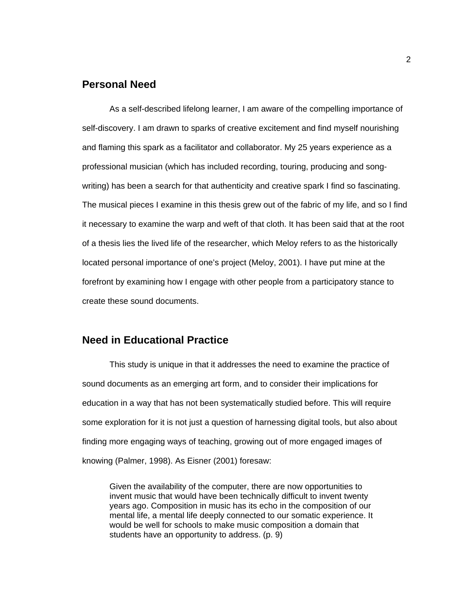### <span id="page-10-0"></span>**Personal Need**

As a self-described lifelong learner, I am aware of the compelling importance of self-discovery. I am drawn to sparks of creative excitement and find myself nourishing and flaming this spark as a facilitator and collaborator. My 25 years experience as a professional musician (which has included recording, touring, producing and songwriting) has been a search for that authenticity and creative spark I find so fascinating. The musical pieces I examine in this thesis grew out of the fabric of my life, and so I find it necessary to examine the warp and weft of that cloth. It has been said that at the root of a thesis lies the lived life of the researcher, which Meloy refers to as the historically located personal importance of one's project (Meloy, 2001). I have put mine at the forefront by examining how I engage with other people from a participatory stance to create these sound documents.

#### <span id="page-10-1"></span>**Need in Educational Practice**

This study is unique in that it addresses the need to examine the practice of sound documents as an emerging art form, and to consider their implications for education in a way that has not been systematically studied before. This will require some exploration for it is not just a question of harnessing digital tools, but also about finding more engaging ways of teaching, growing out of more engaged images of knowing (Palmer, 1998). As Eisner (2001) foresaw:

Given the availability of the computer, there are now opportunities to invent music that would have been technically difficult to invent twenty years ago. Composition in music has its echo in the composition of our mental life, a mental life deeply connected to our somatic experience. It would be well for schools to make music composition a domain that students have an opportunity to address. (p. 9)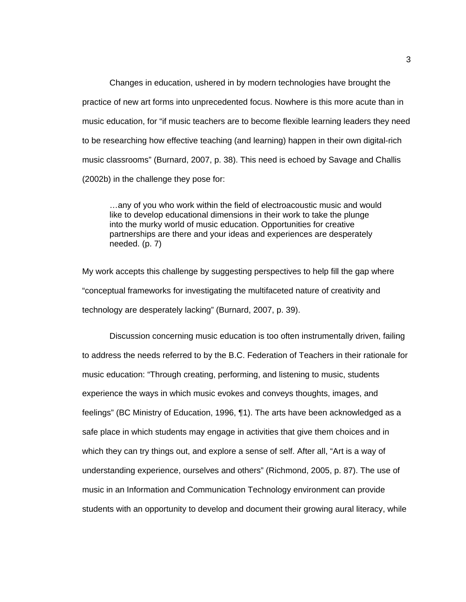Changes in education, ushered in by modern technologies have brought the practice of new art forms into unprecedented focus. Nowhere is this more acute than in music education, for "if music teachers are to become flexible learning leaders they need to be researching how effective teaching (and learning) happen in their own digital-rich music classrooms" (Burnard, 2007, p. 38). This need is echoed by Savage and Challis (2002b) in the challenge they pose for:

…any of you who work within the field of electroacoustic music and would like to develop educational dimensions in their work to take the plunge into the murky world of music education. Opportunities for creative partnerships are there and your ideas and experiences are desperately needed. (p. 7)

My work accepts this challenge by suggesting perspectives to help fill the gap where "conceptual frameworks for investigating the multifaceted nature of creativity and technology are desperately lacking" (Burnard, 2007, p. 39).

Discussion concerning music education is too often instrumentally driven, failing to address the needs referred to by the B.C. Federation of Teachers in their rationale for music education: "Through creating, performing, and listening to music, students experience the ways in which music evokes and conveys thoughts, images, and feelings" (BC Ministry of Education, 1996, ¶1). The arts have been acknowledged as a safe place in which students may engage in activities that give them choices and in which they can try things out, and explore a sense of self. After all, "Art is a way of understanding experience, ourselves and others" (Richmond, 2005, p. 87). The use of music in an Information and Communication Technology environment can provide students with an opportunity to develop and document their growing aural literacy, while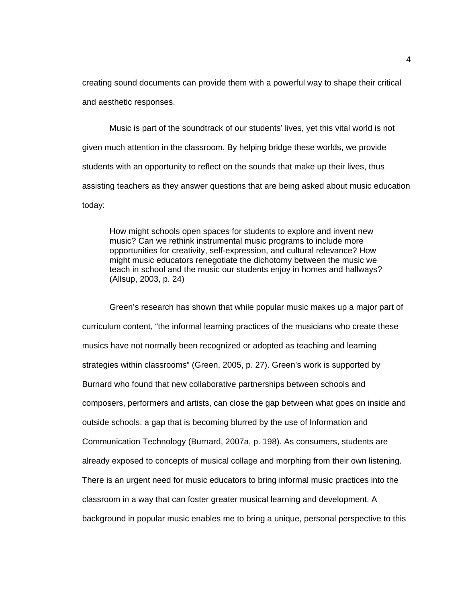creating sound documents can provide them with a powerful way to shape their critical and aesthetic responses.

Music is part of the soundtrack of our students' lives, yet this vital world is not given much attention in the classroom. By helping bridge these worlds, we provide students with an opportunity to reflect on the sounds that make up their lives, thus assisting teachers as they answer questions that are being asked about music education today:

How might schools open spaces for students to explore and invent new music? Can we rethink instrumental music programs to include more opportunities for creativity, self-expression, and cultural relevance? How might music educators renegotiate the dichotomy between the music we teach in school and the music our students enjoy in homes and hallways? (Allsup, 2003, p. 24)

Green's research has shown that while popular music makes up a major part of curriculum content, "the informal learning practices of the musicians who create these musics have not normally been recognized or adopted as teaching and learning strategies within classrooms" (Green, 2005, p. 27). Green's work is supported by Burnard who found that new collaborative partnerships between schools and composers, performers and artists, can close the gap between what goes on inside and outside schools: a gap that is becoming blurred by the use of Information and Communication Technology (Burnard, 2007a, p. 198). As consumers, students are already exposed to concepts of musical collage and morphing from their own listening. There is an urgent need for music educators to bring informal music practices into the classroom in a way that can foster greater musical learning and development. A background in popular music enables me to bring a unique, personal perspective to this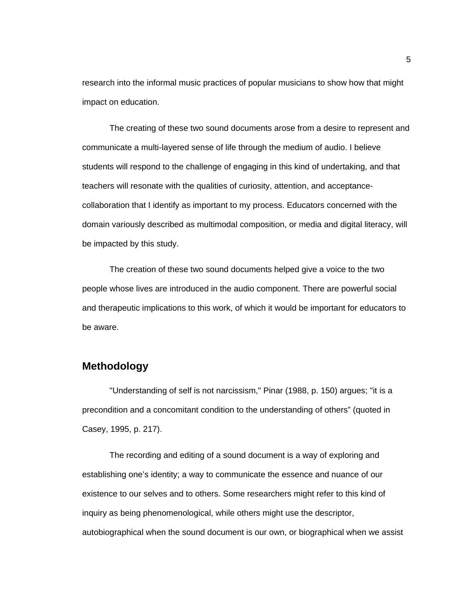research into the informal music practices of popular musicians to show how that might impact on education.

The creating of these two sound documents arose from a desire to represent and communicate a multi-layered sense of life through the medium of audio. I believe students will respond to the challenge of engaging in this kind of undertaking, and that teachers will resonate with the qualities of curiosity, attention, and acceptancecollaboration that I identify as important to my process. Educators concerned with the domain variously described as multimodal composition, or media and digital literacy, will be impacted by this study.

The creation of these two sound documents helped give a voice to the two people whose lives are introduced in the audio component. There are powerful social and therapeutic implications to this work, of which it would be important for educators to be aware.

### <span id="page-13-0"></span>**Methodology**

"Understanding of self is not narcissism," Pinar (1988, p. 150) argues; "it is a precondition and a concomitant condition to the understanding of others" (quoted in Casey, 1995, p. 217).

The recording and editing of a sound document is a way of exploring and establishing one's identity; a way to communicate the essence and nuance of our existence to our selves and to others. Some researchers might refer to this kind of inquiry as being phenomenological, while others might use the descriptor, autobiographical when the sound document is our own, or biographical when we assist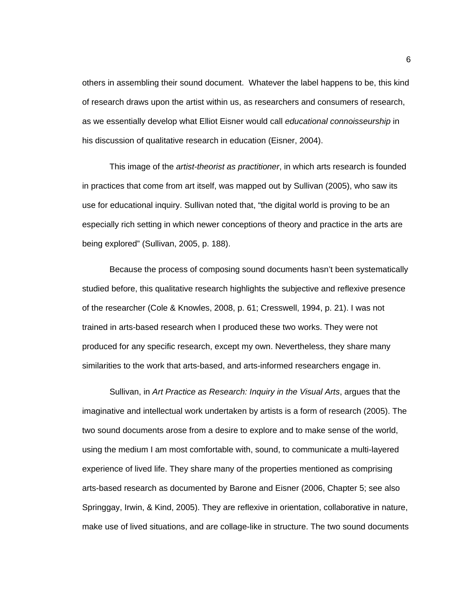others in assembling their sound document. Whatever the label happens to be, this kind of research draws upon the artist within us, as researchers and consumers of research, as we essentially develop what Elliot Eisner would call *educational connoisseurship* in his discussion of qualitative research in education (Eisner, 2004).

This image of the *artist-theorist as practitioner*, in which arts research is founded in practices that come from art itself, was mapped out by Sullivan (2005), who saw its use for educational inquiry. Sullivan noted that, "the digital world is proving to be an especially rich setting in which newer conceptions of theory and practice in the arts are being explored" (Sullivan, 2005, p. 188).

Because the process of composing sound documents hasn't been systematically studied before, this qualitative research highlights the subjective and reflexive presence of the researcher (Cole & Knowles, 2008, p. 61; Cresswell, 1994, p. 21). I was not trained in arts-based research when I produced these two works. They were not produced for any specific research, except my own. Nevertheless, they share many similarities to the work that arts-based, and arts-informed researchers engage in.

Sullivan, in *Art Practice as Research: Inquiry in the Visual Arts*, argues that the imaginative and intellectual work undertaken by artists is a form of research (2005). The two sound documents arose from a desire to explore and to make sense of the world, using the medium I am most comfortable with, sound, to communicate a multi-layered experience of lived life. They share many of the properties mentioned as comprising arts-based research as documented by Barone and Eisner (2006, Chapter 5; see also Springgay, Irwin, & Kind, 2005). They are reflexive in orientation, collaborative in nature, make use of lived situations, and are collage-like in structure. The two sound documents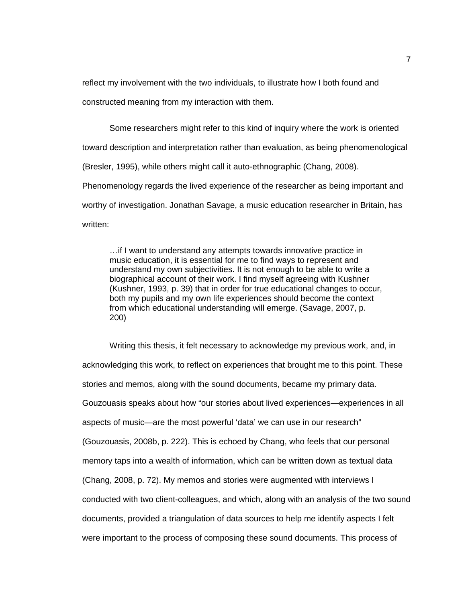reflect my involvement with the two individuals, to illustrate how I both found and constructed meaning from my interaction with them.

Some researchers might refer to this kind of inquiry where the work is oriented toward description and interpretation rather than evaluation, as being phenomenological (Bresler, 1995), while others might call it auto-ethnographic (Chang, 2008). Phenomenology regards the lived experience of the researcher as being important and worthy of investigation. Jonathan Savage, a music education researcher in Britain, has written:

…if I want to understand any attempts towards innovative practice in music education, it is essential for me to find ways to represent and understand my own subjectivities. It is not enough to be able to write a biographical account of their work. I find myself agreeing with Kushner (Kushner, 1993, p. 39) that in order for true educational changes to occur, both my pupils and my own life experiences should become the context from which educational understanding will emerge. (Savage, 2007, p. 200)

Writing this thesis, it felt necessary to acknowledge my previous work, and, in acknowledging this work, to reflect on experiences that brought me to this point. These stories and memos, along with the sound documents, became my primary data. Gouzouasis speaks about how "our stories about lived experiences—experiences in all aspects of music—are the most powerful 'data' we can use in our research" (Gouzouasis, 2008b, p. 222). This is echoed by Chang, who feels that our personal memory taps into a wealth of information, which can be written down as textual data (Chang, 2008, p. 72). My memos and stories were augmented with interviews I conducted with two client-colleagues, and which, along with an analysis of the two sound documents, provided a triangulation of data sources to help me identify aspects I felt were important to the process of composing these sound documents. This process of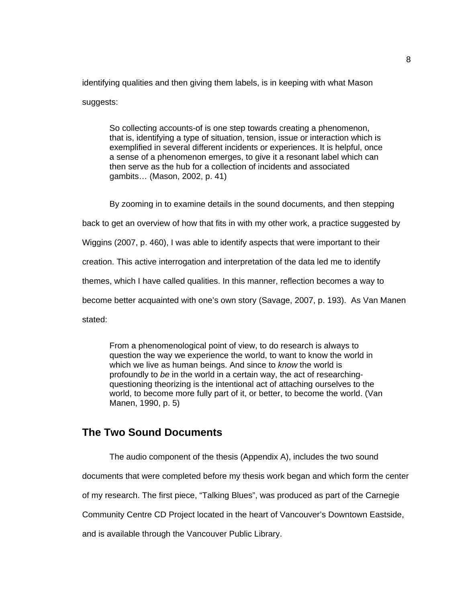identifying qualities and then giving them labels, is in keeping with what Mason suggests:

So collecting accounts-of is one step towards creating a phenomenon, that is, identifying a type of situation, tension, issue or interaction which is exemplified in several different incidents or experiences. It is helpful, once a sense of a phenomenon emerges, to give it a resonant label which can then serve as the hub for a collection of incidents and associated gambits… (Mason, 2002, p. 41)

By zooming in to examine details in the sound documents, and then stepping back to get an overview of how that fits in with my other work, a practice suggested by Wiggins (2007, p. 460), I was able to identify aspects that were important to their creation. This active interrogation and interpretation of the data led me to identify

themes, which I have called qualities. In this manner, reflection becomes a way to

become better acquainted with one's own story (Savage, 2007, p. 193). As Van Manen

stated:

From a phenomenological point of view, to do research is always to question the way we experience the world, to want to know the world in which we live as human beings. And since to *know* the world is profoundly to *be* in the world in a certain way, the act of researchingquestioning theorizing is the intentional act of attaching ourselves to the world, to become more fully part of it, or better, to become the world. (Van Manen, 1990, p. 5)

### **The Two Sound Documents**

<span id="page-16-0"></span>The audio component of the thesis (Appendix A), includes the two sound documents that were completed before my thesis work began and which form the center of my research. The first piece, "Talking Blues", was produced as part of the Carnegie Community Centre CD Project located in the heart of Vancouver's Downtown Eastside, and is available through the Vancouver Public Library.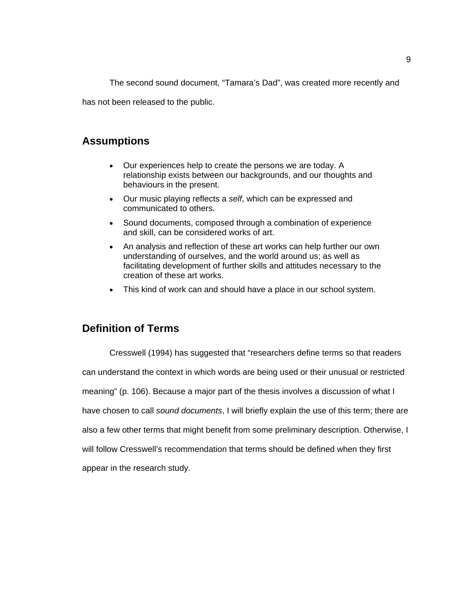The second sound document, "Tamara's Dad", was created more recently and

has not been released to the public.

# <span id="page-17-0"></span>**Assumptions**

- Our experiences help to create the persons we are today. A relationship exists between our backgrounds, and our thoughts and behaviours in the present.
- Our music playing reflects a *self*, which can be expressed and communicated to others.
- Sound documents, composed through a combination of experience and skill, can be considered works of art.
- An analysis and reflection of these art works can help further our own understanding of ourselves, and the world around us; as well as facilitating development of further skills and attitudes necessary to the creation of these art works.
- This kind of work can and should have a place in our school system.

# <span id="page-17-1"></span>**Definition of Terms**

Cresswell (1994) has suggested that "researchers define terms so that readers can understand the context in which words are being used or their unusual or restricted meaning" (p. 106). Because a major part of the thesis involves a discussion of what I have chosen to call *sound documents*, I will briefly explain the use of this term; there are also a few other terms that might benefit from some preliminary description. Otherwise, I will follow Cresswell's recommendation that terms should be defined when they first appear in the research study.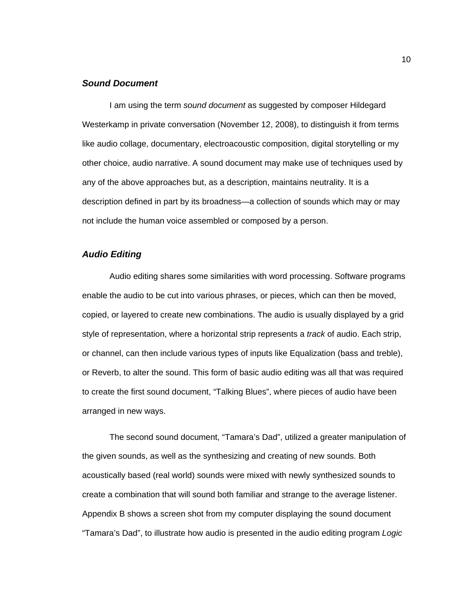#### <span id="page-18-0"></span>*Sound Document*

I am using the term *sound document* as suggested by composer Hildegard Westerkamp in private conversation (November 12, 2008), to distinguish it from terms like audio collage, documentary, electroacoustic composition, digital storytelling or my other choice, audio narrative. A sound document may make use of techniques used by any of the above approaches but, as a description, maintains neutrality. It is a description defined in part by its broadness—a collection of sounds which may or may not include the human voice assembled or composed by a person.

#### <span id="page-18-1"></span>*Audio Editing*

Audio editing shares some similarities with word processing. Software programs enable the audio to be cut into various phrases, or pieces, which can then be moved, copied, or layered to create new combinations. The audio is usually displayed by a grid style of representation, where a horizontal strip represents a *track* of audio. Each strip, or channel, can then include various types of inputs like Equalization (bass and treble), or Reverb, to alter the sound. This form of basic audio editing was all that was required to create the first sound document, "Talking Blues", where pieces of audio have been arranged in new ways.

The second sound document, "Tamara's Dad", utilized a greater manipulation of the given sounds, as well as the synthesizing and creating of new sounds. Both acoustically based (real world) sounds were mixed with newly synthesized sounds to create a combination that will sound both familiar and strange to the average listener. Appendix B shows a screen shot from my computer displaying the sound document "Tamara's Dad", to illustrate how audio is presented in the audio editing program *Logic*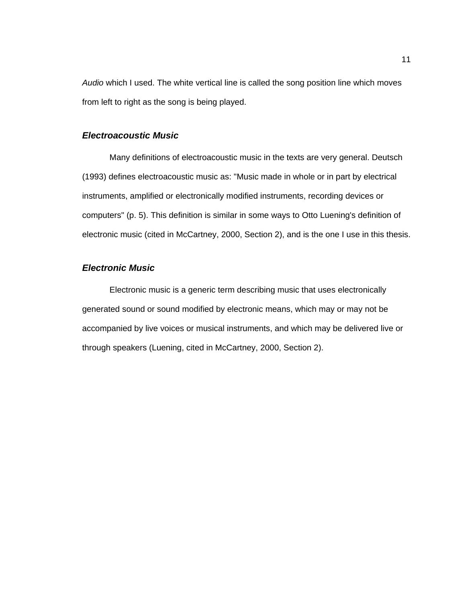*Audio* which I used. The white vertical line is called the song position line which moves from left to right as the song is being played.

#### <span id="page-19-0"></span>*Electroacoustic Music*

Many definitions of electroacoustic music in the texts are very general. Deutsch (1993) defines electroacoustic music as: "Music made in whole or in part by electrical instruments, amplified or electronically modified instruments, recording devices or computers" (p. 5). This definition is similar in some ways to Otto Luening's definition of electronic music (cited in McCartney, 2000, Section 2), and is the one I use in this thesis.

#### <span id="page-19-1"></span>*Electronic Music*

Electronic music is a generic term describing music that uses electronically generated sound or sound modified by electronic means, which may or may not be accompanied by live voices or musical instruments, and which may be delivered live or through speakers (Luening, cited in McCartney, 2000, Section 2).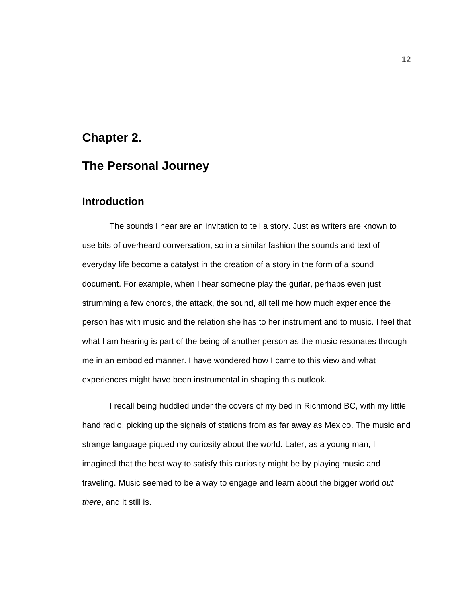# **Chapter 2.**

# **The Personal Journey**

### **Introduction**

<span id="page-20-1"></span><span id="page-20-0"></span>The sounds I hear are an invitation to tell a story. Just as writers are known to use bits of overheard conversation, so in a similar fashion the sounds and text of everyday life become a catalyst in the creation of a story in the form of a sound document. For example, when I hear someone play the guitar, perhaps even just strumming a few chords, the attack, the sound, all tell me how much experience the person has with music and the relation she has to her instrument and to music. I feel that what I am hearing is part of the being of another person as the music resonates through me in an embodied manner. I have wondered how I came to this view and what experiences might have been instrumental in shaping this outlook.

I recall being huddled under the covers of my bed in Richmond BC, with my little hand radio, picking up the signals of stations from as far away as Mexico. The music and strange language piqued my curiosity about the world. Later, as a young man, I imagined that the best way to satisfy this curiosity might be by playing music and traveling. Music seemed to be a way to engage and learn about the bigger world *out there*, and it still is.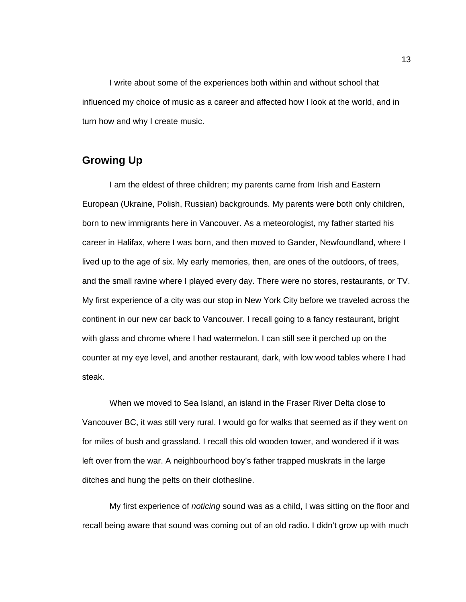I write about some of the experiences both within and without school that influenced my choice of music as a career and affected how I look at the world, and in turn how and why I create music.

# <span id="page-21-0"></span>**Growing Up**

I am the eldest of three children; my parents came from Irish and Eastern European (Ukraine, Polish, Russian) backgrounds. My parents were both only children, born to new immigrants here in Vancouver. As a meteorologist, my father started his career in Halifax, where I was born, and then moved to Gander, Newfoundland, where I lived up to the age of six. My early memories, then, are ones of the outdoors, of trees, and the small ravine where I played every day. There were no stores, restaurants, or TV. My first experience of a city was our stop in New York City before we traveled across the continent in our new car back to Vancouver. I recall going to a fancy restaurant, bright with glass and chrome where I had watermelon. I can still see it perched up on the counter at my eye level, and another restaurant, dark, with low wood tables where I had steak.

When we moved to Sea Island, an island in the Fraser River Delta close to Vancouver BC, it was still very rural. I would go for walks that seemed as if they went on for miles of bush and grassland. I recall this old wooden tower, and wondered if it was left over from the war. A neighbourhood boy's father trapped muskrats in the large ditches and hung the pelts on their clothesline.

My first experience of *noticing* sound was as a child, I was sitting on the floor and recall being aware that sound was coming out of an old radio. I didn't grow up with much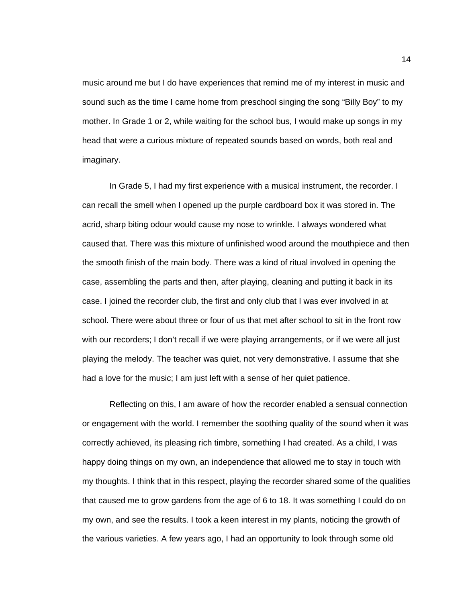music around me but I do have experiences that remind me of my interest in music and sound such as the time I came home from preschool singing the song "Billy Boy" to my mother. In Grade 1 or 2, while waiting for the school bus, I would make up songs in my head that were a curious mixture of repeated sounds based on words, both real and imaginary.

In Grade 5, I had my first experience with a musical instrument, the recorder. I can recall the smell when I opened up the purple cardboard box it was stored in. The acrid, sharp biting odour would cause my nose to wrinkle. I always wondered what caused that. There was this mixture of unfinished wood around the mouthpiece and then the smooth finish of the main body. There was a kind of ritual involved in opening the case, assembling the parts and then, after playing, cleaning and putting it back in its case. I joined the recorder club, the first and only club that I was ever involved in at school. There were about three or four of us that met after school to sit in the front row with our recorders; I don't recall if we were playing arrangements, or if we were all just playing the melody. The teacher was quiet, not very demonstrative. I assume that she had a love for the music; I am just left with a sense of her quiet patience.

Reflecting on this, I am aware of how the recorder enabled a sensual connection or engagement with the world. I remember the soothing quality of the sound when it was correctly achieved, its pleasing rich timbre, something I had created. As a child, I was happy doing things on my own, an independence that allowed me to stay in touch with my thoughts. I think that in this respect, playing the recorder shared some of the qualities that caused me to grow gardens from the age of 6 to 18. It was something I could do on my own, and see the results. I took a keen interest in my plants, noticing the growth of the various varieties. A few years ago, I had an opportunity to look through some old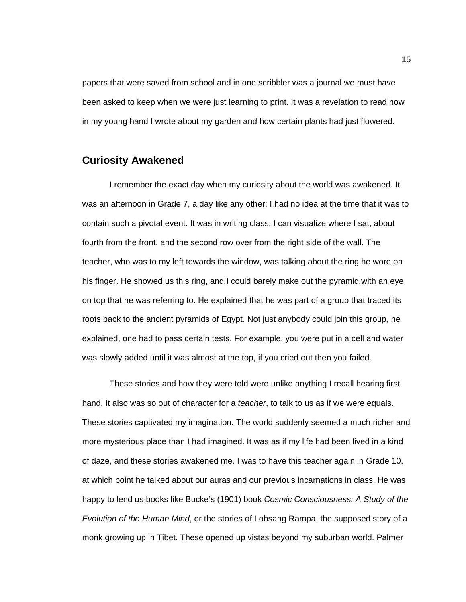papers that were saved from school and in one scribbler was a journal we must have been asked to keep when we were just learning to print. It was a revelation to read how in my young hand I wrote about my garden and how certain plants had just flowered.

### <span id="page-23-0"></span>**Curiosity Awakened**

I remember the exact day when my curiosity about the world was awakened. It was an afternoon in Grade 7, a day like any other; I had no idea at the time that it was to contain such a pivotal event. It was in writing class; I can visualize where I sat, about fourth from the front, and the second row over from the right side of the wall. The teacher, who was to my left towards the window, was talking about the ring he wore on his finger. He showed us this ring, and I could barely make out the pyramid with an eye on top that he was referring to. He explained that he was part of a group that traced its roots back to the ancient pyramids of Egypt. Not just anybody could join this group, he explained, one had to pass certain tests. For example, you were put in a cell and water was slowly added until it was almost at the top, if you cried out then you failed.

These stories and how they were told were unlike anything I recall hearing first hand. It also was so out of character for a *teacher*, to talk to us as if we were equals. These stories captivated my imagination. The world suddenly seemed a much richer and more mysterious place than I had imagined. It was as if my life had been lived in a kind of daze, and these stories awakened me. I was to have this teacher again in Grade 10, at which point he talked about our auras and our previous incarnations in class. He was happy to lend us books like Bucke's (1901) book *Cosmic Consciousness: A Study of the Evolution of the Human Mind*, or the stories of Lobsang Rampa, the supposed story of a monk growing up in Tibet. These opened up vistas beyond my suburban world. Palmer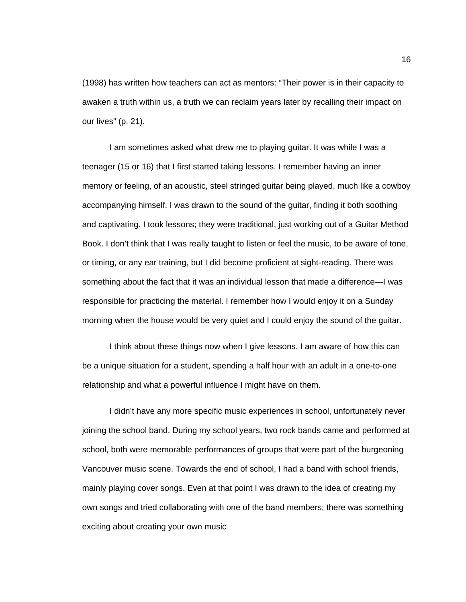(1998) has written how teachers can act as mentors: "Their power is in their capacity to awaken a truth within us, a truth we can reclaim years later by recalling their impact on our lives" (p. 21).

I am sometimes asked what drew me to playing guitar. It was while I was a teenager (15 or 16) that I first started taking lessons. I remember having an inner memory or feeling, of an acoustic, steel stringed guitar being played, much like a cowboy accompanying himself. I was drawn to the sound of the guitar, finding it both soothing and captivating. I took lessons; they were traditional, just working out of a Guitar Method Book. I don't think that I was really taught to listen or feel the music, to be aware of tone, or timing, or any ear training, but I did become proficient at sight-reading. There was something about the fact that it was an individual lesson that made a difference—I was responsible for practicing the material. I remember how I would enjoy it on a Sunday morning when the house would be very quiet and I could enjoy the sound of the guitar.

I think about these things now when I give lessons. I am aware of how this can be a unique situation for a student, spending a half hour with an adult in a one-to-one relationship and what a powerful influence I might have on them.

I didn't have any more specific music experiences in school, unfortunately never joining the school band. During my school years, two rock bands came and performed at school, both were memorable performances of groups that were part of the burgeoning Vancouver music scene. Towards the end of school, I had a band with school friends, mainly playing cover songs. Even at that point I was drawn to the idea of creating my own songs and tried collaborating with one of the band members; there was something exciting about creating your own music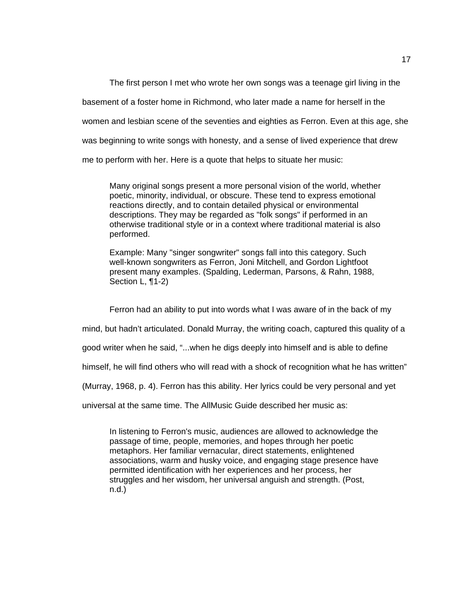The first person I met who wrote her own songs was a teenage girl living in the basement of a foster home in Richmond, who later made a name for herself in the women and lesbian scene of the seventies and eighties as Ferron. Even at this age, she was beginning to write songs with honesty, and a sense of lived experience that drew me to perform with her. Here is a quote that helps to situate her music:

Many original songs present a more personal vision of the world, whether poetic, minority, individual, or obscure. These tend to express emotional reactions directly, and to contain detailed physical or environmental descriptions. They may be regarded as "folk songs" if performed in an otherwise traditional style or in a context where traditional material is also performed.

Example: Many "singer songwriter" songs fall into this category. Such well-known songwriters as Ferron, Joni Mitchell, and Gordon Lightfoot present many examples. (Spalding, Lederman, Parsons, & Rahn, 1988, Section L, ¶1-2)

Ferron had an ability to put into words what I was aware of in the back of my

mind, but hadn't articulated. Donald Murray, the writing coach, captured this quality of a

good writer when he said, "...when he digs deeply into himself and is able to define

himself, he will find others who will read with a shock of recognition what he has written"

(Murray, 1968, p. 4). Ferron has this ability. Her lyrics could be very personal and yet

universal at the same time. The AllMusic Guide described her music as:

In listening to Ferron's music, audiences are allowed to acknowledge the passage of time, people, memories, and hopes through her poetic metaphors. Her familiar vernacular, direct statements, enlightened associations, warm and husky voice, and engaging stage presence have permitted identification with her experiences and her process, her struggles and her wisdom, her universal anguish and strength. (Post, n.d.)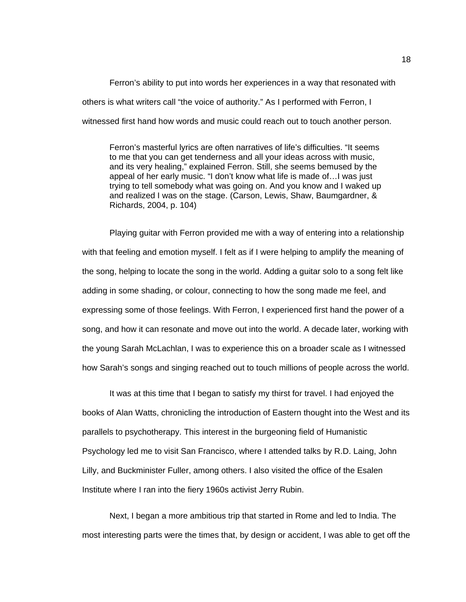Ferron's ability to put into words her experiences in a way that resonated with others is what writers call "the voice of authority." As I performed with Ferron, I witnessed first hand how words and music could reach out to touch another person.

Ferron's masterful lyrics are often narratives of life's difficulties. "It seems to me that you can get tenderness and all your ideas across with music, and its very healing," explained Ferron. Still, she seems bemused by the appeal of her early music. "I don't know what life is made of…I was just trying to tell somebody what was going on. And you know and I waked up and realized I was on the stage. (Carson, Lewis, Shaw, Baumgardner, & Richards, 2004, p. 104)

Playing guitar with Ferron provided me with a way of entering into a relationship with that feeling and emotion myself. I felt as if I were helping to amplify the meaning of the song, helping to locate the song in the world. Adding a guitar solo to a song felt like adding in some shading, or colour, connecting to how the song made me feel, and expressing some of those feelings. With Ferron, I experienced first hand the power of a song, and how it can resonate and move out into the world. A decade later, working with the young Sarah McLachlan, I was to experience this on a broader scale as I witnessed how Sarah's songs and singing reached out to touch millions of people across the world.

It was at this time that I began to satisfy my thirst for travel. I had enjoyed the books of Alan Watts, chronicling the introduction of Eastern thought into the West and its parallels to psychotherapy. This interest in the burgeoning field of Humanistic Psychology led me to visit San Francisco, where I attended talks by R.D. Laing, John Lilly, and Buckminister Fuller, among others. I also visited the office of the Esalen Institute where I ran into the fiery 1960s activist Jerry Rubin.

Next, I began a more ambitious trip that started in Rome and led to India. The most interesting parts were the times that, by design or accident, I was able to get off the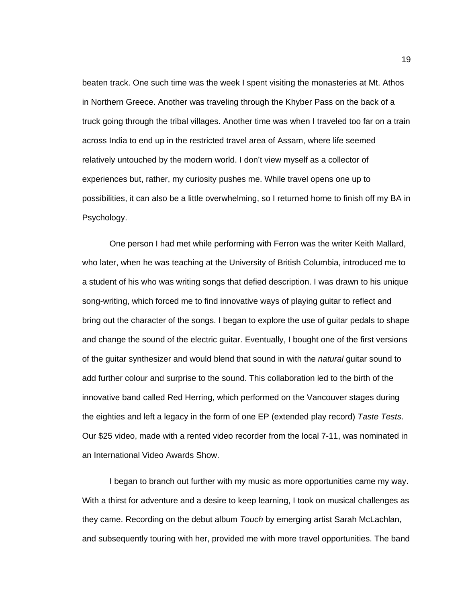beaten track. One such time was the week I spent visiting the monasteries at Mt. Athos in Northern Greece. Another was traveling through the Khyber Pass on the back of a truck going through the tribal villages. Another time was when I traveled too far on a train across India to end up in the restricted travel area of Assam, where life seemed relatively untouched by the modern world. I don't view myself as a collector of experiences but, rather, my curiosity pushes me. While travel opens one up to possibilities, it can also be a little overwhelming, so I returned home to finish off my BA in Psychology.

One person I had met while performing with Ferron was the writer Keith Mallard, who later, when he was teaching at the University of British Columbia, introduced me to a student of his who was writing songs that defied description. I was drawn to his unique song-writing, which forced me to find innovative ways of playing guitar to reflect and bring out the character of the songs. I began to explore the use of guitar pedals to shape and change the sound of the electric guitar. Eventually, I bought one of the first versions of the guitar synthesizer and would blend that sound in with the *natural* guitar sound to add further colour and surprise to the sound. This collaboration led to the birth of the innovative band called Red Herring, which performed on the Vancouver stages during the eighties and left a legacy in the form of one EP (extended play record) *Taste Tests*. Our \$25 video, made with a rented video recorder from the local 7-11, was nominated in an International Video Awards Show.

I began to branch out further with my music as more opportunities came my way. With a thirst for adventure and a desire to keep learning, I took on musical challenges as they came. Recording on the debut album *Touch* by emerging artist Sarah McLachlan, and subsequently touring with her, provided me with more travel opportunities. The band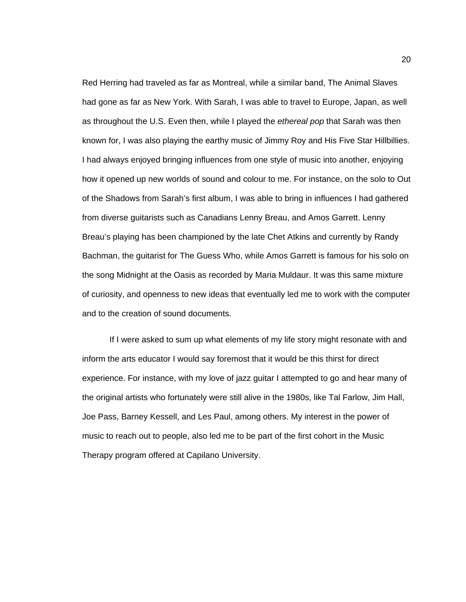Red Herring had traveled as far as Montreal, while a similar band, The Animal Slaves had gone as far as New York. With Sarah, I was able to travel to Europe, Japan, as well as throughout the U.S. Even then, while I played the *ethereal pop* that Sarah was then known for, I was also playing the earthy music of Jimmy Roy and His Five Star Hillbillies. I had always enjoyed bringing influences from one style of music into another, enjoying how it opened up new worlds of sound and colour to me. For instance, on the solo to Out of the Shadows from Sarah's first album, I was able to bring in influences I had gathered from diverse guitarists such as Canadians Lenny Breau, and Amos Garrett. Lenny Breau's playing has been championed by the late Chet Atkins and currently by Randy Bachman, the guitarist for The Guess Who, while Amos Garrett is famous for his solo on the song Midnight at the Oasis as recorded by Maria Muldaur. It was this same mixture of curiosity, and openness to new ideas that eventually led me to work with the computer and to the creation of sound documents.

If I were asked to sum up what elements of my life story might resonate with and inform the arts educator I would say foremost that it would be this thirst for direct experience. For instance, with my love of jazz guitar I attempted to go and hear many of the original artists who fortunately were still alive in the 1980s, like Tal Farlow, Jim Hall, Joe Pass, Barney Kessell, and Les Paul, among others. My interest in the power of music to reach out to people, also led me to be part of the first cohort in the Music Therapy program offered at Capilano University.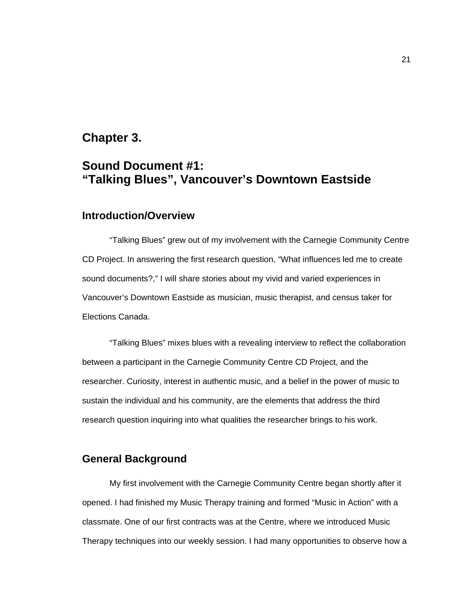# **Chapter 3.**

# **Sound Document #1: "Talking Blues", Vancouver's Downtown Eastside**

# <span id="page-29-0"></span>**Introduction/Overview**

<span id="page-29-1"></span>"Talking Blues" grew out of my involvement with the Carnegie Community Centre CD Project. In answering the first research question, "What influences led me to create sound documents?," I will share stories about my vivid and varied experiences in Vancouver's Downtown Eastside as musician, music therapist, and census taker for Elections Canada.

"Talking Blues" mixes blues with a revealing interview to reflect the collaboration between a participant in the Carnegie Community Centre CD Project, and the researcher. Curiosity, interest in authentic music, and a belief in the power of music to sustain the individual and his community, are the elements that address the third research question inquiring into what qualities the researcher brings to his work.

#### <span id="page-29-2"></span>**General Background**

My first involvement with the Carnegie Community Centre began shortly after it opened. I had finished my Music Therapy training and formed "Music in Action" with a classmate. One of our first contracts was at the Centre, where we introduced Music Therapy techniques into our weekly session. I had many opportunities to observe how a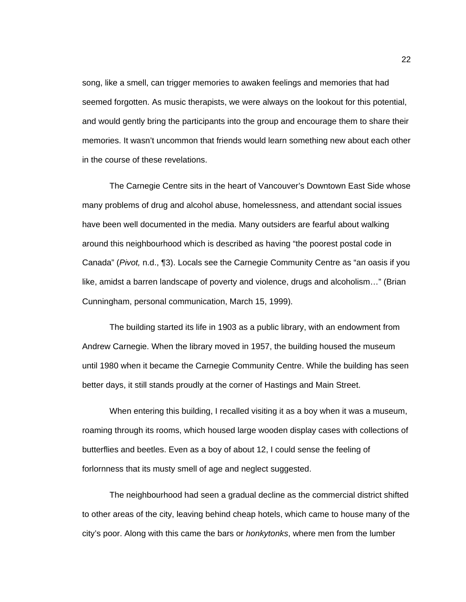song, like a smell, can trigger memories to awaken feelings and memories that had seemed forgotten. As music therapists, we were always on the lookout for this potential, and would gently bring the participants into the group and encourage them to share their memories. It wasn't uncommon that friends would learn something new about each other in the course of these revelations.

The Carnegie Centre sits in the heart of Vancouver's Downtown East Side whose many problems of drug and alcohol abuse, homelessness, and attendant social issues have been well documented in the media. Many outsiders are fearful about walking around this neighbourhood which is described as having "the poorest postal code in Canada" (*Pivot,* n.d., ¶3). Locals see the Carnegie Community Centre as "an oasis if you like, amidst a barren landscape of poverty and violence, drugs and alcoholism…" (Brian Cunningham, personal communication, March 15, 1999).

The building started its life in 1903 as a public library, with an endowment from Andrew Carnegie. When the library moved in 1957, the building housed the museum until 1980 when it became the Carnegie Community Centre. While the building has seen better days, it still stands proudly at the corner of Hastings and Main Street.

When entering this building, I recalled visiting it as a boy when it was a museum, roaming through its rooms, which housed large wooden display cases with collections of butterflies and beetles. Even as a boy of about 12, I could sense the feeling of forlornness that its musty smell of age and neglect suggested.

The neighbourhood had seen a gradual decline as the commercial district shifted to other areas of the city, leaving behind cheap hotels, which came to house many of the city's poor. Along with this came the bars or *honkytonks*, where men from the lumber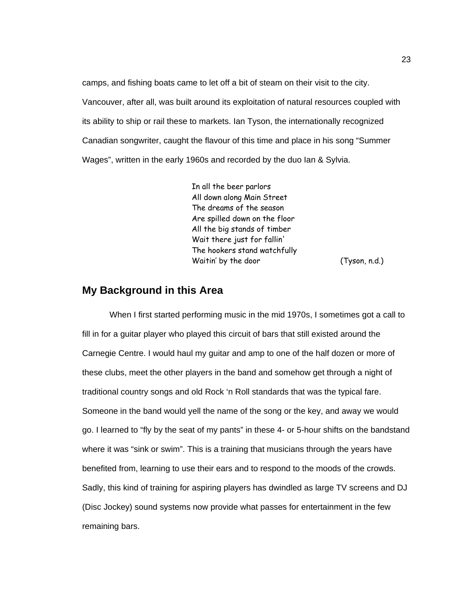camps, and fishing boats came to let off a bit of steam on their visit to the city. Vancouver, after all, was built around its exploitation of natural resources coupled with its ability to ship or rail these to markets. Ian Tyson, the internationally recognized Canadian songwriter, caught the flavour of this time and place in his song "Summer Wages", written in the early 1960s and recorded by the duo Ian & Sylvia.

> In all the beer parlors All down along Main Street The dreams of the season Are spilled down on the floor All the big stands of timber Wait there just for fallin' The hookers stand watchfully Waitin' by the door (Tyson, n.d.)

#### **My Background in this Area**

<span id="page-31-0"></span>When I first started performing music in the mid 1970s, I sometimes got a call to fill in for a guitar player who played this circuit of bars that still existed around the Carnegie Centre. I would haul my guitar and amp to one of the half dozen or more of these clubs, meet the other players in the band and somehow get through a night of traditional country songs and old Rock 'n Roll standards that was the typical fare. Someone in the band would yell the name of the song or the key, and away we would go. I learned to "fly by the seat of my pants" in these 4- or 5-hour shifts on the bandstand where it was "sink or swim". This is a training that musicians through the years have benefited from, learning to use their ears and to respond to the moods of the crowds. Sadly, this kind of training for aspiring players has dwindled as large TV screens and DJ (Disc Jockey) sound systems now provide what passes for entertainment in the few remaining bars.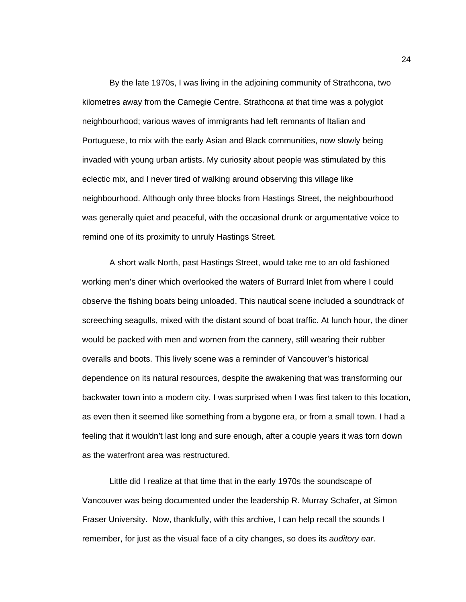By the late 1970s, I was living in the adjoining community of Strathcona, two kilometres away from the Carnegie Centre. Strathcona at that time was a polyglot neighbourhood; various waves of immigrants had left remnants of Italian and Portuguese, to mix with the early Asian and Black communities, now slowly being invaded with young urban artists. My curiosity about people was stimulated by this eclectic mix, and I never tired of walking around observing this village like neighbourhood. Although only three blocks from Hastings Street, the neighbourhood was generally quiet and peaceful, with the occasional drunk or argumentative voice to remind one of its proximity to unruly Hastings Street.

A short walk North, past Hastings Street, would take me to an old fashioned working men's diner which overlooked the waters of Burrard Inlet from where I could observe the fishing boats being unloaded. This nautical scene included a soundtrack of screeching seagulls, mixed with the distant sound of boat traffic. At lunch hour, the diner would be packed with men and women from the cannery, still wearing their rubber overalls and boots. This lively scene was a reminder of Vancouver's historical dependence on its natural resources, despite the awakening that was transforming our backwater town into a modern city. I was surprised when I was first taken to this location, as even then it seemed like something from a bygone era, or from a small town. I had a feeling that it wouldn't last long and sure enough, after a couple years it was torn down as the waterfront area was restructured.

Little did I realize at that time that in the early 1970s the soundscape of Vancouver was being documented under the leadership R. Murray Schafer, at Simon Fraser University. Now, thankfully, with this archive, I can help recall the sounds I remember, for just as the visual face of a city changes, so does its *auditory ear*.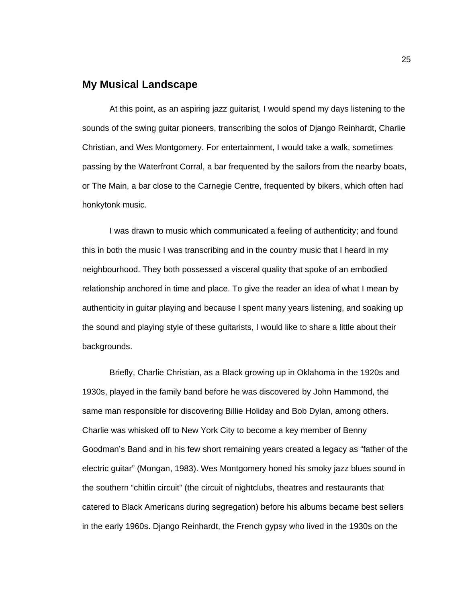### <span id="page-33-0"></span>**My Musical Landscape**

At this point, as an aspiring jazz guitarist, I would spend my days listening to the sounds of the swing guitar pioneers, transcribing the solos of Django Reinhardt, Charlie Christian, and Wes Montgomery. For entertainment, I would take a walk, sometimes passing by the Waterfront Corral, a bar frequented by the sailors from the nearby boats, or The Main, a bar close to the Carnegie Centre, frequented by bikers, which often had honkytonk music.

I was drawn to music which communicated a feeling of authenticity; and found this in both the music I was transcribing and in the country music that I heard in my neighbourhood. They both possessed a visceral quality that spoke of an embodied relationship anchored in time and place. To give the reader an idea of what I mean by authenticity in guitar playing and because I spent many years listening, and soaking up the sound and playing style of these guitarists, I would like to share a little about their backgrounds.

Briefly, Charlie Christian, as a Black growing up in Oklahoma in the 1920s and 1930s, played in the family band before he was discovered by John Hammond, the same man responsible for discovering Billie Holiday and Bob Dylan, among others. Charlie was whisked off to New York City to become a key member of Benny Goodman's Band and in his few short remaining years created a legacy as "father of the electric guitar" (Mongan, 1983). Wes Montgomery honed his smoky jazz blues sound in the southern "chitlin circuit" (the circuit of nightclubs, theatres and restaurants that catered to Black Americans during segregation) before his albums became best sellers in the early 1960s. Django Reinhardt, the French gypsy who lived in the 1930s on the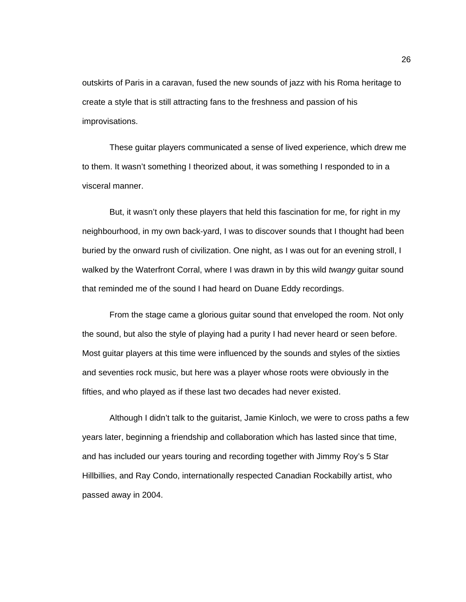outskirts of Paris in a caravan, fused the new sounds of jazz with his Roma heritage to create a style that is still attracting fans to the freshness and passion of his improvisations.

These guitar players communicated a sense of lived experience, which drew me to them. It wasn't something I theorized about, it was something I responded to in a visceral manner.

But, it wasn't only these players that held this fascination for me, for right in my neighbourhood, in my own back-yard, I was to discover sounds that I thought had been buried by the onward rush of civilization. One night, as I was out for an evening stroll, I walked by the Waterfront Corral, where I was drawn in by this wild *twangy* guitar sound that reminded me of the sound I had heard on Duane Eddy recordings.

From the stage came a glorious guitar sound that enveloped the room. Not only the sound, but also the style of playing had a purity I had never heard or seen before. Most guitar players at this time were influenced by the sounds and styles of the sixties and seventies rock music, but here was a player whose roots were obviously in the fifties, and who played as if these last two decades had never existed.

Although I didn't talk to the guitarist, Jamie Kinloch, we were to cross paths a few years later, beginning a friendship and collaboration which has lasted since that time, and has included our years touring and recording together with Jimmy Roy's 5 Star Hillbillies, and Ray Condo, internationally respected Canadian Rockabilly artist, who passed away in 2004.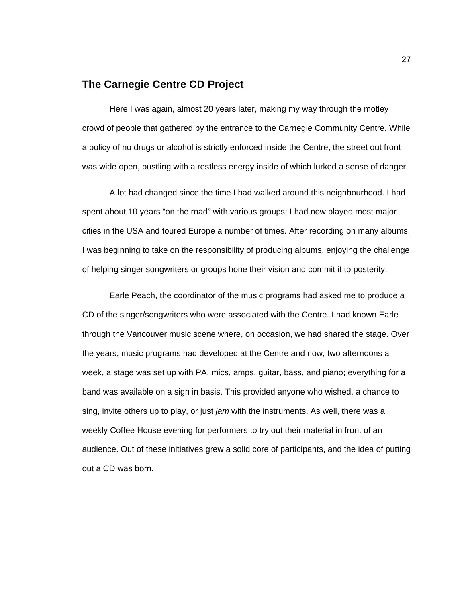#### <span id="page-35-0"></span>**The Carnegie Centre CD Project**

Here I was again, almost 20 years later, making my way through the motley crowd of people that gathered by the entrance to the Carnegie Community Centre. While a policy of no drugs or alcohol is strictly enforced inside the Centre, the street out front was wide open, bustling with a restless energy inside of which lurked a sense of danger.

A lot had changed since the time I had walked around this neighbourhood. I had spent about 10 years "on the road" with various groups; I had now played most major cities in the USA and toured Europe a number of times. After recording on many albums, I was beginning to take on the responsibility of producing albums, enjoying the challenge of helping singer songwriters or groups hone their vision and commit it to posterity.

Earle Peach, the coordinator of the music programs had asked me to produce a CD of the singer/songwriters who were associated with the Centre. I had known Earle through the Vancouver music scene where, on occasion, we had shared the stage. Over the years, music programs had developed at the Centre and now, two afternoons a week, a stage was set up with PA, mics, amps, guitar, bass, and piano; everything for a band was available on a sign in basis. This provided anyone who wished, a chance to sing, invite others up to play, or just *jam* with the instruments. As well, there was a weekly Coffee House evening for performers to try out their material in front of an audience. Out of these initiatives grew a solid core of participants, and the idea of putting out a CD was born.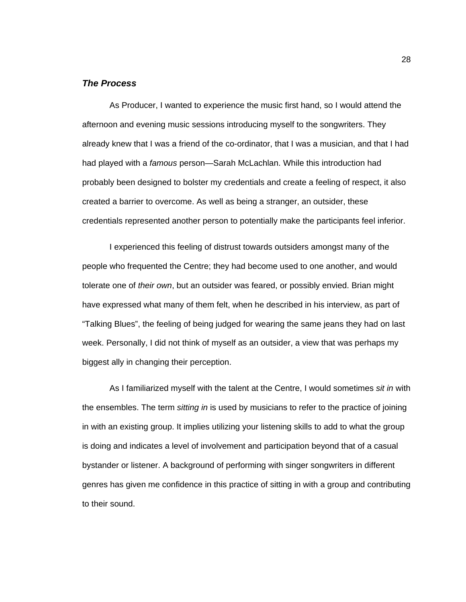#### *The Process*

As Producer, I wanted to experience the music first hand, so I would attend the afternoon and evening music sessions introducing myself to the songwriters. They already knew that I was a friend of the co-ordinator, that I was a musician, and that I had had played with a *famous* person—Sarah McLachlan. While this introduction had probably been designed to bolster my credentials and create a feeling of respect, it also created a barrier to overcome. As well as being a stranger, an outsider, these credentials represented another person to potentially make the participants feel inferior.

I experienced this feeling of distrust towards outsiders amongst many of the people who frequented the Centre; they had become used to one another, and would tolerate one of *their own*, but an outsider was feared, or possibly envied. Brian might have expressed what many of them felt, when he described in his interview, as part of "Talking Blues", the feeling of being judged for wearing the same jeans they had on last week. Personally, I did not think of myself as an outsider, a view that was perhaps my biggest ally in changing their perception.

As I familiarized myself with the talent at the Centre, I would sometimes *sit in* with the ensembles. The term *sitting in* is used by musicians to refer to the practice of joining in with an existing group. It implies utilizing your listening skills to add to what the group is doing and indicates a level of involvement and participation beyond that of a casual bystander or listener. A background of performing with singer songwriters in different genres has given me confidence in this practice of sitting in with a group and contributing to their sound.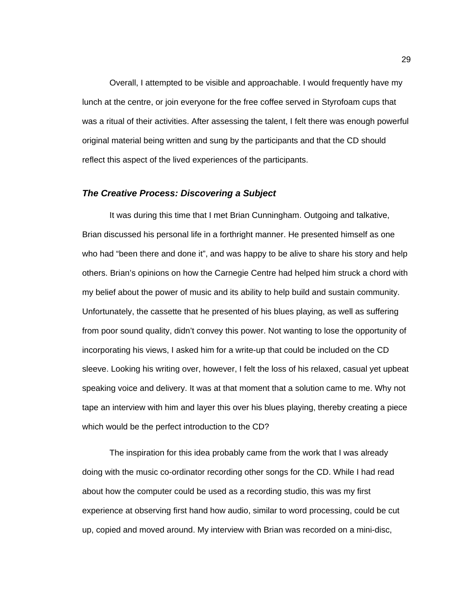Overall, I attempted to be visible and approachable. I would frequently have my lunch at the centre, or join everyone for the free coffee served in Styrofoam cups that was a ritual of their activities. After assessing the talent, I felt there was enough powerful original material being written and sung by the participants and that the CD should reflect this aspect of the lived experiences of the participants.

#### *The Creative Process: Discovering a Subject*

It was during this time that I met Brian Cunningham. Outgoing and talkative, Brian discussed his personal life in a forthright manner. He presented himself as one who had "been there and done it", and was happy to be alive to share his story and help others. Brian's opinions on how the Carnegie Centre had helped him struck a chord with my belief about the power of music and its ability to help build and sustain community. Unfortunately, the cassette that he presented of his blues playing, as well as suffering from poor sound quality, didn't convey this power. Not wanting to lose the opportunity of incorporating his views, I asked him for a write-up that could be included on the CD sleeve. Looking his writing over, however, I felt the loss of his relaxed, casual yet upbeat speaking voice and delivery. It was at that moment that a solution came to me. Why not tape an interview with him and layer this over his blues playing, thereby creating a piece which would be the perfect introduction to the CD?

The inspiration for this idea probably came from the work that I was already doing with the music co-ordinator recording other songs for the CD. While I had read about how the computer could be used as a recording studio, this was my first experience at observing first hand how audio, similar to word processing, could be cut up, copied and moved around. My interview with Brian was recorded on a mini-disc,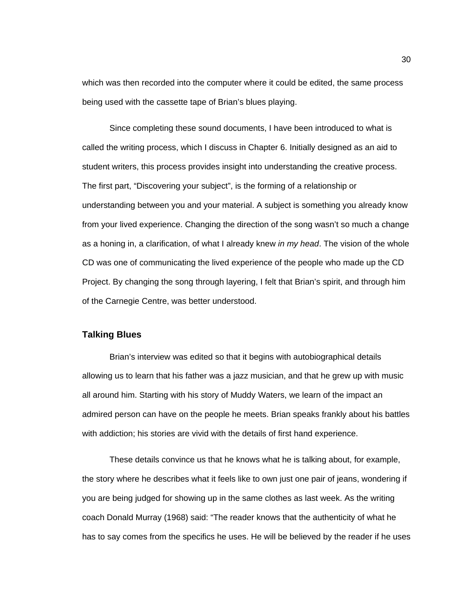which was then recorded into the computer where it could be edited, the same process being used with the cassette tape of Brian's blues playing.

Since completing these sound documents, I have been introduced to what is called the writing process, which I discuss in Chapter 6. Initially designed as an aid to student writers, this process provides insight into understanding the creative process. The first part, "Discovering your subject", is the forming of a relationship or understanding between you and your material. A subject is something you already know from your lived experience. Changing the direction of the song wasn't so much a change as a honing in, a clarification, of what I already knew *in my head*. The vision of the whole CD was one of communicating the lived experience of the people who made up the CD Project. By changing the song through layering, I felt that Brian's spirit, and through him of the Carnegie Centre, was better understood.

#### **Talking Blues**

Brian's interview was edited so that it begins with autobiographical details allowing us to learn that his father was a jazz musician, and that he grew up with music all around him. Starting with his story of Muddy Waters, we learn of the impact an admired person can have on the people he meets. Brian speaks frankly about his battles with addiction; his stories are vivid with the details of first hand experience.

These details convince us that he knows what he is talking about, for example, the story where he describes what it feels like to own just one pair of jeans, wondering if you are being judged for showing up in the same clothes as last week. As the writing coach Donald Murray (1968) said: "The reader knows that the authenticity of what he has to say comes from the specifics he uses. He will be believed by the reader if he uses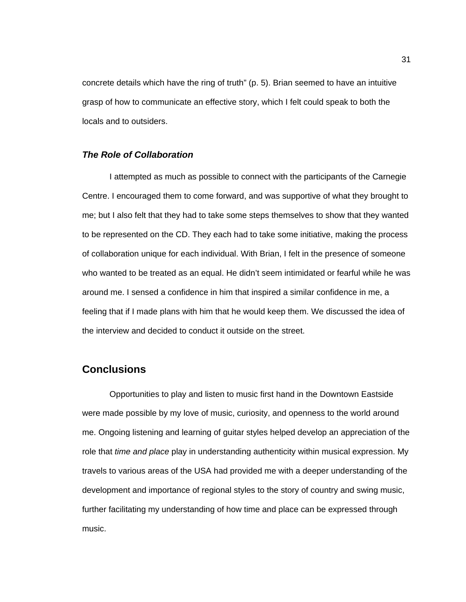concrete details which have the ring of truth" (p. 5). Brian seemed to have an intuitive grasp of how to communicate an effective story, which I felt could speak to both the locals and to outsiders.

#### *The Role of Collaboration*

I attempted as much as possible to connect with the participants of the Carnegie Centre. I encouraged them to come forward, and was supportive of what they brought to me; but I also felt that they had to take some steps themselves to show that they wanted to be represented on the CD. They each had to take some initiative, making the process of collaboration unique for each individual. With Brian, I felt in the presence of someone who wanted to be treated as an equal. He didn't seem intimidated or fearful while he was around me. I sensed a confidence in him that inspired a similar confidence in me, a feeling that if I made plans with him that he would keep them. We discussed the idea of the interview and decided to conduct it outside on the street.

### **Conclusions**

Opportunities to play and listen to music first hand in the Downtown Eastside were made possible by my love of music, curiosity, and openness to the world around me. Ongoing listening and learning of guitar styles helped develop an appreciation of the role that *time and place* play in understanding authenticity within musical expression. My travels to various areas of the USA had provided me with a deeper understanding of the development and importance of regional styles to the story of country and swing music, further facilitating my understanding of how time and place can be expressed through music.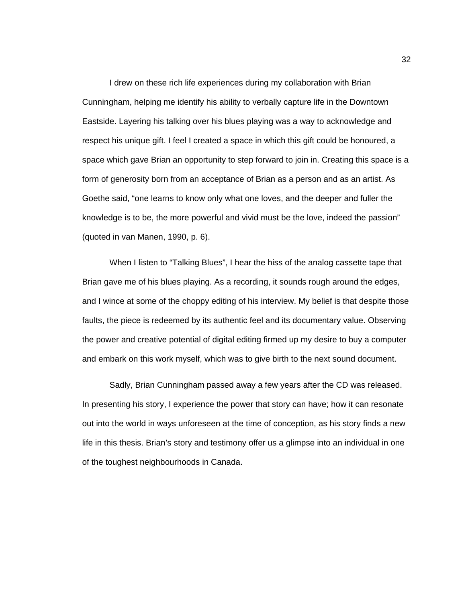I drew on these rich life experiences during my collaboration with Brian Cunningham, helping me identify his ability to verbally capture life in the Downtown Eastside. Layering his talking over his blues playing was a way to acknowledge and respect his unique gift. I feel I created a space in which this gift could be honoured, a space which gave Brian an opportunity to step forward to join in. Creating this space is a form of generosity born from an acceptance of Brian as a person and as an artist. As Goethe said, "one learns to know only what one loves, and the deeper and fuller the knowledge is to be, the more powerful and vivid must be the love, indeed the passion" (quoted in van Manen, 1990, p. 6).

When I listen to "Talking Blues", I hear the hiss of the analog cassette tape that Brian gave me of his blues playing. As a recording, it sounds rough around the edges, and I wince at some of the choppy editing of his interview. My belief is that despite those faults, the piece is redeemed by its authentic feel and its documentary value. Observing the power and creative potential of digital editing firmed up my desire to buy a computer and embark on this work myself, which was to give birth to the next sound document.

Sadly, Brian Cunningham passed away a few years after the CD was released. In presenting his story, I experience the power that story can have; how it can resonate out into the world in ways unforeseen at the time of conception, as his story finds a new life in this thesis. Brian's story and testimony offer us a glimpse into an individual in one of the toughest neighbourhoods in Canada.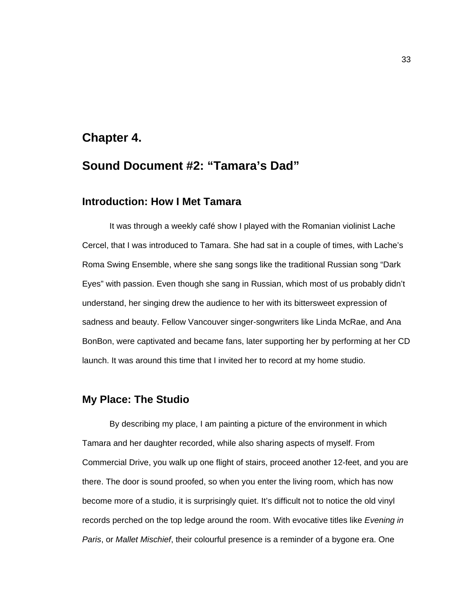### **Chapter 4.**

## **Sound Document #2: "Tamara's Dad"**

### **Introduction: How I Met Tamara**

It was through a weekly café show I played with the Romanian violinist Lache Cercel, that I was introduced to Tamara. She had sat in a couple of times, with Lache's Roma Swing Ensemble, where she sang songs like the traditional Russian song "Dark Eyes" with passion. Even though she sang in Russian, which most of us probably didn't understand, her singing drew the audience to her with its bittersweet expression of sadness and beauty. Fellow Vancouver singer-songwriters like Linda McRae, and Ana BonBon, were captivated and became fans, later supporting her by performing at her CD launch. It was around this time that I invited her to record at my home studio.

## **My Place: The Studio**

By describing my place, I am painting a picture of the environment in which Tamara and her daughter recorded, while also sharing aspects of myself. From Commercial Drive, you walk up one flight of stairs, proceed another 12-feet, and you are there. The door is sound proofed, so when you enter the living room, which has now become more of a studio, it is surprisingly quiet. It's difficult not to notice the old vinyl records perched on the top ledge around the room. With evocative titles like *Evening in Paris*, or *Mallet Mischief*, their colourful presence is a reminder of a bygone era. One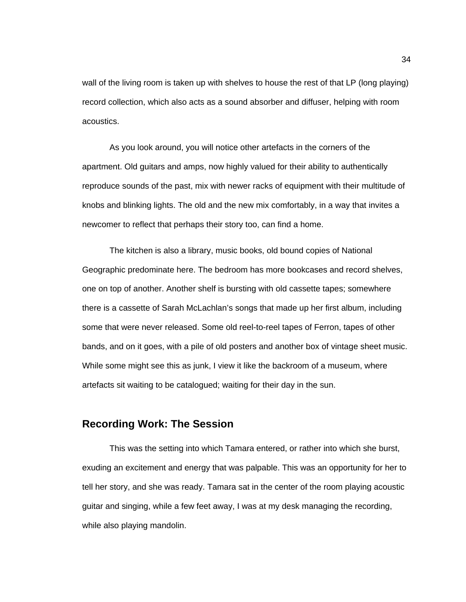wall of the living room is taken up with shelves to house the rest of that LP (long playing) record collection, which also acts as a sound absorber and diffuser, helping with room acoustics.

As you look around, you will notice other artefacts in the corners of the apartment. Old guitars and amps, now highly valued for their ability to authentically reproduce sounds of the past, mix with newer racks of equipment with their multitude of knobs and blinking lights. The old and the new mix comfortably, in a way that invites a newcomer to reflect that perhaps their story too, can find a home.

The kitchen is also a library, music books, old bound copies of National Geographic predominate here. The bedroom has more bookcases and record shelves, one on top of another. Another shelf is bursting with old cassette tapes; somewhere there is a cassette of Sarah McLachlan's songs that made up her first album, including some that were never released. Some old reel-to-reel tapes of Ferron, tapes of other bands, and on it goes, with a pile of old posters and another box of vintage sheet music. While some might see this as junk, I view it like the backroom of a museum, where artefacts sit waiting to be catalogued; waiting for their day in the sun.

### **Recording Work: The Session**

This was the setting into which Tamara entered, or rather into which she burst, exuding an excitement and energy that was palpable. This was an opportunity for her to tell her story, and she was ready. Tamara sat in the center of the room playing acoustic guitar and singing, while a few feet away, I was at my desk managing the recording, while also playing mandolin.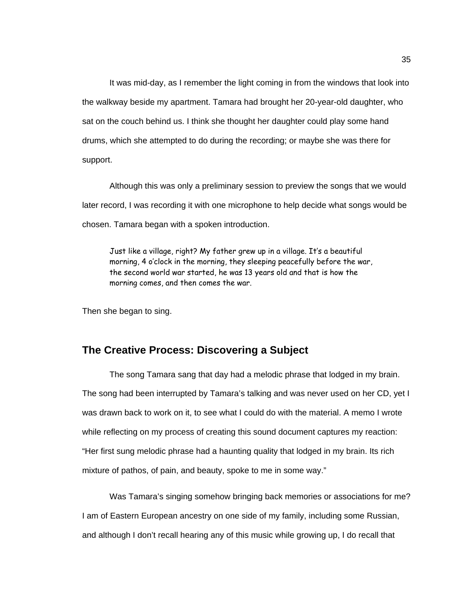It was mid-day, as I remember the light coming in from the windows that look into the walkway beside my apartment. Tamara had brought her 20-year-old daughter, who sat on the couch behind us. I think she thought her daughter could play some hand drums, which she attempted to do during the recording; or maybe she was there for support.

Although this was only a preliminary session to preview the songs that we would later record, I was recording it with one microphone to help decide what songs would be chosen. Tamara began with a spoken introduction.

Just like a village, right? My father grew up in a village. It's a beautiful morning, 4 o'clock in the morning, they sleeping peacefully before the war, the second world war started, he was 13 years old and that is how the morning comes, and then comes the war.

Then she began to sing.

### **The Creative Process: Discovering a Subject**

The song Tamara sang that day had a melodic phrase that lodged in my brain. The song had been interrupted by Tamara's talking and was never used on her CD, yet I was drawn back to work on it, to see what I could do with the material. A memo I wrote while reflecting on my process of creating this sound document captures my reaction: "Her first sung melodic phrase had a haunting quality that lodged in my brain. Its rich mixture of pathos, of pain, and beauty, spoke to me in some way."

Was Tamara's singing somehow bringing back memories or associations for me? I am of Eastern European ancestry on one side of my family, including some Russian, and although I don't recall hearing any of this music while growing up, I do recall that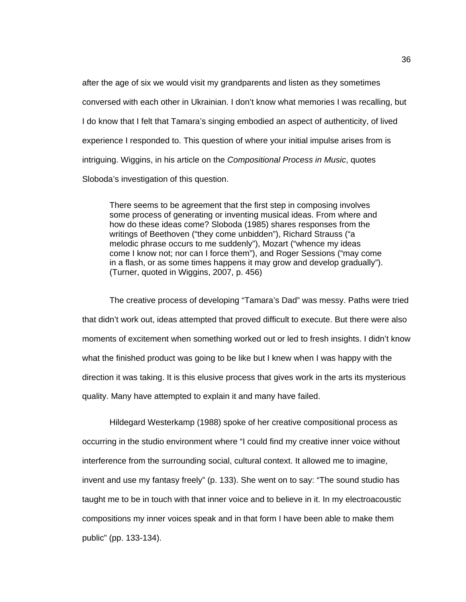after the age of six we would visit my grandparents and listen as they sometimes conversed with each other in Ukrainian. I don't know what memories I was recalling, but I do know that I felt that Tamara's singing embodied an aspect of authenticity, of lived experience I responded to. This question of where your initial impulse arises from is intriguing. Wiggins, in his article on the *Compositional Process in Music*, quotes Sloboda's investigation of this question.

There seems to be agreement that the first step in composing involves some process of generating or inventing musical ideas. From where and how do these ideas come? Sloboda (1985) shares responses from the writings of Beethoven ("they come unbidden"), Richard Strauss ("a melodic phrase occurs to me suddenly"), Mozart ("whence my ideas come I know not; nor can I force them"), and Roger Sessions ("may come in a flash, or as some times happens it may grow and develop gradually"). (Turner, quoted in Wiggins, 2007, p. 456)

The creative process of developing "Tamara's Dad" was messy. Paths were tried that didn't work out, ideas attempted that proved difficult to execute. But there were also moments of excitement when something worked out or led to fresh insights. I didn't know what the finished product was going to be like but I knew when I was happy with the direction it was taking. It is this elusive process that gives work in the arts its mysterious quality. Many have attempted to explain it and many have failed.

Hildegard Westerkamp (1988) spoke of her creative compositional process as occurring in the studio environment where "I could find my creative inner voice without interference from the surrounding social, cultural context. It allowed me to imagine, invent and use my fantasy freely" (p. 133). She went on to say: "The sound studio has taught me to be in touch with that inner voice and to believe in it. In my electroacoustic compositions my inner voices speak and in that form I have been able to make them public" (pp. 133-134).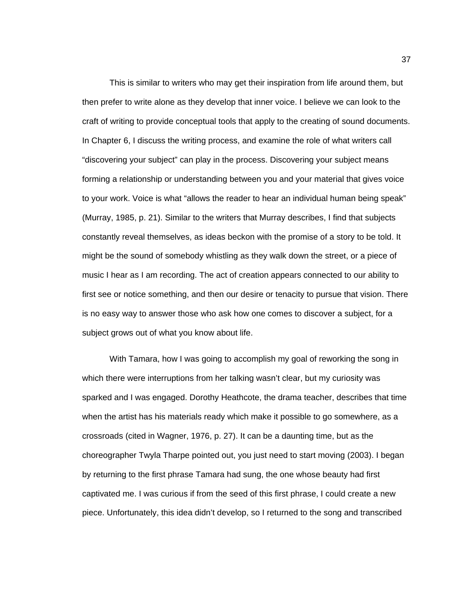This is similar to writers who may get their inspiration from life around them, but then prefer to write alone as they develop that inner voice. I believe we can look to the craft of writing to provide conceptual tools that apply to the creating of sound documents. In Chapter 6, I discuss the writing process, and examine the role of what writers call "discovering your subject" can play in the process. Discovering your subject means forming a relationship or understanding between you and your material that gives voice to your work. Voice is what "allows the reader to hear an individual human being speak" (Murray, 1985, p. 21). Similar to the writers that Murray describes, I find that subjects constantly reveal themselves, as ideas beckon with the promise of a story to be told. It might be the sound of somebody whistling as they walk down the street, or a piece of music I hear as I am recording. The act of creation appears connected to our ability to first see or notice something, and then our desire or tenacity to pursue that vision. There is no easy way to answer those who ask how one comes to discover a subject, for a subject grows out of what you know about life.

With Tamara, how I was going to accomplish my goal of reworking the song in which there were interruptions from her talking wasn't clear, but my curiosity was sparked and I was engaged. Dorothy Heathcote, the drama teacher, describes that time when the artist has his materials ready which make it possible to go somewhere, as a crossroads (cited in Wagner, 1976, p. 27). It can be a daunting time, but as the choreographer Twyla Tharpe pointed out, you just need to start moving (2003). I began by returning to the first phrase Tamara had sung, the one whose beauty had first captivated me. I was curious if from the seed of this first phrase, I could create a new piece. Unfortunately, this idea didn't develop, so I returned to the song and transcribed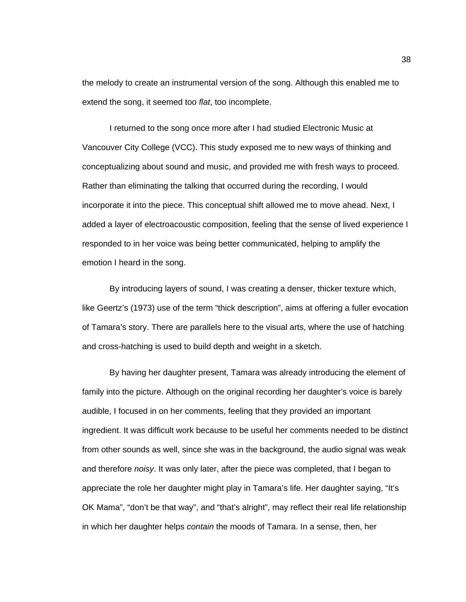the melody to create an instrumental version of the song. Although this enabled me to extend the song, it seemed too *flat*, too incomplete.

I returned to the song once more after I had studied Electronic Music at Vancouver City College (VCC). This study exposed me to new ways of thinking and conceptualizing about sound and music, and provided me with fresh ways to proceed. Rather than eliminating the talking that occurred during the recording, I would incorporate it into the piece. This conceptual shift allowed me to move ahead. Next, I added a layer of electroacoustic composition, feeling that the sense of lived experience I responded to in her voice was being better communicated, helping to amplify the emotion I heard in the song.

By introducing layers of sound, I was creating a denser, thicker texture which, like Geertz's (1973) use of the term "thick description", aims at offering a fuller evocation of Tamara's story. There are parallels here to the visual arts, where the use of hatching and cross-hatching is used to build depth and weight in a sketch.

By having her daughter present, Tamara was already introducing the element of family into the picture. Although on the original recording her daughter's voice is barely audible, I focused in on her comments, feeling that they provided an important ingredient. It was difficult work because to be useful her comments needed to be distinct from other sounds as well, since she was in the background, the audio signal was weak and therefore *noisy*. It was only later, after the piece was completed, that I began to appreciate the role her daughter might play in Tamara's life. Her daughter saying, "It's OK Mama", "don't be that way", and "that's alright", may reflect their real life relationship in which her daughter helps *contain* the moods of Tamara. In a sense, then, her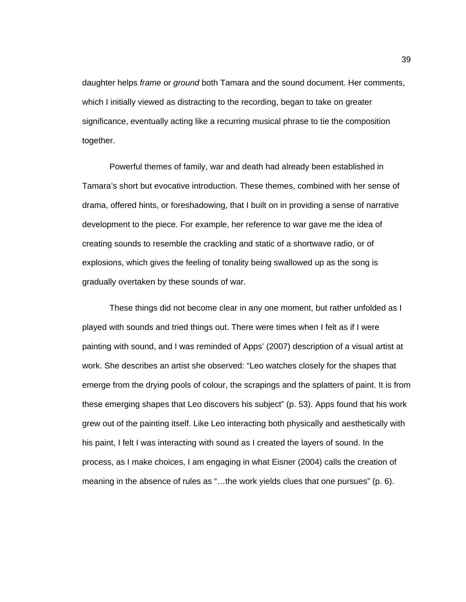daughter helps *frame* or *ground* both Tamara and the sound document. Her comments, which I initially viewed as distracting to the recording, began to take on greater significance, eventually acting like a recurring musical phrase to tie the composition together.

Powerful themes of family, war and death had already been established in Tamara's short but evocative introduction. These themes, combined with her sense of drama, offered hints, or foreshadowing, that I built on in providing a sense of narrative development to the piece. For example, her reference to war gave me the idea of creating sounds to resemble the crackling and static of a shortwave radio, or of explosions, which gives the feeling of tonality being swallowed up as the song is gradually overtaken by these sounds of war.

These things did not become clear in any one moment, but rather unfolded as I played with sounds and tried things out. There were times when I felt as if I were painting with sound, and I was reminded of Apps' (2007) description of a visual artist at work. She describes an artist she observed: "Leo watches closely for the shapes that emerge from the drying pools of colour, the scrapings and the splatters of paint. It is from these emerging shapes that Leo discovers his subject" (p. 53). Apps found that his work grew out of the painting itself. Like Leo interacting both physically and aesthetically with his paint, I felt I was interacting with sound as I created the layers of sound. In the process, as I make choices, I am engaging in what Eisner (2004) calls the creation of meaning in the absence of rules as "…the work yields clues that one pursues" (p. 6).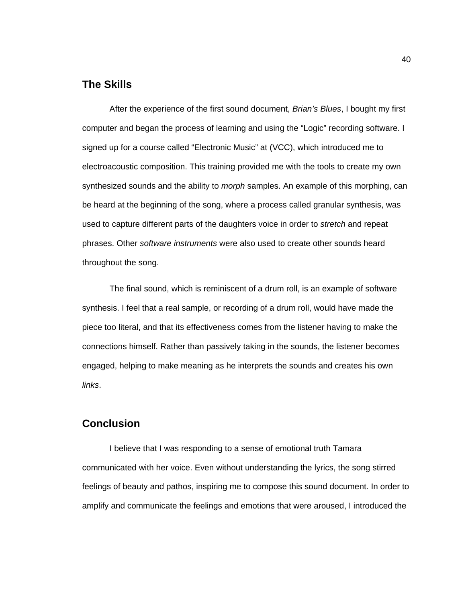### **The Skills**

After the experience of the first sound document, *Brian's Blues*, I bought my first computer and began the process of learning and using the "Logic" recording software. I signed up for a course called "Electronic Music" at (VCC), which introduced me to electroacoustic composition. This training provided me with the tools to create my own synthesized sounds and the ability to *morph* samples. An example of this morphing, can be heard at the beginning of the song, where a process called granular synthesis, was used to capture different parts of the daughters voice in order to *stretch* and repeat phrases. Other *software instruments* were also used to create other sounds heard throughout the song.

The final sound, which is reminiscent of a drum roll, is an example of software synthesis. I feel that a real sample, or recording of a drum roll, would have made the piece too literal, and that its effectiveness comes from the listener having to make the connections himself. Rather than passively taking in the sounds, the listener becomes engaged, helping to make meaning as he interprets the sounds and creates his own *links*.

## **Conclusion**

I believe that I was responding to a sense of emotional truth Tamara communicated with her voice. Even without understanding the lyrics, the song stirred feelings of beauty and pathos, inspiring me to compose this sound document. In order to amplify and communicate the feelings and emotions that were aroused, I introduced the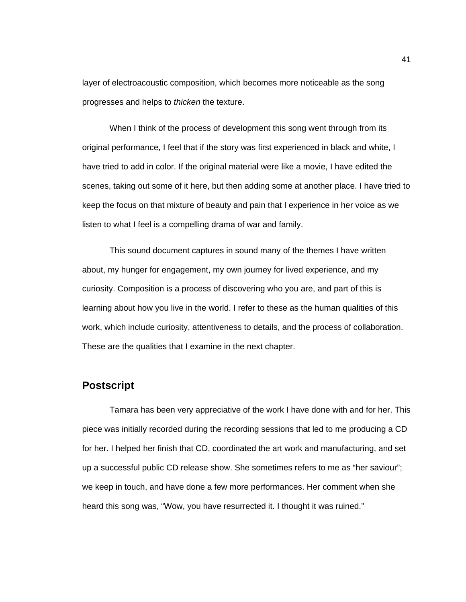layer of electroacoustic composition, which becomes more noticeable as the song progresses and helps to *thicken* the texture.

When I think of the process of development this song went through from its original performance, I feel that if the story was first experienced in black and white, I have tried to add in color. If the original material were like a movie, I have edited the scenes, taking out some of it here, but then adding some at another place. I have tried to keep the focus on that mixture of beauty and pain that I experience in her voice as we listen to what I feel is a compelling drama of war and family.

This sound document captures in sound many of the themes I have written about, my hunger for engagement, my own journey for lived experience, and my curiosity. Composition is a process of discovering who you are, and part of this is learning about how you live in the world. I refer to these as the human qualities of this work, which include curiosity, attentiveness to details, and the process of collaboration. These are the qualities that I examine in the next chapter.

### **Postscript**

Tamara has been very appreciative of the work I have done with and for her. This piece was initially recorded during the recording sessions that led to me producing a CD for her. I helped her finish that CD, coordinated the art work and manufacturing, and set up a successful public CD release show. She sometimes refers to me as "her saviour"; we keep in touch, and have done a few more performances. Her comment when she heard this song was, "Wow, you have resurrected it. I thought it was ruined."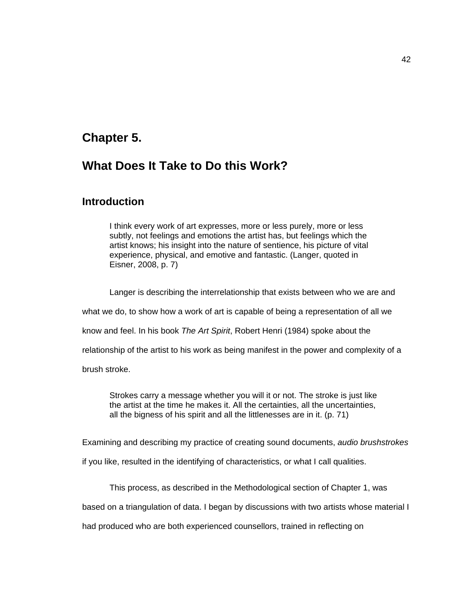## **Chapter 5.**

# **What Does It Take to Do this Work?**

### **Introduction**

I think every work of art expresses, more or less purely, more or less subtly, not feelings and emotions the artist has, but feelings which the artist knows; his insight into the nature of sentience, his picture of vital experience, physical, and emotive and fantastic. (Langer, quoted in Eisner, 2008, p. 7)

Langer is describing the interrelationship that exists between who we are and

what we do, to show how a work of art is capable of being a representation of all we

know and feel. In his book *The Art Spirit*, Robert Henri (1984) spoke about the

relationship of the artist to his work as being manifest in the power and complexity of a

brush stroke.

Strokes carry a message whether you will it or not. The stroke is just like the artist at the time he makes it. All the certainties, all the uncertainties, all the bigness of his spirit and all the littlenesses are in it. (p. 71)

Examining and describing my practice of creating sound documents, *audio brushstrokes*

if you like, resulted in the identifying of characteristics, or what I call qualities.

This process, as described in the Methodological section of Chapter 1, was

based on a triangulation of data. I began by discussions with two artists whose material I

had produced who are both experienced counsellors, trained in reflecting on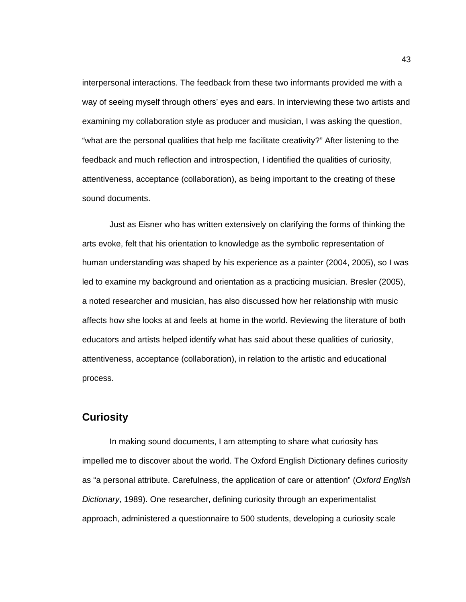interpersonal interactions. The feedback from these two informants provided me with a way of seeing myself through others' eyes and ears. In interviewing these two artists and examining my collaboration style as producer and musician, I was asking the question, "what are the personal qualities that help me facilitate creativity?" After listening to the feedback and much reflection and introspection, I identified the qualities of curiosity, attentiveness, acceptance (collaboration), as being important to the creating of these sound documents.

Just as Eisner who has written extensively on clarifying the forms of thinking the arts evoke, felt that his orientation to knowledge as the symbolic representation of human understanding was shaped by his experience as a painter (2004, 2005), so I was led to examine my background and orientation as a practicing musician. Bresler (2005), a noted researcher and musician, has also discussed how her relationship with music affects how she looks at and feels at home in the world. Reviewing the literature of both educators and artists helped identify what has said about these qualities of curiosity, attentiveness, acceptance (collaboration), in relation to the artistic and educational process.

### **Curiosity**

In making sound documents, I am attempting to share what curiosity has impelled me to discover about the world. The Oxford English Dictionary defines curiosity as "a personal attribute. Carefulness, the application of care or attention" (*Oxford English Dictionary*, 1989). One researcher, defining curiosity through an experimentalist approach, administered a questionnaire to 500 students, developing a curiosity scale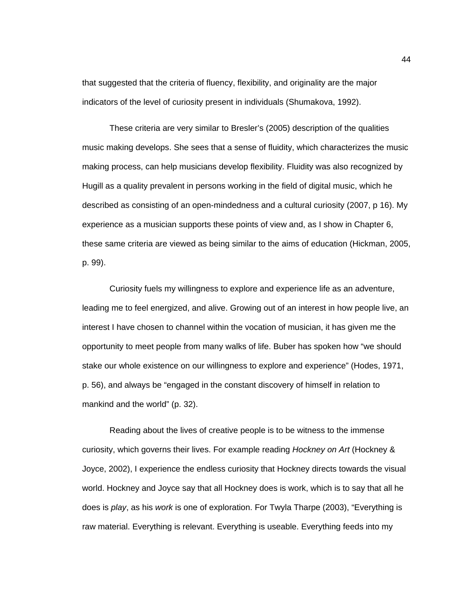that suggested that the criteria of fluency, flexibility, and originality are the major indicators of the level of curiosity present in individuals (Shumakova, 1992).

These criteria are very similar to Bresler's (2005) description of the qualities music making develops. She sees that a sense of fluidity, which characterizes the music making process, can help musicians develop flexibility. Fluidity was also recognized by Hugill as a quality prevalent in persons working in the field of digital music, which he described as consisting of an open-mindedness and a cultural curiosity (2007, p 16). My experience as a musician supports these points of view and, as I show in Chapter 6, these same criteria are viewed as being similar to the aims of education (Hickman, 2005, p. 99).

Curiosity fuels my willingness to explore and experience life as an adventure, leading me to feel energized, and alive. Growing out of an interest in how people live, an interest I have chosen to channel within the vocation of musician, it has given me the opportunity to meet people from many walks of life. Buber has spoken how "we should stake our whole existence on our willingness to explore and experience" (Hodes, 1971, p. 56), and always be "engaged in the constant discovery of himself in relation to mankind and the world" (p. 32).

Reading about the lives of creative people is to be witness to the immense curiosity, which governs their lives. For example reading *Hockney on Art* (Hockney & Joyce, 2002), I experience the endless curiosity that Hockney directs towards the visual world. Hockney and Joyce say that all Hockney does is work, which is to say that all he does is *play*, as his *work* is one of exploration. For Twyla Tharpe (2003), "Everything is raw material. Everything is relevant. Everything is useable. Everything feeds into my

44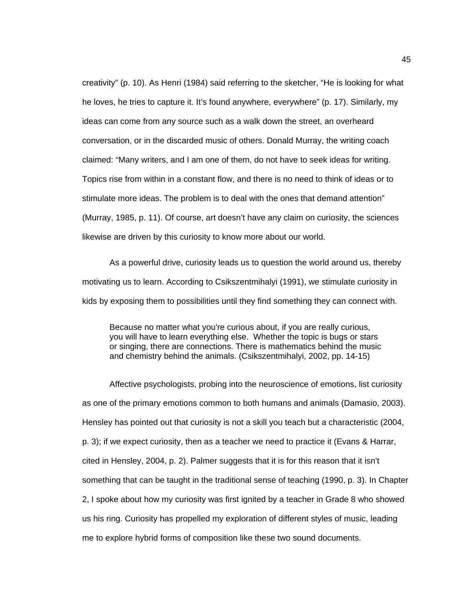creativity" (p. 10). As Henri (1984) said referring to the sketcher, "He is looking for what he loves, he tries to capture it. It's found anywhere, everywhere" (p. 17). Similarly, my ideas can come from any source such as a walk down the street, an overheard conversation, or in the discarded music of others. Donald Murray, the writing coach claimed: "Many writers, and I am one of them, do not have to seek ideas for writing. Topics rise from within in a constant flow, and there is no need to think of ideas or to stimulate more ideas. The problem is to deal with the ones that demand attention" (Murray, 1985, p. 11). Of course, art doesn't have any claim on curiosity, the sciences likewise are driven by this curiosity to know more about our world.

As a powerful drive, curiosity leads us to question the world around us, thereby motivating us to learn. According to Csikszentmihalyi (1991), we stimulate curiosity in kids by exposing them to possibilities until they find something they can connect with.

Because no matter what you're curious about, if you are really curious, you will have to learn everything else. Whether the topic is bugs or stars or singing, there are connections. There is mathematics behind the music and chemistry behind the animals. (Csikszentmihalyi, 2002, pp. 14-15)

Affective psychologists, probing into the neuroscience of emotions, list curiosity as one of the primary emotions common to both humans and animals (Damasio, 2003). Hensley has pointed out that curiosity is not a skill you teach but a characteristic (2004, p. 3); if we expect curiosity, then as a teacher we need to practice it (Evans & Harrar, cited in Hensley, 2004, p. 2). Palmer suggests that it is for this reason that it isn't something that can be taught in the traditional sense of teaching (1990, p. 3). In Chapter 2, I spoke about how my curiosity was first ignited by a teacher in Grade 8 who showed us his ring. Curiosity has propelled my exploration of different styles of music, leading me to explore hybrid forms of composition like these two sound documents.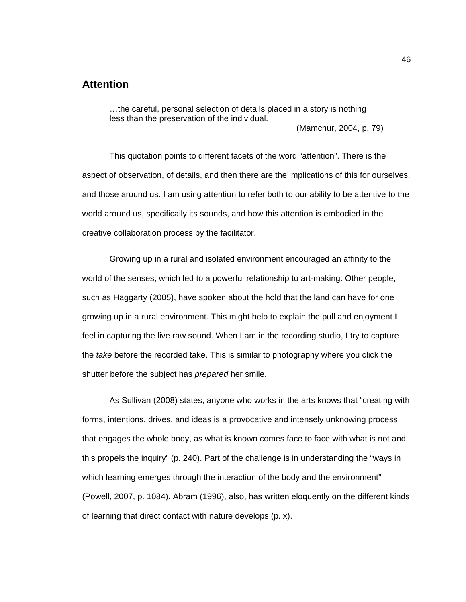### **Attention**

…the careful, personal selection of details placed in a story is nothing less than the preservation of the individual.

(Mamchur, 2004, p. 79)

This quotation points to different facets of the word "attention". There is the aspect of observation, of details, and then there are the implications of this for ourselves, and those around us. I am using attention to refer both to our ability to be attentive to the world around us, specifically its sounds, and how this attention is embodied in the creative collaboration process by the facilitator.

Growing up in a rural and isolated environment encouraged an affinity to the world of the senses, which led to a powerful relationship to art-making. Other people, such as Haggarty (2005), have spoken about the hold that the land can have for one growing up in a rural environment. This might help to explain the pull and enjoyment I feel in capturing the live raw sound. When I am in the recording studio, I try to capture the *take* before the recorded take. This is similar to photography where you click the shutter before the subject has *prepared* her smile.

As Sullivan (2008) states, anyone who works in the arts knows that "creating with forms, intentions, drives, and ideas is a provocative and intensely unknowing process that engages the whole body, as what is known comes face to face with what is not and this propels the inquiry" (p. 240). Part of the challenge is in understanding the "ways in which learning emerges through the interaction of the body and the environment" (Powell, 2007, p. 1084). Abram (1996), also, has written eloquently on the different kinds of learning that direct contact with nature develops (p. x).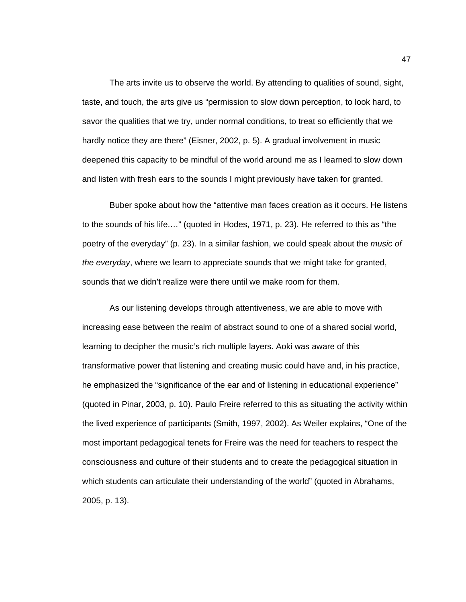The arts invite us to observe the world. By attending to qualities of sound, sight, taste, and touch, the arts give us "permission to slow down perception, to look hard, to savor the qualities that we try, under normal conditions, to treat so efficiently that we hardly notice they are there" (Eisner, 2002, p. 5). A gradual involvement in music deepened this capacity to be mindful of the world around me as I learned to slow down and listen with fresh ears to the sounds I might previously have taken for granted.

Buber spoke about how the "attentive man faces creation as it occurs. He listens to the sounds of his life.…" (quoted in Hodes, 1971, p. 23). He referred to this as "the poetry of the everyday" (p. 23). In a similar fashion, we could speak about the *music of the everyday*, where we learn to appreciate sounds that we might take for granted, sounds that we didn't realize were there until we make room for them.

As our listening develops through attentiveness, we are able to move with increasing ease between the realm of abstract sound to one of a shared social world, learning to decipher the music's rich multiple layers. Aoki was aware of this transformative power that listening and creating music could have and, in his practice, he emphasized the "significance of the ear and of listening in educational experience" (quoted in Pinar, 2003, p. 10). Paulo Freire referred to this as situating the activity within the lived experience of participants (Smith, 1997, 2002). As Weiler explains, "One of the most important pedagogical tenets for Freire was the need for teachers to respect the consciousness and culture of their students and to create the pedagogical situation in which students can articulate their understanding of the world" (quoted in Abrahams, 2005, p. 13).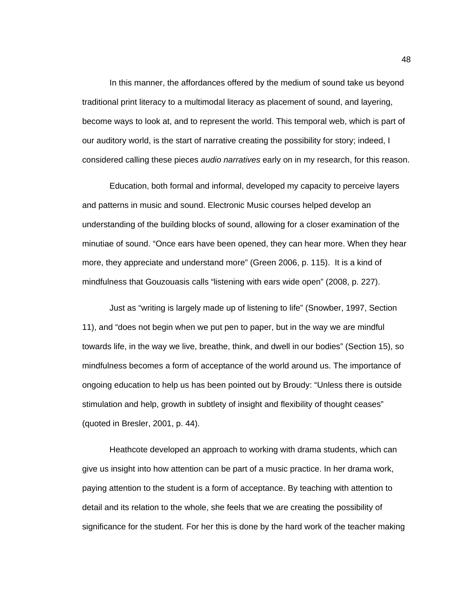In this manner, the affordances offered by the medium of sound take us beyond traditional print literacy to a multimodal literacy as placement of sound, and layering, become ways to look at, and to represent the world. This temporal web, which is part of our auditory world, is the start of narrative creating the possibility for story; indeed, I considered calling these pieces *audio narratives* early on in my research, for this reason.

Education, both formal and informal, developed my capacity to perceive layers and patterns in music and sound. Electronic Music courses helped develop an understanding of the building blocks of sound, allowing for a closer examination of the minutiae of sound. "Once ears have been opened, they can hear more. When they hear more, they appreciate and understand more" (Green 2006, p. 115). It is a kind of mindfulness that Gouzouasis calls "listening with ears wide open" (2008, p. 227).

Just as "writing is largely made up of listening to life" (Snowber, 1997, Section 11), and "does not begin when we put pen to paper, but in the way we are mindful towards life, in the way we live, breathe, think, and dwell in our bodies" (Section 15), so mindfulness becomes a form of acceptance of the world around us. The importance of ongoing education to help us has been pointed out by Broudy: "Unless there is outside stimulation and help, growth in subtlety of insight and flexibility of thought ceases" (quoted in Bresler, 2001, p. 44).

Heathcote developed an approach to working with drama students, which can give us insight into how attention can be part of a music practice. In her drama work, paying attention to the student is a form of acceptance. By teaching with attention to detail and its relation to the whole, she feels that we are creating the possibility of significance for the student. For her this is done by the hard work of the teacher making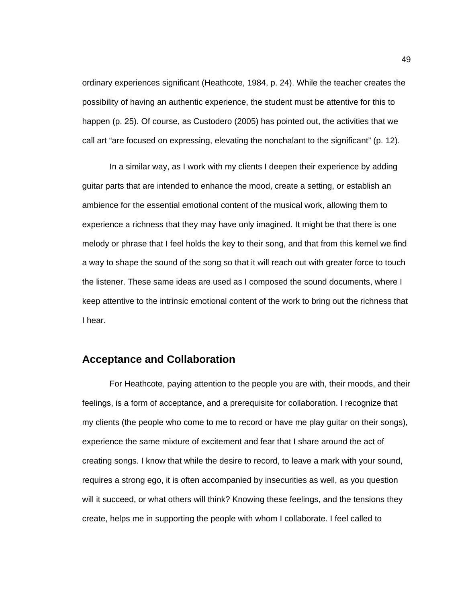ordinary experiences significant (Heathcote, 1984, p. 24). While the teacher creates the possibility of having an authentic experience, the student must be attentive for this to happen (p. 25). Of course, as Custodero (2005) has pointed out, the activities that we call art "are focused on expressing, elevating the nonchalant to the significant" (p. 12).

In a similar way, as I work with my clients I deepen their experience by adding guitar parts that are intended to enhance the mood, create a setting, or establish an ambience for the essential emotional content of the musical work, allowing them to experience a richness that they may have only imagined. It might be that there is one melody or phrase that I feel holds the key to their song, and that from this kernel we find a way to shape the sound of the song so that it will reach out with greater force to touch the listener. These same ideas are used as I composed the sound documents, where I keep attentive to the intrinsic emotional content of the work to bring out the richness that I hear.

### **Acceptance and Collaboration**

For Heathcote, paying attention to the people you are with, their moods, and their feelings, is a form of acceptance, and a prerequisite for collaboration. I recognize that my clients (the people who come to me to record or have me play guitar on their songs), experience the same mixture of excitement and fear that I share around the act of creating songs. I know that while the desire to record, to leave a mark with your sound, requires a strong ego, it is often accompanied by insecurities as well, as you question will it succeed, or what others will think? Knowing these feelings, and the tensions they create, helps me in supporting the people with whom I collaborate. I feel called to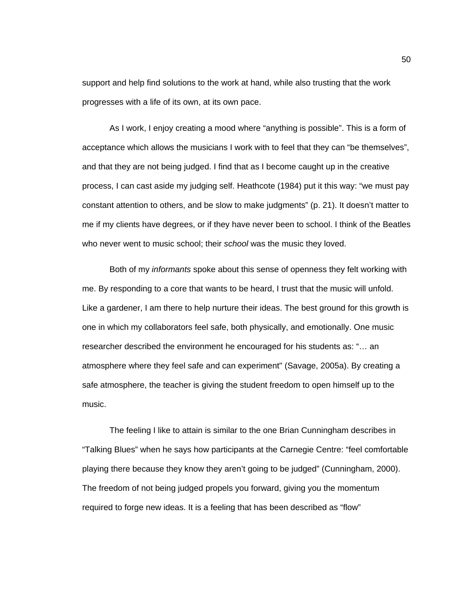support and help find solutions to the work at hand, while also trusting that the work progresses with a life of its own, at its own pace.

As I work, I enjoy creating a mood where "anything is possible". This is a form of acceptance which allows the musicians I work with to feel that they can "be themselves", and that they are not being judged. I find that as I become caught up in the creative process, I can cast aside my judging self. Heathcote (1984) put it this way: "we must pay constant attention to others, and be slow to make judgments" (p. 21). It doesn't matter to me if my clients have degrees, or if they have never been to school. I think of the Beatles who never went to music school; their *school* was the music they loved.

Both of my *informants* spoke about this sense of openness they felt working with me. By responding to a core that wants to be heard, I trust that the music will unfold. Like a gardener, I am there to help nurture their ideas. The best ground for this growth is one in which my collaborators feel safe, both physically, and emotionally. One music researcher described the environment he encouraged for his students as: "… an atmosphere where they feel safe and can experiment" (Savage, 2005a). By creating a safe atmosphere, the teacher is giving the student freedom to open himself up to the music.

The feeling I like to attain is similar to the one Brian Cunningham describes in "Talking Blues" when he says how participants at the Carnegie Centre: "feel comfortable playing there because they know they aren't going to be judged" (Cunningham, 2000). The freedom of not being judged propels you forward, giving you the momentum required to forge new ideas. It is a feeling that has been described as "flow"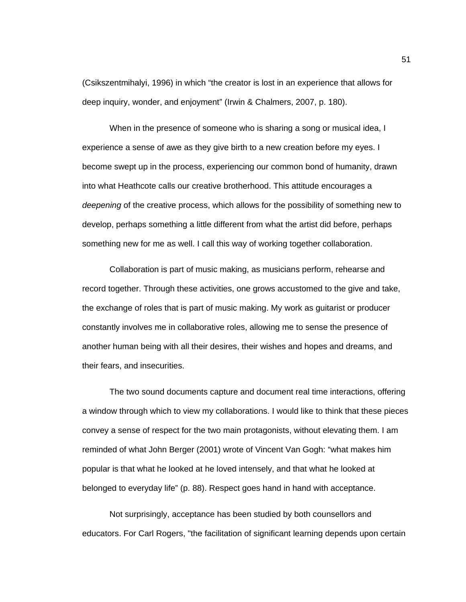(Csikszentmihalyi, 1996) in which "the creator is lost in an experience that allows for deep inquiry, wonder, and enjoyment" (Irwin & Chalmers, 2007, p. 180).

When in the presence of someone who is sharing a song or musical idea, I experience a sense of awe as they give birth to a new creation before my eyes. I become swept up in the process, experiencing our common bond of humanity, drawn into what Heathcote calls our creative brotherhood. This attitude encourages a *deepening* of the creative process, which allows for the possibility of something new to develop, perhaps something a little different from what the artist did before, perhaps something new for me as well. I call this way of working together collaboration.

Collaboration is part of music making, as musicians perform, rehearse and record together. Through these activities, one grows accustomed to the give and take, the exchange of roles that is part of music making. My work as guitarist or producer constantly involves me in collaborative roles, allowing me to sense the presence of another human being with all their desires, their wishes and hopes and dreams, and their fears, and insecurities.

The two sound documents capture and document real time interactions, offering a window through which to view my collaborations. I would like to think that these pieces convey a sense of respect for the two main protagonists, without elevating them. I am reminded of what John Berger (2001) wrote of Vincent Van Gogh: "what makes him popular is that what he looked at he loved intensely, and that what he looked at belonged to everyday life" (p. 88). Respect goes hand in hand with acceptance.

Not surprisingly, acceptance has been studied by both counsellors and educators. For Carl Rogers, "the facilitation of significant learning depends upon certain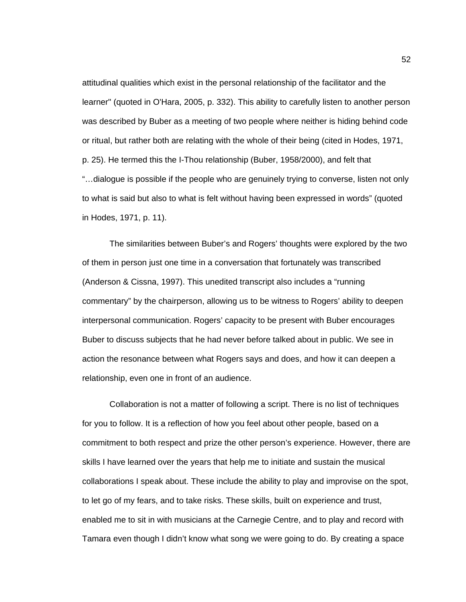attitudinal qualities which exist in the personal relationship of the facilitator and the learner" (quoted in O'Hara, 2005, p. 332). This ability to carefully listen to another person was described by Buber as a meeting of two people where neither is hiding behind code or ritual, but rather both are relating with the whole of their being (cited in Hodes, 1971, p. 25). He termed this the I-Thou relationship (Buber, 1958/2000), and felt that "…dialogue is possible if the people who are genuinely trying to converse, listen not only to what is said but also to what is felt without having been expressed in words" (quoted in Hodes, 1971, p. 11).

The similarities between Buber's and Rogers' thoughts were explored by the two of them in person just one time in a conversation that fortunately was transcribed (Anderson & Cissna, 1997). This unedited transcript also includes a "running commentary" by the chairperson, allowing us to be witness to Rogers' ability to deepen interpersonal communication. Rogers' capacity to be present with Buber encourages Buber to discuss subjects that he had never before talked about in public. We see in action the resonance between what Rogers says and does, and how it can deepen a relationship, even one in front of an audience.

Collaboration is not a matter of following a script. There is no list of techniques for you to follow. It is a reflection of how you feel about other people, based on a commitment to both respect and prize the other person's experience. However, there are skills I have learned over the years that help me to initiate and sustain the musical collaborations I speak about. These include the ability to play and improvise on the spot, to let go of my fears, and to take risks. These skills, built on experience and trust, enabled me to sit in with musicians at the Carnegie Centre, and to play and record with Tamara even though I didn't know what song we were going to do. By creating a space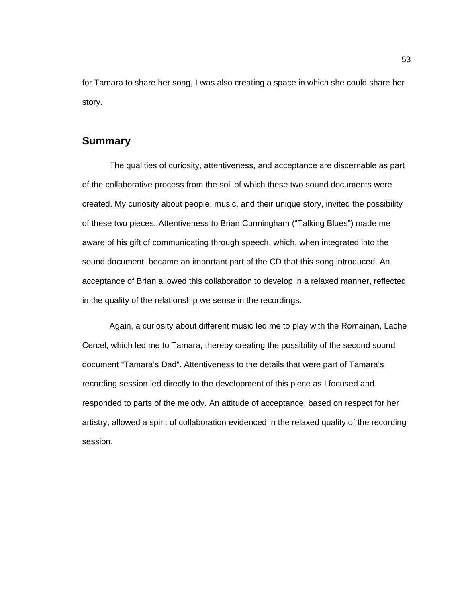for Tamara to share her song, I was also creating a space in which she could share her story.

#### **Summary**

The qualities of curiosity, attentiveness, and acceptance are discernable as part of the collaborative process from the soil of which these two sound documents were created. My curiosity about people, music, and their unique story, invited the possibility of these two pieces. Attentiveness to Brian Cunningham ("Talking Blues") made me aware of his gift of communicating through speech, which, when integrated into the sound document, became an important part of the CD that this song introduced. An acceptance of Brian allowed this collaboration to develop in a relaxed manner, reflected in the quality of the relationship we sense in the recordings.

Again, a curiosity about different music led me to play with the Romainan, Lache Cercel, which led me to Tamara, thereby creating the possibility of the second sound document "Tamara's Dad". Attentiveness to the details that were part of Tamara's recording session led directly to the development of this piece as I focused and responded to parts of the melody. An attitude of acceptance, based on respect for her artistry, allowed a spirit of collaboration evidenced in the relaxed quality of the recording session.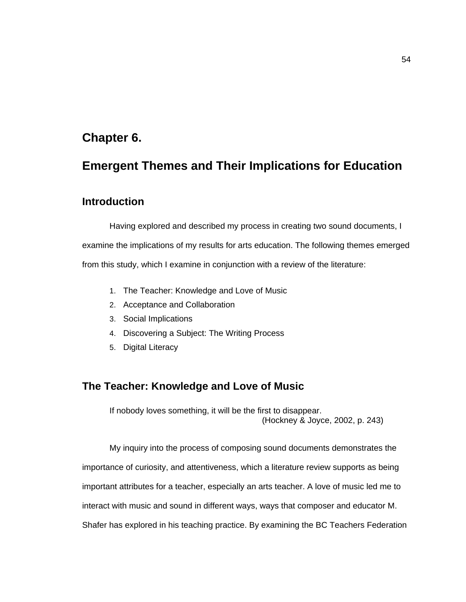## **Chapter 6.**

# **Emergent Themes and Their Implications for Education**

### **Introduction**

Having explored and described my process in creating two sound documents, I examine the implications of my results for arts education. The following themes emerged from this study, which I examine in conjunction with a review of the literature:

- 1. The Teacher: Knowledge and Love of Music
- 2. Acceptance and Collaboration
- 3. Social Implications
- 4. Discovering a Subject: The Writing Process
- 5. Digital Literacy

## **The Teacher: Knowledge and Love of Music**

If nobody loves something, it will be the first to disappear. (Hockney & Joyce, 2002, p. 243)

My inquiry into the process of composing sound documents demonstrates the importance of curiosity, and attentiveness, which a literature review supports as being important attributes for a teacher, especially an arts teacher. A love of music led me to interact with music and sound in different ways, ways that composer and educator M. Shafer has explored in his teaching practice. By examining the BC Teachers Federation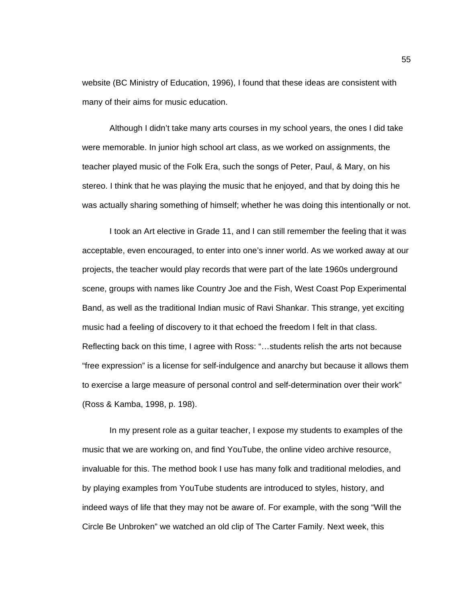website (BC Ministry of Education, 1996), I found that these ideas are consistent with many of their aims for music education.

Although I didn't take many arts courses in my school years, the ones I did take were memorable. In junior high school art class, as we worked on assignments, the teacher played music of the Folk Era, such the songs of Peter, Paul, & Mary, on his stereo. I think that he was playing the music that he enjoyed, and that by doing this he was actually sharing something of himself; whether he was doing this intentionally or not.

I took an Art elective in Grade 11, and I can still remember the feeling that it was acceptable, even encouraged, to enter into one's inner world. As we worked away at our projects, the teacher would play records that were part of the late 1960s underground scene, groups with names like Country Joe and the Fish, West Coast Pop Experimental Band, as well as the traditional Indian music of Ravi Shankar. This strange, yet exciting music had a feeling of discovery to it that echoed the freedom I felt in that class. Reflecting back on this time, I agree with Ross: "…students relish the arts not because "free expression" is a license for self-indulgence and anarchy but because it allows them to exercise a large measure of personal control and self-determination over their work" (Ross & Kamba, 1998, p. 198).

In my present role as a guitar teacher, I expose my students to examples of the music that we are working on, and find YouTube, the online video archive resource, invaluable for this. The method book I use has many folk and traditional melodies, and by playing examples from YouTube students are introduced to styles, history, and indeed ways of life that they may not be aware of. For example, with the song "Will the Circle Be Unbroken" we watched an old clip of The Carter Family. Next week, this

55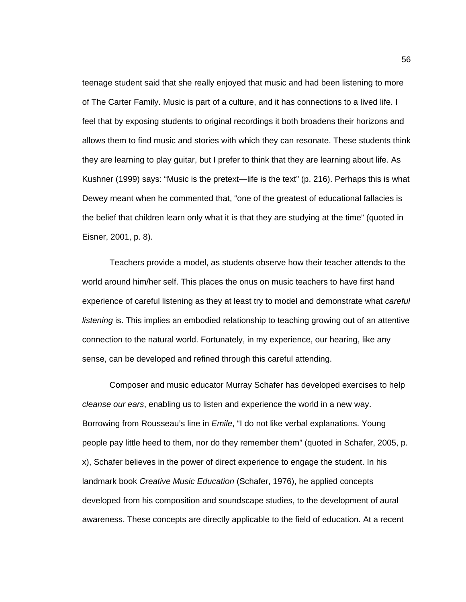teenage student said that she really enjoyed that music and had been listening to more of The Carter Family. Music is part of a culture, and it has connections to a lived life. I feel that by exposing students to original recordings it both broadens their horizons and allows them to find music and stories with which they can resonate. These students think they are learning to play guitar, but I prefer to think that they are learning about life. As Kushner (1999) says: "Music is the pretext—life is the text" (p. 216). Perhaps this is what Dewey meant when he commented that, "one of the greatest of educational fallacies is the belief that children learn only what it is that they are studying at the time" (quoted in Eisner, 2001, p. 8).

Teachers provide a model, as students observe how their teacher attends to the world around him/her self. This places the onus on music teachers to have first hand experience of careful listening as they at least try to model and demonstrate what *careful listening* is. This implies an embodied relationship to teaching growing out of an attentive connection to the natural world. Fortunately, in my experience, our hearing, like any sense, can be developed and refined through this careful attending.

Composer and music educator Murray Schafer has developed exercises to help *cleanse our ears*, enabling us to listen and experience the world in a new way. Borrowing from Rousseau's line in *Emile*, "I do not like verbal explanations. Young people pay little heed to them, nor do they remember them" (quoted in Schafer, 2005, p. x), Schafer believes in the power of direct experience to engage the student. In his landmark book *Creative Music Education* (Schafer, 1976), he applied concepts developed from his composition and soundscape studies, to the development of aural awareness. These concepts are directly applicable to the field of education. At a recent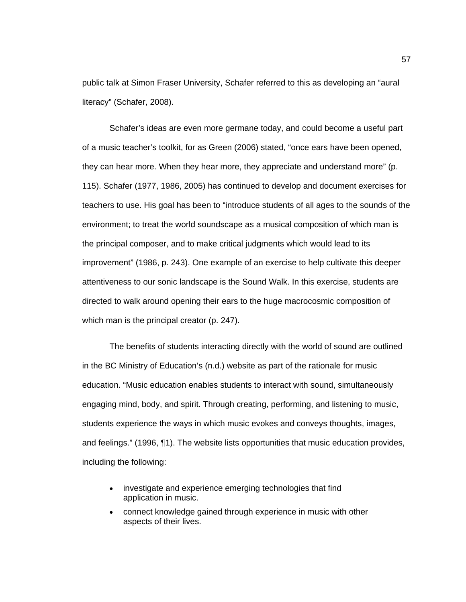public talk at Simon Fraser University, Schafer referred to this as developing an "aural literacy" (Schafer, 2008).

Schafer's ideas are even more germane today, and could become a useful part of a music teacher's toolkit, for as Green (2006) stated, "once ears have been opened, they can hear more. When they hear more, they appreciate and understand more" (p. 115). Schafer (1977, 1986, 2005) has continued to develop and document exercises for teachers to use. His goal has been to "introduce students of all ages to the sounds of the environment; to treat the world soundscape as a musical composition of which man is the principal composer, and to make critical judgments which would lead to its improvement" (1986, p. 243). One example of an exercise to help cultivate this deeper attentiveness to our sonic landscape is the Sound Walk. In this exercise, students are directed to walk around opening their ears to the huge macrocosmic composition of which man is the principal creator (p. 247).

The benefits of students interacting directly with the world of sound are outlined in the BC Ministry of Education's (n.d.) website as part of the rationale for music education. "Music education enables students to interact with sound, simultaneously engaging mind, body, and spirit. Through creating, performing, and listening to music, students experience the ways in which music evokes and conveys thoughts, images, and feelings." (1996, ¶1). The website lists opportunities that music education provides, including the following:

- investigate and experience emerging technologies that find application in music.
- connect knowledge gained through experience in music with other aspects of their lives.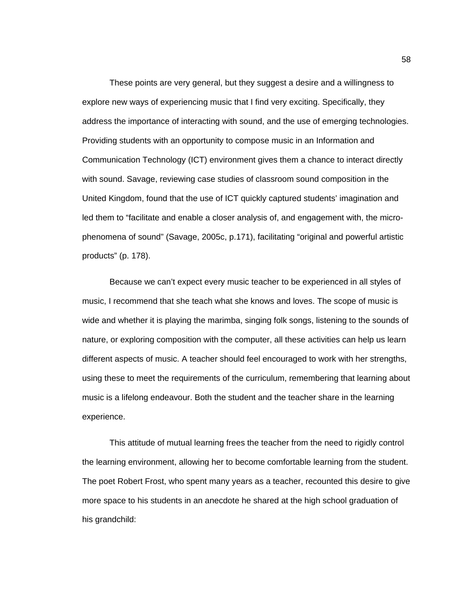These points are very general, but they suggest a desire and a willingness to explore new ways of experiencing music that I find very exciting. Specifically, they address the importance of interacting with sound, and the use of emerging technologies. Providing students with an opportunity to compose music in an Information and Communication Technology (ICT) environment gives them a chance to interact directly with sound. Savage, reviewing case studies of classroom sound composition in the United Kingdom, found that the use of ICT quickly captured students' imagination and led them to "facilitate and enable a closer analysis of, and engagement with, the microphenomena of sound" (Savage, 2005c, p.171), facilitating "original and powerful artistic products" (p. 178).

Because we can't expect every music teacher to be experienced in all styles of music, I recommend that she teach what she knows and loves. The scope of music is wide and whether it is playing the marimba, singing folk songs, listening to the sounds of nature, or exploring composition with the computer, all these activities can help us learn different aspects of music. A teacher should feel encouraged to work with her strengths, using these to meet the requirements of the curriculum, remembering that learning about music is a lifelong endeavour. Both the student and the teacher share in the learning experience.

This attitude of mutual learning frees the teacher from the need to rigidly control the learning environment, allowing her to become comfortable learning from the student. The poet Robert Frost, who spent many years as a teacher, recounted this desire to give more space to his students in an anecdote he shared at the high school graduation of his grandchild: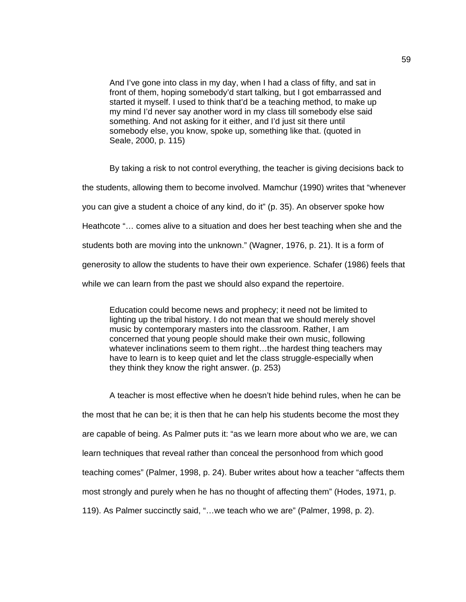And I've gone into class in my day, when I had a class of fifty, and sat in front of them, hoping somebody'd start talking, but I got embarrassed and started it myself. I used to think that'd be a teaching method, to make up my mind I'd never say another word in my class till somebody else said something. And not asking for it either, and I'd just sit there until somebody else, you know, spoke up, something like that. (quoted in Seale, 2000, p. 115)

By taking a risk to not control everything, the teacher is giving decisions back to the students, allowing them to become involved. Mamchur (1990) writes that "whenever you can give a student a choice of any kind, do it" (p. 35). An observer spoke how Heathcote "… comes alive to a situation and does her best teaching when she and the students both are moving into the unknown." (Wagner, 1976, p. 21). It is a form of generosity to allow the students to have their own experience. Schafer (1986) feels that while we can learn from the past we should also expand the repertoire.

Education could become news and prophecy; it need not be limited to lighting up the tribal history. I do not mean that we should merely shovel music by contemporary masters into the classroom. Rather, I am concerned that young people should make their own music, following whatever inclinations seem to them right...the hardest thing teachers may have to learn is to keep quiet and let the class struggle-especially when they think they know the right answer. (p. 253)

A teacher is most effective when he doesn't hide behind rules, when he can be the most that he can be; it is then that he can help his students become the most they are capable of being. As Palmer puts it: "as we learn more about who we are, we can learn techniques that reveal rather than conceal the personhood from which good teaching comes" (Palmer, 1998, p. 24). Buber writes about how a teacher "affects them most strongly and purely when he has no thought of affecting them" (Hodes, 1971, p. 119). As Palmer succinctly said, "…we teach who we are" (Palmer, 1998, p. 2).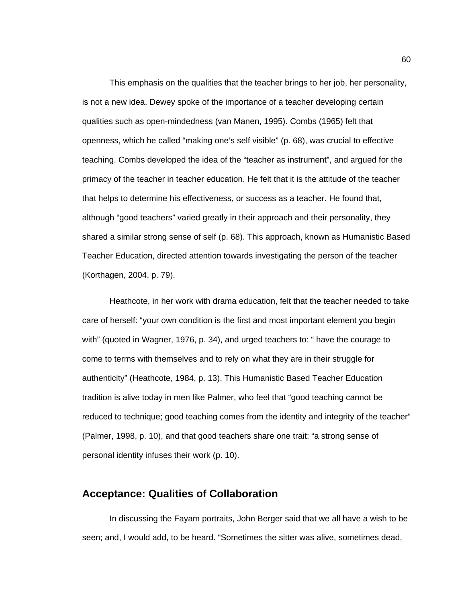This emphasis on the qualities that the teacher brings to her job, her personality, is not a new idea. Dewey spoke of the importance of a teacher developing certain qualities such as open-mindedness (van Manen, 1995). Combs (1965) felt that openness, which he called "making one's self visible" (p. 68), was crucial to effective teaching. Combs developed the idea of the "teacher as instrument", and argued for the primacy of the teacher in teacher education. He felt that it is the attitude of the teacher that helps to determine his effectiveness, or success as a teacher. He found that, although "good teachers" varied greatly in their approach and their personality, they shared a similar strong sense of self (p. 68). This approach, known as Humanistic Based Teacher Education, directed attention towards investigating the person of the teacher (Korthagen, 2004, p. 79).

Heathcote, in her work with drama education, felt that the teacher needed to take care of herself: "your own condition is the first and most important element you begin with" (quoted in Wagner, 1976, p. 34), and urged teachers to: " have the courage to come to terms with themselves and to rely on what they are in their struggle for authenticity" (Heathcote, 1984, p. 13). This Humanistic Based Teacher Education tradition is alive today in men like Palmer, who feel that "good teaching cannot be reduced to technique; good teaching comes from the identity and integrity of the teacher" (Palmer, 1998, p. 10), and that good teachers share one trait: "a strong sense of personal identity infuses their work (p. 10).

### **Acceptance: Qualities of Collaboration**

In discussing the Fayam portraits, John Berger said that we all have a wish to be seen; and, I would add, to be heard. "Sometimes the sitter was alive, sometimes dead,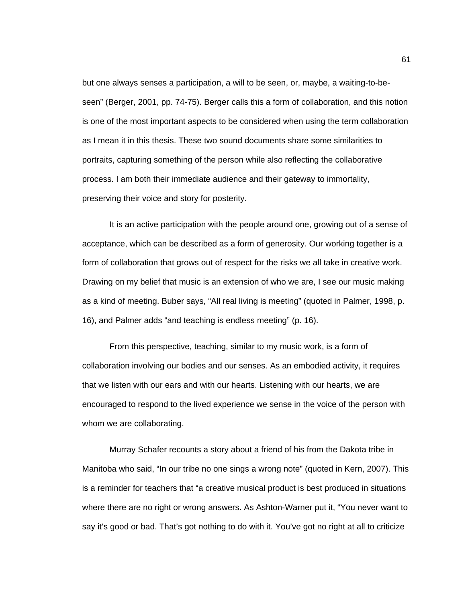but one always senses a participation, a will to be seen, or, maybe, a waiting-to-beseen" (Berger, 2001, pp. 74-75). Berger calls this a form of collaboration, and this notion is one of the most important aspects to be considered when using the term collaboration as I mean it in this thesis. These two sound documents share some similarities to portraits, capturing something of the person while also reflecting the collaborative process. I am both their immediate audience and their gateway to immortality, preserving their voice and story for posterity.

It is an active participation with the people around one, growing out of a sense of acceptance, which can be described as a form of generosity. Our working together is a form of collaboration that grows out of respect for the risks we all take in creative work. Drawing on my belief that music is an extension of who we are, I see our music making as a kind of meeting. Buber says, "All real living is meeting" (quoted in Palmer, 1998, p. 16), and Palmer adds "and teaching is endless meeting" (p. 16).

From this perspective, teaching, similar to my music work, is a form of collaboration involving our bodies and our senses. As an embodied activity, it requires that we listen with our ears and with our hearts. Listening with our hearts, we are encouraged to respond to the lived experience we sense in the voice of the person with whom we are collaborating.

Murray Schafer recounts a story about a friend of his from the Dakota tribe in Manitoba who said, "In our tribe no one sings a wrong note" (quoted in Kern, 2007). This is a reminder for teachers that "a creative musical product is best produced in situations where there are no right or wrong answers. As Ashton-Warner put it, "You never want to say it's good or bad. That's got nothing to do with it. You've got no right at all to criticize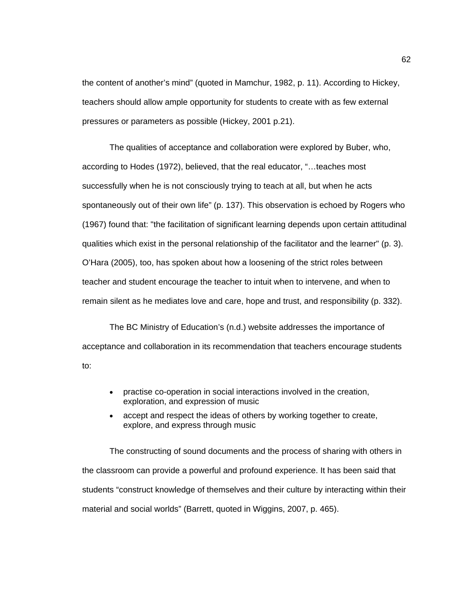the content of another's mind" (quoted in Mamchur, 1982, p. 11). According to Hickey, teachers should allow ample opportunity for students to create with as few external pressures or parameters as possible (Hickey, 2001 p.21).

The qualities of acceptance and collaboration were explored by Buber, who, according to Hodes (1972), believed, that the real educator, "…teaches most successfully when he is not consciously trying to teach at all, but when he acts spontaneously out of their own life" (p. 137). This observation is echoed by Rogers who (1967) found that: "the facilitation of significant learning depends upon certain attitudinal qualities which exist in the personal relationship of the facilitator and the learner" (p. 3). O'Hara (2005), too, has spoken about how a loosening of the strict roles between teacher and student encourage the teacher to intuit when to intervene, and when to remain silent as he mediates love and care, hope and trust, and responsibility (p. 332).

The BC Ministry of Education's (n.d.) website addresses the importance of acceptance and collaboration in its recommendation that teachers encourage students to:

- practise co-operation in social interactions involved in the creation, exploration, and expression of music
- accept and respect the ideas of others by working together to create, explore, and express through music

The constructing of sound documents and the process of sharing with others in the classroom can provide a powerful and profound experience. It has been said that students "construct knowledge of themselves and their culture by interacting within their material and social worlds" (Barrett, quoted in Wiggins, 2007, p. 465).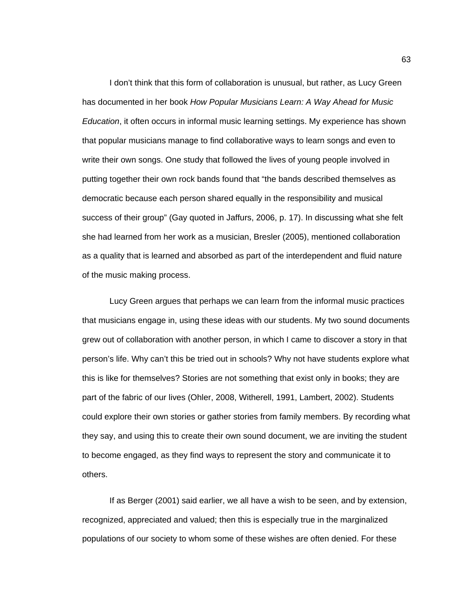I don't think that this form of collaboration is unusual, but rather, as Lucy Green has documented in her book *How Popular Musicians Learn: A Way Ahead for Music Education*, it often occurs in informal music learning settings. My experience has shown that popular musicians manage to find collaborative ways to learn songs and even to write their own songs. One study that followed the lives of young people involved in putting together their own rock bands found that "the bands described themselves as democratic because each person shared equally in the responsibility and musical success of their group" (Gay quoted in Jaffurs, 2006, p. 17). In discussing what she felt she had learned from her work as a musician, Bresler (2005), mentioned collaboration as a quality that is learned and absorbed as part of the interdependent and fluid nature of the music making process.

Lucy Green argues that perhaps we can learn from the informal music practices that musicians engage in, using these ideas with our students. My two sound documents grew out of collaboration with another person, in which I came to discover a story in that person's life. Why can't this be tried out in schools? Why not have students explore what this is like for themselves? Stories are not something that exist only in books; they are part of the fabric of our lives (Ohler, 2008, Witherell, 1991, Lambert, 2002). Students could explore their own stories or gather stories from family members. By recording what they say, and using this to create their own sound document, we are inviting the student to become engaged, as they find ways to represent the story and communicate it to others.

If as Berger (2001) said earlier, we all have a wish to be seen, and by extension, recognized, appreciated and valued; then this is especially true in the marginalized populations of our society to whom some of these wishes are often denied. For these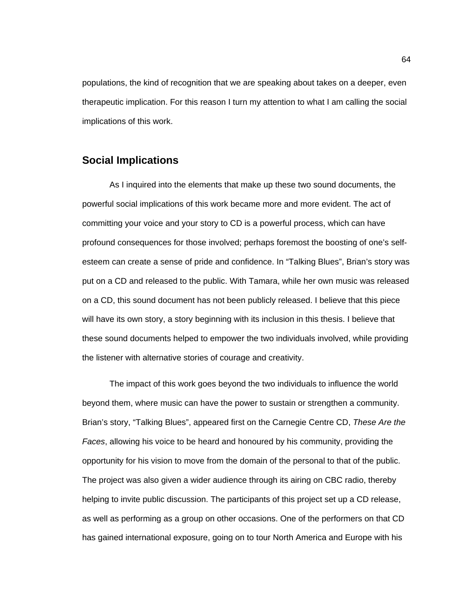populations, the kind of recognition that we are speaking about takes on a deeper, even therapeutic implication. For this reason I turn my attention to what I am calling the social implications of this work.

### **Social Implications**

As I inquired into the elements that make up these two sound documents, the powerful social implications of this work became more and more evident. The act of committing your voice and your story to CD is a powerful process, which can have profound consequences for those involved; perhaps foremost the boosting of one's selfesteem can create a sense of pride and confidence. In "Talking Blues", Brian's story was put on a CD and released to the public. With Tamara, while her own music was released on a CD, this sound document has not been publicly released. I believe that this piece will have its own story, a story beginning with its inclusion in this thesis. I believe that these sound documents helped to empower the two individuals involved, while providing the listener with alternative stories of courage and creativity.

The impact of this work goes beyond the two individuals to influence the world beyond them, where music can have the power to sustain or strengthen a community. Brian's story, "Talking Blues", appeared first on the Carnegie Centre CD, *These Are the Faces*, allowing his voice to be heard and honoured by his community, providing the opportunity for his vision to move from the domain of the personal to that of the public. The project was also given a wider audience through its airing on CBC radio, thereby helping to invite public discussion. The participants of this project set up a CD release, as well as performing as a group on other occasions. One of the performers on that CD has gained international exposure, going on to tour North America and Europe with his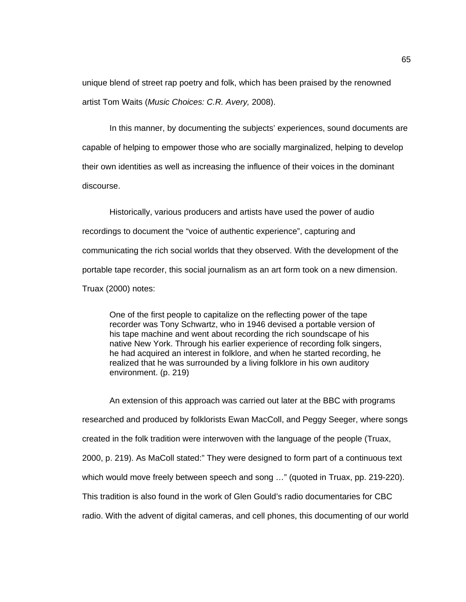unique blend of street rap poetry and folk, which has been praised by the renowned artist Tom Waits (*Music Choices: C.R. Avery,* 2008).

In this manner, by documenting the subjects' experiences, sound documents are capable of helping to empower those who are socially marginalized, helping to develop their own identities as well as increasing the influence of their voices in the dominant discourse.

Historically, various producers and artists have used the power of audio recordings to document the "voice of authentic experience", capturing and communicating the rich social worlds that they observed. With the development of the portable tape recorder, this social journalism as an art form took on a new dimension. Truax (2000) notes:

One of the first people to capitalize on the reflecting power of the tape recorder was Tony Schwartz, who in 1946 devised a portable version of his tape machine and went about recording the rich soundscape of his native New York. Through his earlier experience of recording folk singers, he had acquired an interest in folklore, and when he started recording, he realized that he was surrounded by a living folklore in his own auditory environment. (p. 219)

An extension of this approach was carried out later at the BBC with programs researched and produced by folklorists Ewan MacColl, and Peggy Seeger, where songs created in the folk tradition were interwoven with the language of the people (Truax, 2000, p. 219). As MaColl stated:" They were designed to form part of a continuous text which would move freely between speech and song …" (quoted in Truax, pp. 219-220). This tradition is also found in the work of Glen Gould's radio documentaries for CBC radio. With the advent of digital cameras, and cell phones, this documenting of our world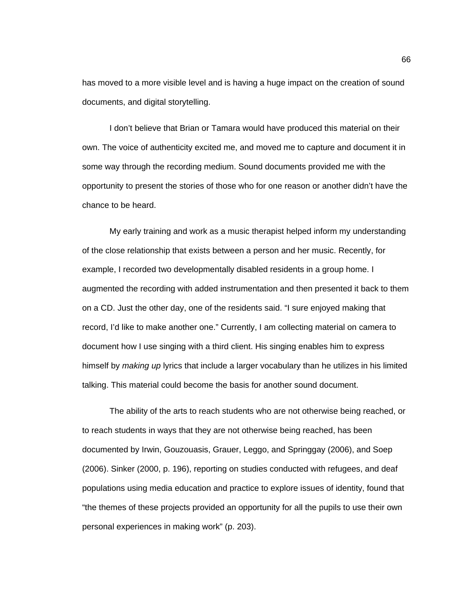has moved to a more visible level and is having a huge impact on the creation of sound documents, and digital storytelling.

I don't believe that Brian or Tamara would have produced this material on their own. The voice of authenticity excited me, and moved me to capture and document it in some way through the recording medium. Sound documents provided me with the opportunity to present the stories of those who for one reason or another didn't have the chance to be heard.

My early training and work as a music therapist helped inform my understanding of the close relationship that exists between a person and her music. Recently, for example, I recorded two developmentally disabled residents in a group home. I augmented the recording with added instrumentation and then presented it back to them on a CD. Just the other day, one of the residents said. "I sure enjoyed making that record, I'd like to make another one." Currently, I am collecting material on camera to document how I use singing with a third client. His singing enables him to express himself by *making up* lyrics that include a larger vocabulary than he utilizes in his limited talking. This material could become the basis for another sound document.

The ability of the arts to reach students who are not otherwise being reached, or to reach students in ways that they are not otherwise being reached, has been documented by Irwin, Gouzouasis, Grauer, Leggo, and Springgay (2006), and Soep (2006). Sinker (2000, p. 196), reporting on studies conducted with refugees, and deaf populations using media education and practice to explore issues of identity, found that "the themes of these projects provided an opportunity for all the pupils to use their own personal experiences in making work" (p. 203).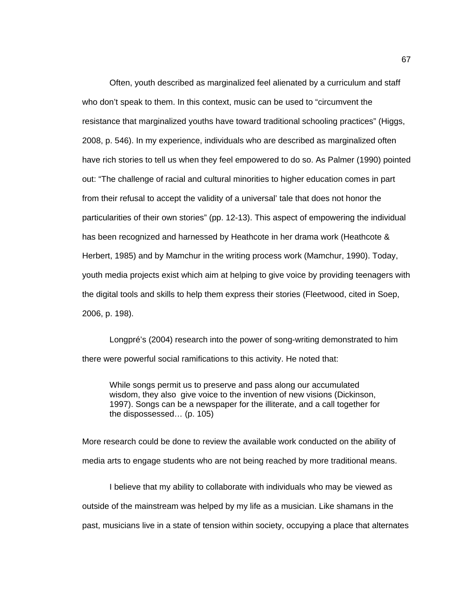Often, youth described as marginalized feel alienated by a curriculum and staff who don't speak to them. In this context, music can be used to "circumvent the resistance that marginalized youths have toward traditional schooling practices" (Higgs, 2008, p. 546). In my experience, individuals who are described as marginalized often have rich stories to tell us when they feel empowered to do so. As Palmer (1990) pointed out: "The challenge of racial and cultural minorities to higher education comes in part from their refusal to accept the validity of a universal' tale that does not honor the particularities of their own stories" (pp. 12-13). This aspect of empowering the individual has been recognized and harnessed by Heathcote in her drama work (Heathcote & Herbert, 1985) and by Mamchur in the writing process work (Mamchur, 1990). Today, youth media projects exist which aim at helping to give voice by providing teenagers with the digital tools and skills to help them express their stories (Fleetwood, cited in Soep, 2006, p. 198).

Longpré's (2004) research into the power of song-writing demonstrated to him there were powerful social ramifications to this activity. He noted that:

While songs permit us to preserve and pass along our accumulated wisdom, they also give voice to the invention of new visions (Dickinson, 1997). Songs can be a newspaper for the illiterate, and a call together for the dispossessed… (p. 105)

More research could be done to review the available work conducted on the ability of media arts to engage students who are not being reached by more traditional means.

I believe that my ability to collaborate with individuals who may be viewed as outside of the mainstream was helped by my life as a musician. Like shamans in the past, musicians live in a state of tension within society, occupying a place that alternates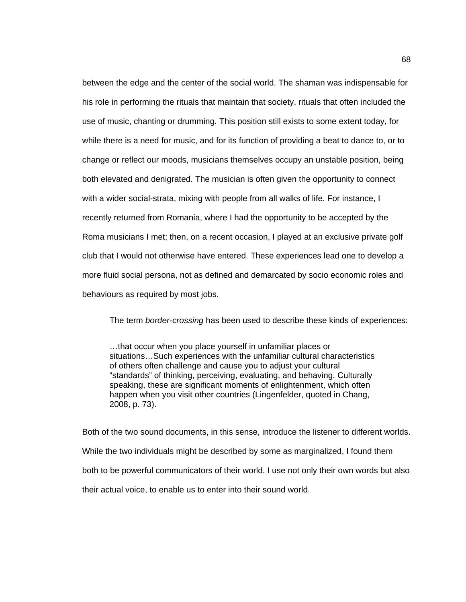between the edge and the center of the social world. The shaman was indispensable for his role in performing the rituals that maintain that society, rituals that often included the use of music, chanting or drumming*.* This position still exists to some extent today, for while there is a need for music, and for its function of providing a beat to dance to, or to change or reflect our moods, musicians themselves occupy an unstable position, being both elevated and denigrated. The musician is often given the opportunity to connect with a wider social-strata, mixing with people from all walks of life. For instance, I recently returned from Romania, where I had the opportunity to be accepted by the Roma musicians I met; then, on a recent occasion, I played at an exclusive private golf club that I would not otherwise have entered. These experiences lead one to develop a more fluid social persona, not as defined and demarcated by socio economic roles and behaviours as required by most jobs.

The term *border-crossing* has been used to describe these kinds of experiences:

…that occur when you place yourself in unfamiliar places or situations…Such experiences with the unfamiliar cultural characteristics of others often challenge and cause you to adjust your cultural "standards" of thinking, perceiving, evaluating, and behaving. Culturally speaking, these are significant moments of enlightenment, which often happen when you visit other countries (Lingenfelder, quoted in Chang, 2008, p. 73).

Both of the two sound documents, in this sense, introduce the listener to different worlds. While the two individuals might be described by some as marginalized, I found them both to be powerful communicators of their world. I use not only their own words but also their actual voice, to enable us to enter into their sound world.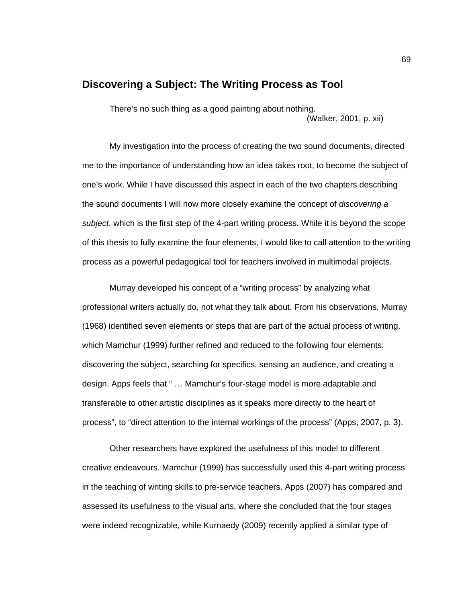### **Discovering a Subject: The Writing Process as Tool**

There's no such thing as a good painting about nothing. (Walker, 2001, p. xii)

My investigation into the process of creating the two sound documents, directed me to the importance of understanding how an idea takes root, to become the subject of one's work. While I have discussed this aspect in each of the two chapters describing the sound documents I will now more closely examine the concept of *discovering a subject*, which is the first step of the 4-part writing process. While it is beyond the scope of this thesis to fully examine the four elements, I would like to call attention to the writing process as a powerful pedagogical tool for teachers involved in multimodal projects.

Murray developed his concept of a "writing process" by analyzing what professional writers actually do, not what they talk about. From his observations, Murray (1968) identified seven elements or steps that are part of the actual process of writing, which Mamchur (1999) further refined and reduced to the following four elements: discovering the subject, searching for specifics, sensing an audience, and creating a design. Apps feels that " … Mamchur's four-stage model is more adaptable and transferable to other artistic disciplines as it speaks more directly to the heart of process", to "direct attention to the internal workings of the process" (Apps, 2007, p. 3).

Other researchers have explored the usefulness of this model to different creative endeavours. Mamchur (1999) has successfully used this 4-part writing process in the teaching of writing skills to pre-service teachers. Apps (2007) has compared and assessed its usefulness to the visual arts, where she concluded that the four stages were indeed recognizable, while Kurnaedy (2009) recently applied a similar type of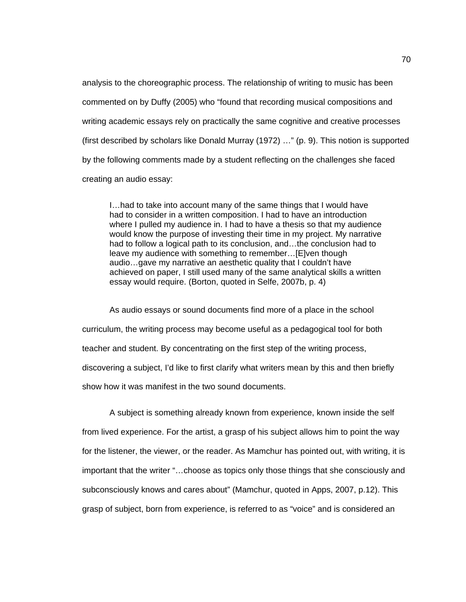analysis to the choreographic process. The relationship of writing to music has been commented on by Duffy (2005) who "found that recording musical compositions and writing academic essays rely on practically the same cognitive and creative processes (first described by scholars like Donald Murray (1972) …" (p. 9). This notion is supported by the following comments made by a student reflecting on the challenges she faced creating an audio essay:

I…had to take into account many of the same things that I would have had to consider in a written composition. I had to have an introduction where I pulled my audience in. I had to have a thesis so that my audience would know the purpose of investing their time in my project. My narrative had to follow a logical path to its conclusion, and...the conclusion had to leave my audience with something to remember…[E]ven though audio…gave my narrative an aesthetic quality that I couldn't have achieved on paper, I still used many of the same analytical skills a written essay would require. (Borton, quoted in Selfe, 2007b, p. 4)

As audio essays or sound documents find more of a place in the school curriculum, the writing process may become useful as a pedagogical tool for both teacher and student. By concentrating on the first step of the writing process, discovering a subject, I'd like to first clarify what writers mean by this and then briefly show how it was manifest in the two sound documents.

A subject is something already known from experience, known inside the self from lived experience. For the artist, a grasp of his subject allows him to point the way for the listener, the viewer, or the reader. As Mamchur has pointed out, with writing, it is important that the writer "…choose as topics only those things that she consciously and subconsciously knows and cares about" (Mamchur, quoted in Apps, 2007, p.12). This grasp of subject, born from experience, is referred to as "voice" and is considered an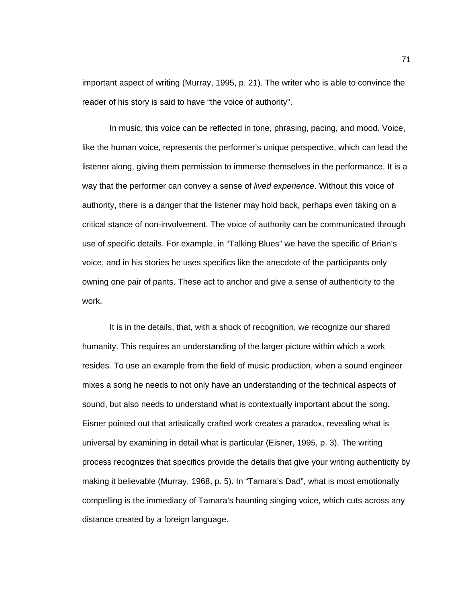important aspect of writing (Murray, 1995, p. 21). The writer who is able to convince the reader of his story is said to have "the voice of authority".

In music, this voice can be reflected in tone, phrasing, pacing, and mood. Voice, like the human voice, represents the performer's unique perspective, which can lead the listener along, giving them permission to immerse themselves in the performance. It is a way that the performer can convey a sense of *lived experience*. Without this voice of authority, there is a danger that the listener may hold back, perhaps even taking on a critical stance of non-involvement. The voice of authority can be communicated through use of specific details. For example, in "Talking Blues" we have the specific of Brian's voice, and in his stories he uses specifics like the anecdote of the participants only owning one pair of pants. These act to anchor and give a sense of authenticity to the work.

It is in the details, that, with a shock of recognition, we recognize our shared humanity. This requires an understanding of the larger picture within which a work resides. To use an example from the field of music production, when a sound engineer mixes a song he needs to not only have an understanding of the technical aspects of sound, but also needs to understand what is contextually important about the song. Eisner pointed out that artistically crafted work creates a paradox, revealing what is universal by examining in detail what is particular (Eisner, 1995, p. 3). The writing process recognizes that specifics provide the details that give your writing authenticity by making it believable (Murray, 1968, p. 5). In "Tamara's Dad", what is most emotionally compelling is the immediacy of Tamara's haunting singing voice, which cuts across any distance created by a foreign language.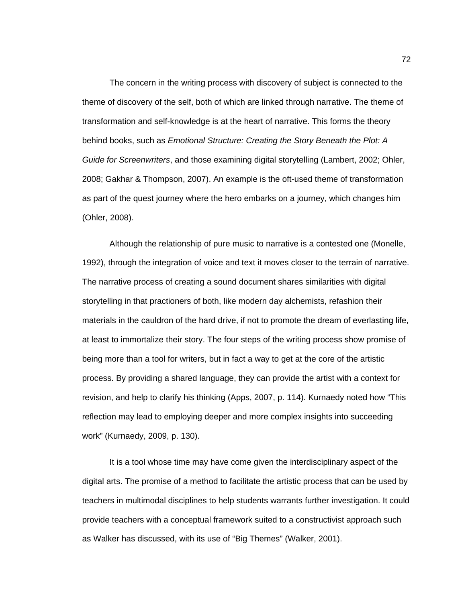The concern in the writing process with discovery of subject is connected to the theme of discovery of the self, both of which are linked through narrative. The theme of transformation and self-knowledge is at the heart of narrative. This forms the theory behind books, such as *Emotional Structure: Creating the Story Beneath the Plot: A Guide for Screenwriters*, and those examining digital storytelling (Lambert, 2002; Ohler, 2008; Gakhar & Thompson, 2007). An example is the oft-used theme of transformation as part of the quest journey where the hero embarks on a journey, which changes him (Ohler, 2008).

Although the relationship of pure music to narrative is a contested one (Monelle, 1992), through the integration of voice and text it moves closer to the terrain of narrative. The narrative process of creating a sound document shares similarities with digital storytelling in that practioners of both, like modern day alchemists, refashion their materials in the cauldron of the hard drive, if not to promote the dream of everlasting life, at least to immortalize their story. The four steps of the writing process show promise of being more than a tool for writers, but in fact a way to get at the core of the artistic process. By providing a shared language, they can provide the artist with a context for revision, and help to clarify his thinking (Apps, 2007, p. 114). Kurnaedy noted how "This reflection may lead to employing deeper and more complex insights into succeeding work" (Kurnaedy, 2009, p. 130).

It is a tool whose time may have come given the interdisciplinary aspect of the digital arts. The promise of a method to facilitate the artistic process that can be used by teachers in multimodal disciplines to help students warrants further investigation. It could provide teachers with a conceptual framework suited to a constructivist approach such as Walker has discussed, with its use of "Big Themes" (Walker, 2001).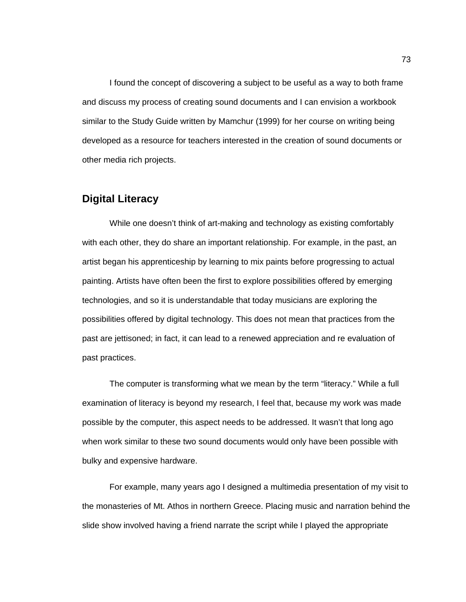I found the concept of discovering a subject to be useful as a way to both frame and discuss my process of creating sound documents and I can envision a workbook similar to the Study Guide written by Mamchur (1999) for her course on writing being developed as a resource for teachers interested in the creation of sound documents or other media rich projects.

### **Digital Literacy**

While one doesn't think of art-making and technology as existing comfortably with each other, they do share an important relationship. For example, in the past, an artist began his apprenticeship by learning to mix paints before progressing to actual painting. Artists have often been the first to explore possibilities offered by emerging technologies, and so it is understandable that today musicians are exploring the possibilities offered by digital technology. This does not mean that practices from the past are jettisoned; in fact, it can lead to a renewed appreciation and re evaluation of past practices.

The computer is transforming what we mean by the term "literacy." While a full examination of literacy is beyond my research, I feel that, because my work was made possible by the computer, this aspect needs to be addressed. It wasn't that long ago when work similar to these two sound documents would only have been possible with bulky and expensive hardware.

For example, many years ago I designed a multimedia presentation of my visit to the monasteries of Mt. Athos in northern Greece. Placing music and narration behind the slide show involved having a friend narrate the script while I played the appropriate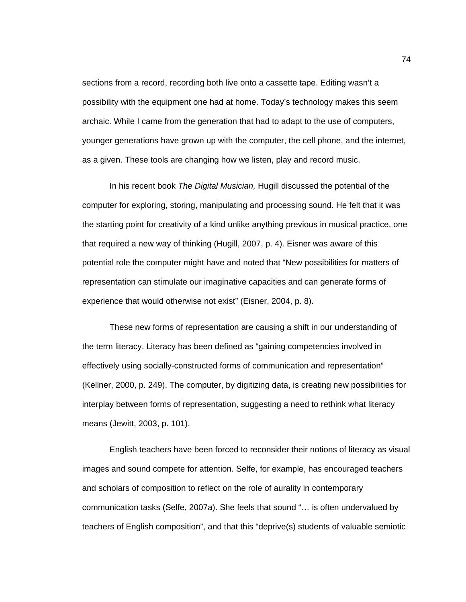sections from a record, recording both live onto a cassette tape. Editing wasn't a possibility with the equipment one had at home. Today's technology makes this seem archaic. While I came from the generation that had to adapt to the use of computers, younger generations have grown up with the computer, the cell phone, and the internet, as a given. These tools are changing how we listen, play and record music.

In his recent book *The Digital Musician,* Hugill discussed the potential of the computer for exploring, storing, manipulating and processing sound. He felt that it was the starting point for creativity of a kind unlike anything previous in musical practice, one that required a new way of thinking (Hugill, 2007, p. 4). Eisner was aware of this potential role the computer might have and noted that "New possibilities for matters of representation can stimulate our imaginative capacities and can generate forms of experience that would otherwise not exist" (Eisner, 2004, p. 8).

These new forms of representation are causing a shift in our understanding of the term literacy. Literacy has been defined as "gaining competencies involved in effectively using socially-constructed forms of communication and representation" (Kellner, 2000, p. 249). The computer, by digitizing data, is creating new possibilities for interplay between forms of representation, suggesting a need to rethink what literacy means (Jewitt, 2003, p. 101).

English teachers have been forced to reconsider their notions of literacy as visual images and sound compete for attention. Selfe, for example, has encouraged teachers and scholars of composition to reflect on the role of aurality in contemporary communication tasks (Selfe, 2007a). She feels that sound "… is often undervalued by teachers of English composition", and that this "deprive(s) students of valuable semiotic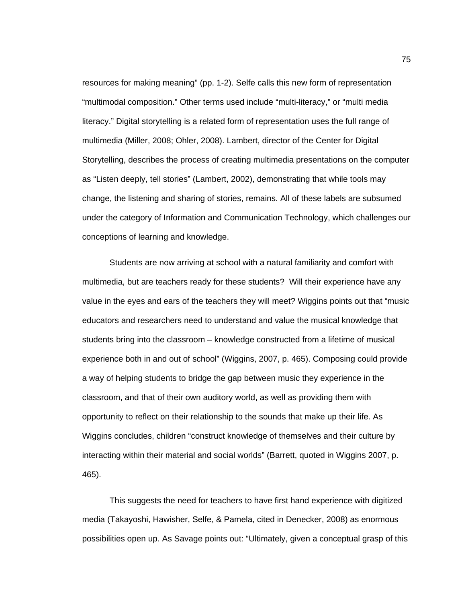resources for making meaning" (pp. 1-2). Selfe calls this new form of representation "multimodal composition." Other terms used include "multi-literacy," or "multi media literacy." Digital storytelling is a related form of representation uses the full range of multimedia (Miller, 2008; Ohler, 2008). Lambert, director of the Center for Digital Storytelling, describes the process of creating multimedia presentations on the computer as "Listen deeply, tell stories" (Lambert, 2002), demonstrating that while tools may change, the listening and sharing of stories, remains. All of these labels are subsumed under the category of Information and Communication Technology, which challenges our conceptions of learning and knowledge.

Students are now arriving at school with a natural familiarity and comfort with multimedia, but are teachers ready for these students? Will their experience have any value in the eyes and ears of the teachers they will meet? Wiggins points out that "music educators and researchers need to understand and value the musical knowledge that students bring into the classroom – knowledge constructed from a lifetime of musical experience both in and out of school" (Wiggins, 2007, p. 465). Composing could provide a way of helping students to bridge the gap between music they experience in the classroom, and that of their own auditory world, as well as providing them with opportunity to reflect on their relationship to the sounds that make up their life. As Wiggins concludes, children "construct knowledge of themselves and their culture by interacting within their material and social worlds" (Barrett, quoted in Wiggins 2007, p. 465).

This suggests the need for teachers to have first hand experience with digitized media (Takayoshi, Hawisher, Selfe, & Pamela, cited in Denecker, 2008) as enormous possibilities open up. As Savage points out: "Ultimately, given a conceptual grasp of this

75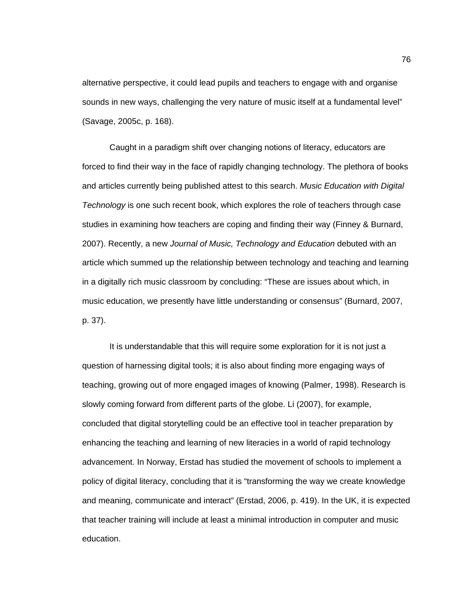alternative perspective, it could lead pupils and teachers to engage with and organise sounds in new ways, challenging the very nature of music itself at a fundamental level" (Savage, 2005c, p. 168).

Caught in a paradigm shift over changing notions of literacy, educators are forced to find their way in the face of rapidly changing technology. The plethora of books and articles currently being published attest to this search. *Music Education with Digital Technology* is one such recent book, which explores the role of teachers through case studies in examining how teachers are coping and finding their way (Finney & Burnard, 2007). Recently, a new *Journal of Music, Technology and Education* debuted with an article which summed up the relationship between technology and teaching and learning in a digitally rich music classroom by concluding: "These are issues about which, in music education, we presently have little understanding or consensus" (Burnard, 2007, p. 37).

It is understandable that this will require some exploration for it is not just a question of harnessing digital tools; it is also about finding more engaging ways of teaching, growing out of more engaged images of knowing (Palmer, 1998). Research is slowly coming forward from different parts of the globe. Li (2007), for example, concluded that digital storytelling could be an effective tool in teacher preparation by enhancing the teaching and learning of new literacies in a world of rapid technology advancement. In Norway, Erstad has studied the movement of schools to implement a policy of digital literacy, concluding that it is "transforming the way we create knowledge and meaning, communicate and interact" (Erstad, 2006, p. 419). In the UK, it is expected that teacher training will include at least a minimal introduction in computer and music education.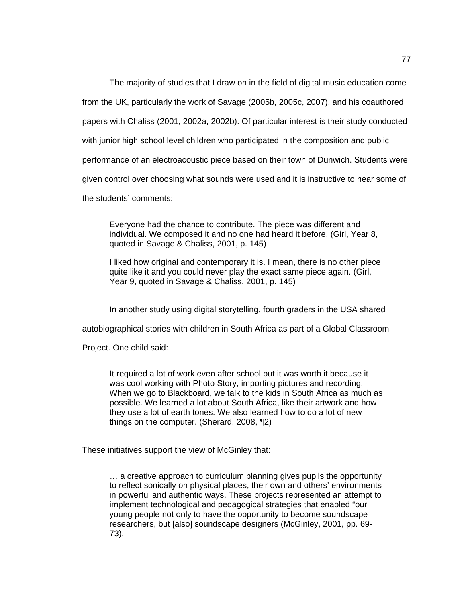The majority of studies that I draw on in the field of digital music education come

from the UK, particularly the work of Savage (2005b, 2005c, 2007), and his coauthored

papers with Chaliss (2001, 2002a, 2002b). Of particular interest is their study conducted

with junior high school level children who participated in the composition and public

performance of an electroacoustic piece based on their town of Dunwich. Students were

given control over choosing what sounds were used and it is instructive to hear some of

the students' comments:

Everyone had the chance to contribute. The piece was different and individual. We composed it and no one had heard it before. (Girl, Year 8, quoted in Savage & Chaliss, 2001, p. 145)

I liked how original and contemporary it is. I mean, there is no other piece quite like it and you could never play the exact same piece again. (Girl, Year 9, quoted in Savage & Chaliss, 2001, p. 145)

In another study using digital storytelling, fourth graders in the USA shared

autobiographical stories with children in South Africa as part of a Global Classroom

Project. One child said:

It required a lot of work even after school but it was worth it because it was cool working with Photo Story, importing pictures and recording. When we go to Blackboard, we talk to the kids in South Africa as much as possible. We learned a lot about South Africa, like their artwork and how they use a lot of earth tones. We also learned how to do a lot of new things on the computer. (Sherard, 2008, ¶2)

These initiatives support the view of McGinley that:

… a creative approach to curriculum planning gives pupils the opportunity to reflect sonically on physical places, their own and others' environments in powerful and authentic ways. These projects represented an attempt to implement technological and pedagogical strategies that enabled "our young people not only to have the opportunity to become soundscape researchers, but [also] soundscape designers (McGinley, 2001, pp. 69- 73).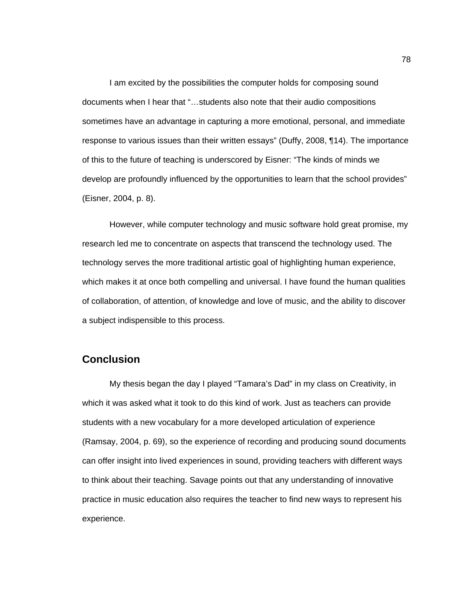I am excited by the possibilities the computer holds for composing sound documents when I hear that "…students also note that their audio compositions sometimes have an advantage in capturing a more emotional, personal, and immediate response to various issues than their written essays" (Duffy, 2008, ¶14). The importance of this to the future of teaching is underscored by Eisner: "The kinds of minds we develop are profoundly influenced by the opportunities to learn that the school provides" (Eisner, 2004, p. 8).

However, while computer technology and music software hold great promise, my research led me to concentrate on aspects that transcend the technology used. The technology serves the more traditional artistic goal of highlighting human experience, which makes it at once both compelling and universal. I have found the human qualities of collaboration, of attention, of knowledge and love of music, and the ability to discover a subject indispensible to this process.

#### **Conclusion**

My thesis began the day I played "Tamara's Dad" in my class on Creativity, in which it was asked what it took to do this kind of work. Just as teachers can provide students with a new vocabulary for a more developed articulation of experience (Ramsay, 2004, p. 69), so the experience of recording and producing sound documents can offer insight into lived experiences in sound, providing teachers with different ways to think about their teaching. Savage points out that any understanding of innovative practice in music education also requires the teacher to find new ways to represent his experience.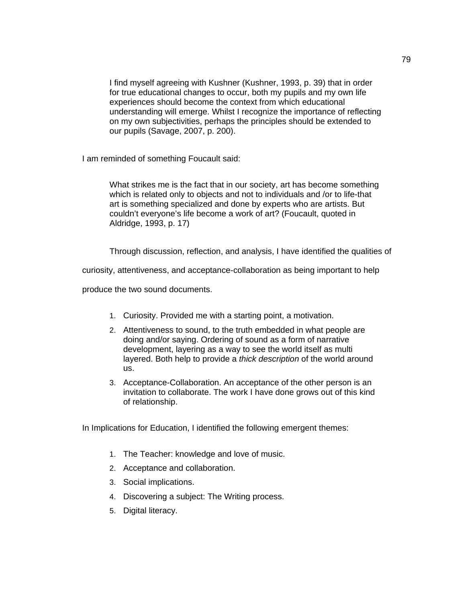I find myself agreeing with Kushner (Kushner, 1993, p. 39) that in order for true educational changes to occur, both my pupils and my own life experiences should become the context from which educational understanding will emerge. Whilst I recognize the importance of reflecting on my own subjectivities, perhaps the principles should be extended to our pupils (Savage, 2007, p. 200).

I am reminded of something Foucault said:

What strikes me is the fact that in our society, art has become something which is related only to objects and not to individuals and /or to life-that art is something specialized and done by experts who are artists. But couldn't everyone's life become a work of art? (Foucault, quoted in Aldridge, 1993, p. 17)

Through discussion, reflection, and analysis, I have identified the qualities of

curiosity, attentiveness, and acceptance-collaboration as being important to help

produce the two sound documents.

- 1. Curiosity. Provided me with a starting point, a motivation.
- 2. Attentiveness to sound, to the truth embedded in what people are doing and/or saying. Ordering of sound as a form of narrative development, layering as a way to see the world itself as multi layered. Both help to provide a *thick description* of the world around us.
- 3. Acceptance-Collaboration. An acceptance of the other person is an invitation to collaborate. The work I have done grows out of this kind of relationship.

In Implications for Education, I identified the following emergent themes:

- 1. The Teacher: knowledge and love of music.
- 2. Acceptance and collaboration.
- 3. Social implications.
- 4. Discovering a subject: The Writing process.
- 5. Digital literacy.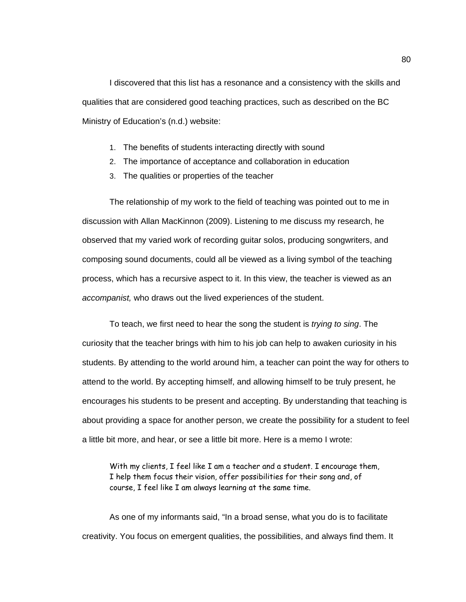I discovered that this list has a resonance and a consistency with the skills and qualities that are considered good teaching practices, such as described on the BC Ministry of Education's (n.d.) website:

- 1. The benefits of students interacting directly with sound
- 2. The importance of acceptance and collaboration in education
- 3. The qualities or properties of the teacher

The relationship of my work to the field of teaching was pointed out to me in discussion with Allan MacKinnon (2009). Listening to me discuss my research, he observed that my varied work of recording guitar solos, producing songwriters, and composing sound documents, could all be viewed as a living symbol of the teaching process, which has a recursive aspect to it. In this view, the teacher is viewed as an *accompanist,* who draws out the lived experiences of the student.

To teach, we first need to hear the song the student is *trying to sing*. The curiosity that the teacher brings with him to his job can help to awaken curiosity in his students. By attending to the world around him, a teacher can point the way for others to attend to the world. By accepting himself, and allowing himself to be truly present, he encourages his students to be present and accepting. By understanding that teaching is about providing a space for another person, we create the possibility for a student to feel a little bit more, and hear, or see a little bit more. Here is a memo I wrote:

With my clients, I feel like I am a teacher and a student. I encourage them, I help them focus their vision, offer possibilities for their song and, of course, I feel like I am always learning at the same time.

As one of my informants said, "In a broad sense, what you do is to facilitate creativity. You focus on emergent qualities, the possibilities, and always find them. It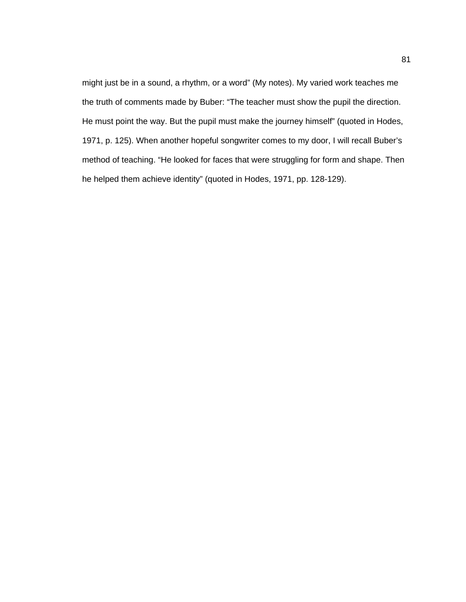might just be in a sound, a rhythm, or a word" (My notes). My varied work teaches me the truth of comments made by Buber: "The teacher must show the pupil the direction. He must point the way. But the pupil must make the journey himself" (quoted in Hodes, 1971, p. 125). When another hopeful songwriter comes to my door, I will recall Buber's method of teaching. "He looked for faces that were struggling for form and shape. Then he helped them achieve identity" (quoted in Hodes, 1971, pp. 128-129).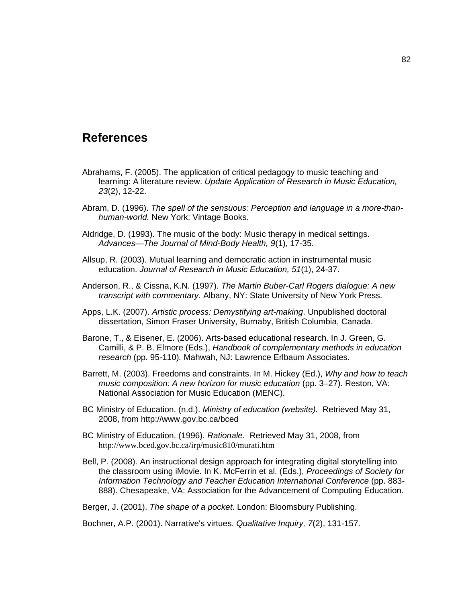### **References**

- Abrahams, F. (2005). The application of critical pedagogy to music teaching and learning: A literature review. *Update Application of Research in Music Education, 23*(2), 12-22.
- Abram, D. (1996). *The spell of the sensuous: Perception and language in a more-thanhuman-world.* New York: Vintage Books.
- Aldridge, D. (1993). The music of the body: Music therapy in medical settings. *Advances—The Journal of Mind-Body Health, 9*(1), 17-35.
- Allsup, R. (2003). Mutual learning and democratic action in instrumental music education. *Journal of Research in Music Education, 51*(1), 24-37.
- Anderson, R., & Cissna, K.N. (1997). *The Martin Buber-Carl Rogers dialogue: A new transcript with commentary*. Albany, NY: State University of New York Press.
- Apps, L.K. (2007). *Artistic process: Demystifying art-making*. Unpublished doctoral dissertation, Simon Fraser University, Burnaby, British Columbia, Canada.
- Barone, T., & Eisener, E. (2006). Arts-based educational research. In J. Green, G. Camilli, & P. B. Elmore (Eds.), *Handbook of complementary methods in education research* (pp. 95-110)*.* Mahwah, NJ: Lawrence Erlbaum Associates.
- Barrett, M. (2003). Freedoms and constraints. In M. Hickey (Ed.), *Why and how to teach music composition: A new horizon for music education* (pp. 3–27). Reston, VA: National Association for Music Education (MENC).
- BC Ministry of Education. (n.d.). *Ministry of education (website).* Retrieved May 31, 2008, from http://www.gov.bc.ca/bced
- BC Ministry of Education. (1996). *Rationale.* Retrieved May 31, 2008, from <http://www.bced.gov.bc.ca/irp/music810/murati.htm>
- Bell, P. (2008). An instructional design approach for integrating digital storytelling into the classroom using iMovie. In K. McFerrin et al. (Eds.), *Proceedings of Society for Information Technology and Teacher Education International Conference* (pp. 883- 888). Chesapeake, VA: Association for the Advancement of Computing Education.

Berger, J. (2001). *The shape of a pocket*. London: Bloomsbury Publishing.

Bochner, A.P. (2001). Narrative's virtues. *Qualitative Inquiry, 7*(2), 131-157.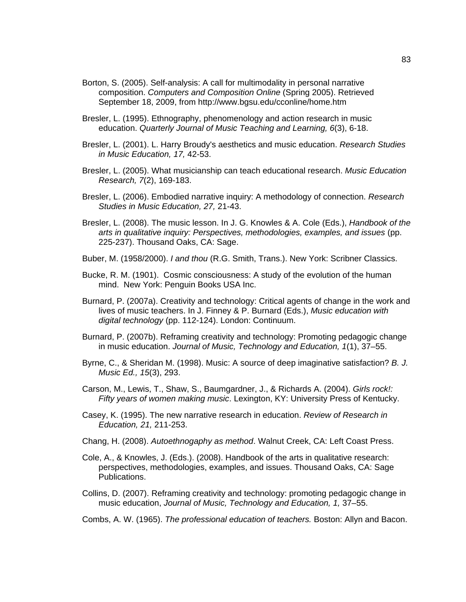- Borton, S. (2005). Self-analysis: A call for multimodality in personal narrative composition. *Computers and Composition Online* (Spring 2005). Retrieved September 18, 2009, from http://www.bgsu.edu/cconline/home.htm
- Bresler, L. (1995). Ethnography, phenomenology and action research in music education. *Quarterly Journal of Music Teaching and Learning, 6*(3), 6-18.
- Bresler, L. (2001). L. Harry Broudy's aesthetics and music education. *Research Studies in Music Education, 17,* 42-53.
- Bresler, L. (2005). What musicianship can teach educational research. *Music Education Research, 7*(2), 169-183.
- Bresler, L. (2006). Embodied narrative inquiry: A methodology of connection. *Research Studies in Music Education, 27,* 21-43.
- Bresler, L. (2008). The music lesson. In J. G. Knowles & A. Cole (Eds.), *Handbook of the arts in qualitative inquiry: Perspectives, methodologies, examples, and issues* (pp. 225-237). Thousand Oaks, CA: Sage.
- Buber, M. (1958/2000). *I and thou* (R.G. Smith, Trans.). New York: Scribner Classics.
- Bucke, R. M. (1901). Cosmic consciousness: A study of the evolution of the human mind. New York: Penguin Books USA Inc.
- Burnard, P. (2007a). Creativity and technology: Critical agents of change in the work and lives of music teachers. In J. Finney & P. Burnard (Eds.), *Music education with digital technology* (pp. 112-124). London: Continuum.
- Burnard, P. (2007b). Reframing creativity and technology: Promoting pedagogic change in music education. *Journal of Music, Technology and Education, 1*(1), 37–55.
- Byrne, C., & Sheridan M. (1998). Music: A source of deep imaginative satisfaction? *B. J. Music Ed., 15*(3), 293.
- Carson, M., Lewis, T., Shaw, S., Baumgardner, J., & Richards A. (2004). *Girls rock!: Fifty years of women making music*. Lexington, KY: University Press of Kentucky.
- Casey, K. (1995). The new narrative research in education. *Review of Research in Education, 21,* 211-253.
- Chang, H. (2008). *Autoethnogaphy as method*. Walnut Creek, CA: Left Coast Press.
- Cole, A., & Knowles, J. (Eds.). (2008). Handbook of the arts in qualitative research: perspectives, methodologies, examples, and issues. Thousand Oaks, CA: Sage Publications.
- Collins, D. (2007). Reframing creativity and technology: promoting pedagogic change in music education, *Journal of Music, Technology and Education, 1,* 37–55.
- Combs, A. W. (1965). *The professional education of teachers.* Boston: Allyn and Bacon.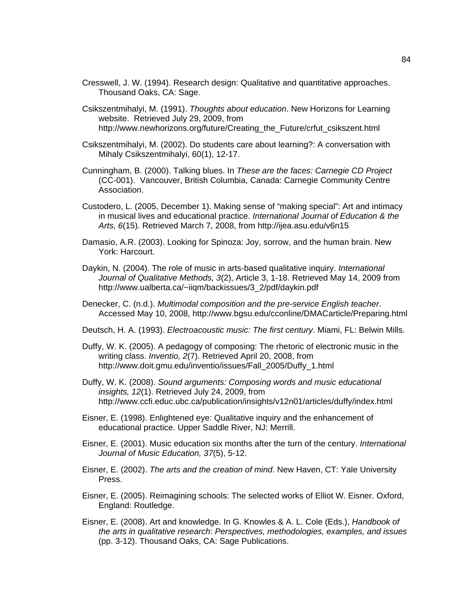- Cresswell, J. W. (1994). Research design: Qualitative and quantitative approaches. Thousand Oaks, CA: Sage.
- Csikszentmihalyi, M. (1991). *Thoughts about education*. New Horizons for Learning website. Retrieved July 29, 2009, from http://www.newhorizons.org/future/Creating\_the\_Future/crfut\_csikszent.html
- Csikszentmihalyi, M. (2002). Do students care about learning?: A conversation with Mihaly Csikszentmihalyi, 60(1), 12-17.
- Cunningham, B. (2000). Talking blues. In *These are the faces: Carnegie CD Project* (CC-001). Vancouver, British Columbia, Canada: Carnegie Community Centre Association.
- Custodero, L. (2005, December 1). Making sense of "making special": Art and intimacy in musical lives and educational practice. *International Journal of Education & the Arts, 6*(15). Retrieved March 7, 2008, from [http://ijea.asu.edu/v6n15](http://ijea.asu.edu/v6n15/)
- Damasio, A.R. (2003). Looking for Spinoza: Joy, sorrow, and the human brain. New York: Harcourt.
- Daykin, N. (2004). The role of music in arts-based qualitative inquiry. *International Journal of Qualitative Methods, 3*(2), Article 3, 1-18. Retrieved May 14, 2009 from http://www.ualberta.ca/~iiqm/backissues/3\_2/pdf/daykin.pdf
- Denecker, C. (n.d.). *Multimodal composition and the pre-service English teacher*. Accessed May 10, 2008,<http://www.bgsu.edu/cconline/DMACarticle/Preparing.html>
- Deutsch, H. A. (1993). *Electroacoustic music: The first century*. Miami, FL: Belwin Mills.
- Duffy, W. K. (2005). A pedagogy of composing: The rhetoric of electronic music in the writing class. *Inventio, 2*(7). Retrieved April 20, 2008, from http://www.doit.gmu.edu/inventio/issues/Fall\_2005/Duffy\_1.html
- Duffy, W. K. (2008). *Sound arguments: Composing words and music educational insights, 12*(1). Retrieved July 24, 2009, from <http://www.ccfi.educ.ubc.ca/publication/insights/v12n01/articles/duffy/index.html>
- Eisner, E. (1998). Enlightened eye: Qualitative inquiry and the enhancement of educational practice. Upper Saddle River, NJ: Merrill.
- Eisner, E. (2001). Music education six months after the turn of the century. *International Journal of Music Education, 37*(5), 5-12.
- Eisner, E. (2002). *The arts and the creation of mind.* New Haven, CT: Yale University Press.
- Eisner, E. (2005). Reimagining schools: The selected works of Elliot W. Eisner. Oxford, England: Routledge.
- Eisner, E. (2008). Art and knowledge. In G. Knowles & A. L. Cole (Eds.), *Handbook of the arts in qualitative research*: *Perspectives, methodologies, examples, and issues*  (pp. 3-12). Thousand Oaks, CA: Sage Publications.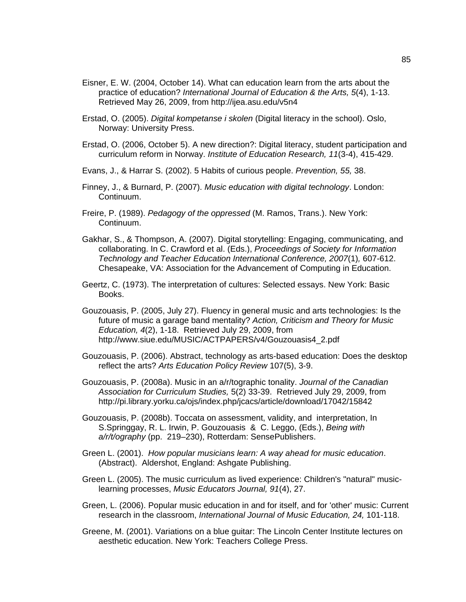- Eisner, E. W. (2004, October 14). What can education learn from the arts about the practice of education? *International Journal of Education & the Arts, 5*(4), 1-13. Retrieved May 26, 2009, from http://ijea.asu.edu/v5n4
- Erstad, O. (2005). *Digital kompetanse i skolen* (Digital literacy in the school). Oslo, Norway: University Press.
- Erstad, O. (2006, October 5). A new direction?: Digital literacy, student participation and curriculum reform in Norway. *Institute of Education Research, 11*(3-4), 415-429.
- Evans, J., & Harrar S. (2002). 5 Habits of curious people. *Prevention, 55,* 38.
- Finney, J., & Burnard, P. (2007). *Music education with digital technology*. London: Continuum.
- Freire, P. (1989). *Pedagogy of the oppressed* (M. Ramos, Trans.). New York: Continuum.
- Gakhar, S., & Thompson, A. (2007). Digital storytelling: Engaging, communicating, and collaborating. In C. Crawford et al. (Eds.), *Proceedings of Society for Information Technology and Teacher Education International Conference, 2007*(1)*,* 607-612. Chesapeake, VA: Association for the Advancement of Computing in Education.
- Geertz, C. (1973). The interpretation of cultures: Selected essays. New York: Basic Books.
- Gouzouasis, P. (2005, July 27). Fluency in general music and arts technologies: Is the future of music a garage band mentality? *Action, Criticism and Theory for Music Education, 4*(2), 1-18. Retrieved July 29, 2009, from http://www.siue.edu/MUSIC/ACTPAPERS/v4/Gouzouasis4\_2.pdf
- Gouzouasis, P. (2006). Abstract, technology as arts-based education: Does the desktop reflect the arts? *Arts Education Policy Review* 107(5), 3-9.
- Gouzouasis, P. (2008a). Music in an a/r/tographic tonality. *Journal of the Canadian Association for Curriculum Studies,* 5(2) 33-39. Retrieved July 29, 2009, from <http://pi.library.yorku.ca/ojs/index.php/jcacs/article/download/17042/15842>
- Gouzouasis, P. (2008b). Toccata on assessment, validity, and interpretation, In S.Springgay, R. L. Irwin, P. Gouzouasis & C. Leggo, (Eds.), *Being with a/r/t/ography* (pp. 219–230), Rotterdam: SensePublishers.
- Green L. (2001). *How popular musicians learn: A way ahead for music education*. (Abstract). Aldershot, England: Ashgate Publishing.
- Green L. (2005). The music curriculum as lived experience: Children's "natural" musiclearning processes, *Music Educators Journal, 91*(4), 27.
- Green, L. (2006). Popular music education in and for itself, and for 'other' music: Current research in the classroom, *International Journal of Music Education, 24,* 101-118.
- Greene, M. (2001). Variations on a blue guitar: The Lincoln Center Institute lectures on aesthetic education. New York: Teachers College Press.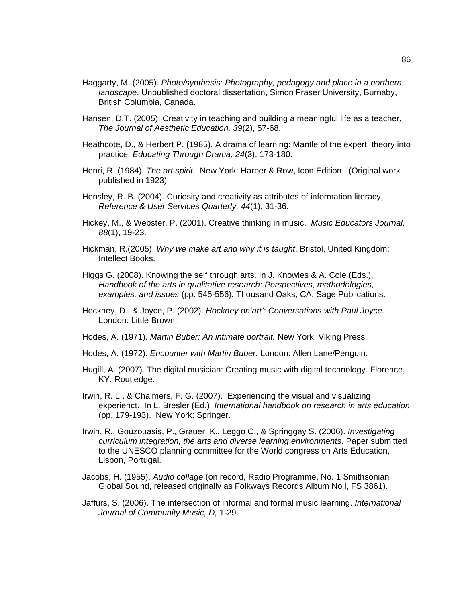- Haggarty, M. (2005). *Photo/synthesis: Photography, pedagogy and place in a northern landscape*. Unpublished doctoral dissertation, Simon Fraser University, Burnaby, British Columbia, Canada.
- Hansen, D.T. (2005). Creativity in teaching and building a meaningful life as a teacher, *The Journal of Aesthetic Education, 39*(2), 57-68.
- Heathcote, D., & Herbert P. (1985). A drama of learning: Mantle of the expert, theory into practice. *Educating Through Drama, 24*(3), 173-180.
- Henri, R. (1984). *The art spirit.* New York: Harper & Row, Icon Edition. (Original work published in 1923)
- Hensley, R. B. (2004). Curiosity and creativity as attributes of information literacy, *Reference & User Services Quarterly, 44*(1), 31-36.
- Hickey, M., & Webster, P. (2001). Creative thinking in music. *Music Educators Journal, 88*(1), 19-23.
- Hickman, R.(2005). *Why we make art and why it is taught*. Bristol, United Kingdom: Intellect Books.
- Higgs G. (2008). Knowing the self through arts. In J. Knowles & A. Cole (Eds.), *Handbook of the arts in qualitative research*: *Perspectives, methodologies, examples, and issues* (pp. 545-556)*.* Thousand Oaks, CA: Sage Publications.
- Hockney, D., & Joyce, P. (2002). *Hockney on'art': Conversations with Paul Joyce.* London: Little Brown.
- Hodes, A. (1971). *Martin Buber: An intimate portrait.* New York: Viking Press.
- Hodes, A. (1972). *Encounter with Martin Buber.* London: Allen Lane/Penguin.
- Hugill, A. (2007). The digital musician: Creating music with digital technology. Florence, KY: Routledge.
- Irwin, R. L., & Chalmers, F. G. (2007). Experiencing the visual and visualizing experienct. In L. Bresler (Ed.), *International handbook on research in arts education* (pp. 179-193). New York: Springer.
- Irwin, R., Gouzouasis, P., Grauer, K., Leggo C., & Springgay S. (2006). *Investigating curriculum integration, the arts and diverse learning environments*. Paper submitted to the UNESCO planning committee for the World congress on Arts Education, Lisbon, Portugal.
- Jacobs, H. (1955). *Audio collage* (on record, Radio Programme, No. 1 Smithsonian Global Sound, released originally as Folkways Records Album No l, FS 3861).
- Jaffurs, S. (2006). The intersection of informal and formal music learning. *International Journal of Community Music, D,* 1-29.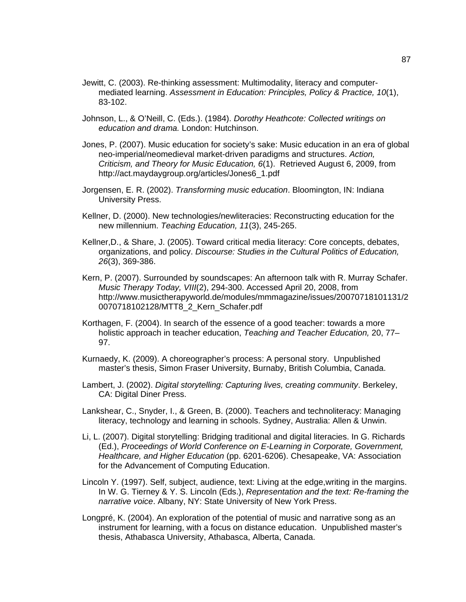- Jewitt, C. (2003). Re-thinking assessment: Multimodality, literacy and computermediated learning. *Assessment in Education: Principles, Policy & Practice, 10*(1), 83-102.
- Johnson, L., & O'Neill, C. (Eds.). (1984). *Dorothy Heathcote: Collected writings on education and drama.* London: Hutchinson.
- Jones, P. (2007). Music education for society's sake: Music education in an era of global neo-imperial/neomedieval market-driven paradigms and structures. *Action, Criticism, and Theory for Music Education, 6*(1). Retrieved August 6, 2009, from http://act.maydaygroup.org/articles/Jones6\_1.pdf
- Jorgensen, E. R. (2002). *Transforming music education*. Bloomington, IN: Indiana University Press.
- Kellner, D. (2000). New technologies/newliteracies: Reconstructing education for the new millennium. *Teaching Education, 11*(3), 245-265.
- Kellner,D., & Share, J. (2005). Toward critical media literacy: Core concepts, debates, organizations, and policy. *Discourse: Studies in the Cultural Politics of Education, 26*(3), 369-386.
- Kern, P. (2007). Surrounded by soundscapes: An afternoon talk with R. Murray Schafer. *Music Therapy Today, VIII*(2), 294-300. Accessed April 20, 2008, from http://www.musictherapyworld.de/modules/mmmagazine/issues/20070718101131/2 0070718102128/MTT8\_2\_Kern\_Schafer.pdf
- Korthagen, F. (2004). In search of the essence of a good teacher: towards a more holistic approach in teacher education, *Teaching and Teacher Education,* 20, 77– 97.
- Kurnaedy, K. (2009). A choreographer's process: A personal story. Unpublished master's thesis, Simon Fraser University, Burnaby, British Columbia, Canada.
- Lambert, J. (2002). *Digital storytelling: Capturing lives, creating community*. Berkeley, CA: Digital Diner Press.
- Lankshear, C., Snyder, I., & Green, B. (2000). Teachers and technoliteracy: Managing literacy, technology and learning in schools. Sydney, Australia: Allen & Unwin.
- Li, L. (2007). Digital storytelling: Bridging traditional and digital literacies. In G. Richards (Ed.), *Proceedings of World Conference on E-Learning in Corporate, Government, Healthcare, and Higher Education* (pp. 6201-6206). Chesapeake, VA: Association for the Advancement of Computing Education.
- Lincoln Y. (1997). Self, subject, audience, text: Living at the edge,writing in the margins. In W. G. Tierney & Y. S. Lincoln (Eds.), *Representation and the text: Re-framing the narrative voice*. Albany, NY: State University of New York Press.
- Longpré, K. (2004). An exploration of the potential of music and narrative song as an instrument for learning, with a focus on distance education. Unpublished master's thesis, Athabasca University, Athabasca, Alberta, Canada.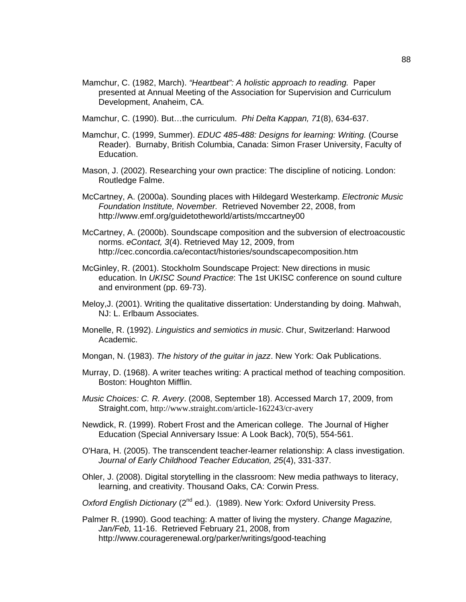- Mamchur, C. (1982, March). *"Heartbeat": A holistic approach to reading.* Paper presented at Annual Meeting of the Association for Supervision and Curriculum Development, Anaheim, CA.
- Mamchur, C. (1990). But…the curriculum. *Phi Delta Kappan, 71*(8), 634-637.
- Mamchur, C. (1999, Summer). *EDUC 485-488: Designs for learning: Writing.* (Course Reader). Burnaby, British Columbia, Canada: Simon Fraser University, Faculty of Education.
- Mason, J. (2002). Researching your own practice: The discipline of noticing. London: Routledge Falme.
- McCartney, A. (2000a). Sounding places with Hildegard Westerkamp. *Electronic Music Foundation Institute, November.* Retrieved November 22, 2008, from http://www.emf.org/guidetotheworld/artists/mccartney00
- McCartney, A. (2000b). Soundscape composition and the subversion of electroacoustic norms. *eContact, 3*(4). Retrieved May 12, 2009, from <http://cec.concordia.ca/econtact/histories/soundscapecomposition.htm>
- McGinley, R. (2001). Stockholm Soundscape Project: New directions in music education. In *UKISC Sound Practice*: The 1st UKISC conference on sound culture and environment (pp. 69-73).
- Meloy,J. (2001). Writing the qualitative dissertation: Understanding by doing. Mahwah, NJ: L. Erlbaum Associates.
- Monelle, R. (1992). *Linguistics and semiotics in music*. Chur, Switzerland: Harwood Academic.
- Mongan, N. (1983). *The history of the guitar in jazz*. New York: Oak Publications.
- Murray, D. (1968). A writer teaches writing: A practical method of teaching composition. Boston: Houghton Mifflin.
- *Music Choices: C. R. Avery*. (2008, September 18). Accessed March 17, 2009, from Straight.com, <http://www.straight.com/article-162243/cr-avery>
- Newdick, R. (1999). Robert Frost and the American college. The Journal of Higher Education (Special Anniversary Issue: A Look Back), 70(5), 554-561.
- O'Hara, H. (2005). The transcendent teacher-learner relationship: A class investigation. *Journal of Early Childhood Teacher Education, 25*(4), 331-337.
- Ohler, J. (2008). Digital storytelling in the classroom: New media pathways to literacy, learning, and creativity. Thousand Oaks, CA: Corwin Press.
- *Oxford English Dictionary* (2<sup>nd</sup> ed.). (1989). New York: Oxford University Press.
- Palmer R. (1990). Good teaching: A matter of living the mystery. *Change Magazine, Jan/Feb,* 11-16. Retrieved February 21, 2008, from <http://www.couragerenewal.org/parker/writings/good-teaching>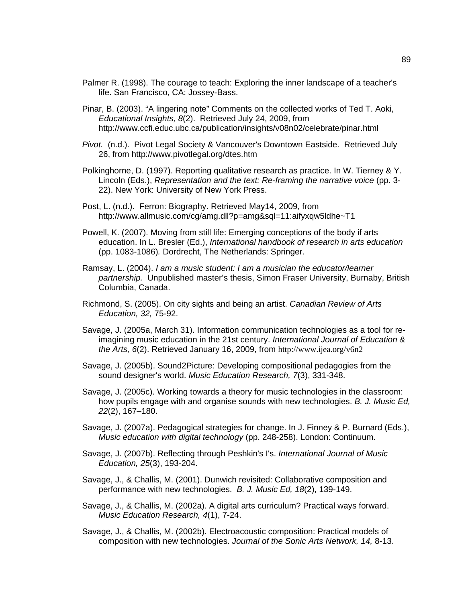- Palmer R. (1998). The courage to teach: Exploring the inner landscape of a teacher's life. San Francisco, CA: Jossey-Bass.
- Pinar, B. (2003). "A lingering note" Comments on the collected works of Ted T. Aoki, *Educational Insights, 8*(2). Retrieved July 24, 2009, from http://www.ccfi.educ.ubc.ca/publication/insights/v08n02/celebrate/pinar.html
- *Pivot.* (n.d.). Pivot Legal Society & Vancouver'[s](http://www.pivotlegal.org/dtes.htm) Downtown Eastside. Retrieved July 26, from <http://www.pivotlegal.org/dtes.htm>
- Polkinghorne, D. (1997). Reporting qualitative research as practice. In W. Tierney & Y. Lincoln (Eds.), *Representation and the text: Re-framing the narrative voice* (pp. 3- 22). New York: University of New York Press.
- Post, L. (n.d.). Ferron: Biography. Retrieved May14, 2009, from [http://www.allmusic.com/cg/amg.dll?p=amg&sql=11:aifyxqw5ldhe~T1](http://www.allmusic.com/cg/amg.dll?p=amg&sql=11:aifyxqw5ldhe%7ET1)
- Powell, K. (2007). Moving from still life: Emerging conceptions of the body if arts education. In L. Bresler (Ed.), *International handbook of research in arts education* (pp. 1083-1086)*.* Dordrecht, The Netherlands: Springer.
- Ramsay, L. (2004). *I am a music student: I am a musician the educator/learner partnership.* Unpublished master's thesis, Simon Fraser University, Burnaby, British Columbia, Canada.
- Richmond, S. (2005). On city sights and being an artist. *Canadian Review of Arts Education, 32,* 75-92.
- Savage, J. (2005a, March 31). Information communication technologies as a tool for reimagining music education in the 21st century. *International Journal of Education & the Arts, 6*(2). Retrieved January 16, 2009, from [http://www.ijea.org/v6n2](http://www.ijea.org/v6n2/)
- Savage, J. (2005b). Sound2Picture: Developing compositional pedagogies from the sound designer's world. *Music Education Research, 7*(3), 331-348.
- Savage, J. (2005c). Working towards a theory for music technologies in the classroom: how pupils engage with and organise sounds with new technologies. *B. J. Music Ed, 22*(2), 167–180.
- Savage, J. (2007a). Pedagogical strategies for change. In J. Finney & P. Burnard (Eds.), *Music education with digital technology* (pp. 248-258). London: Continuum.
- Savage, J. (2007b). Reflecting through Peshkin's I's. *International Journal of Music Education, 25*(3), 193-204.
- Savage, J., & Challis, M. (2001). Dunwich revisited: Collaborative composition and performance with new technologies. *B. J. Music Ed, 18*(2), 139-149.
- Savage, J., & Challis, M. (2002a). A digital arts curriculum? Practical ways forward. *Music Education Research, 4*(1), 7-24.
- Savage, J., & Challis, M. (2002b). Electroacoustic composition: Practical models of composition with new technologies. *Journal of the Sonic Arts Network, 14,* 8-13.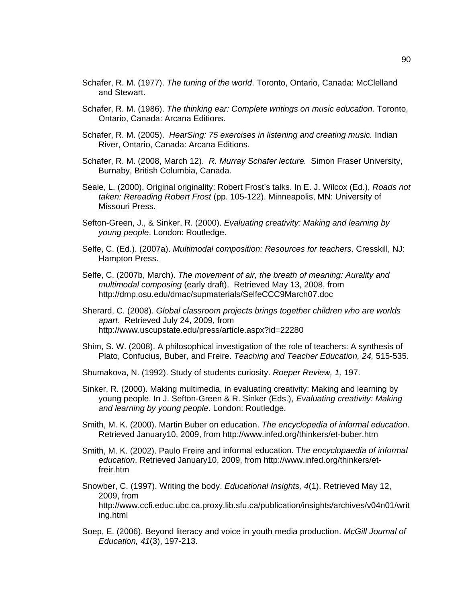- Schafer, R. M. (1977). *The tuning of the world*. Toronto, Ontario, Canada: McClelland and Stewart.
- Schafer, R. M. (1986). *The thinking ear: Complete writings on music education*. Toronto, Ontario, Canada: Arcana Editions.
- Schafer, R. M. (2005). *HearSing: 75 exercises in listening and creating music.* Indian River, Ontario, Canada: Arcana Editions.
- Schafer, R. M. (2008, March 12). *R. Murray Schafer lecture.* Simon Fraser University, Burnaby, British Columbia, Canada.
- Seale, L. (2000). Original originality: Robert Frost's talks. In E. J. Wilcox (Ed.), *Roads not taken: Rereading Robert Frost* (pp. 105-122). Minneapolis, MN: University of Missouri Press.
- Sefton-Green, J., & Sinker, R. (2000). *Evaluating creativity: Making and learning by young people*. London: Routledge.
- Selfe, C. (Ed.). (2007a). *Multimodal composition: Resources for teachers*. Cresskill, NJ: Hampton Press.
- Selfe, C. (2007b, March). *The movement of air, the breath of meaning: Aurality and multimodal composing* (early draft). Retrieved May 13, 2008, from <http://dmp.osu.edu/dmac/supmaterials/SelfeCCC9March07.doc>
- Sherard, C. (2008). *Global classroom projects brings together children who are worlds apart*. Retrieved July 24, 2009, from <http://www.uscupstate.edu/press/article.aspx?id=22280>
- Shim, S. W. (2008). A philosophical investigation of the role of teachers: A synthesis of Plato, Confucius, Buber, and Freire. *Teaching and Teacher Education, 24,* 515-535.
- Shumakova, N. (1992). Study of students curiosity. *Roeper Review, 1,* 197.
- Sinker, R. (2000). Making multimedia, in evaluating creativity: Making and learning by young people. In J. Sefton-Green & R. Sinker (Eds.), *Evaluating creativity: Making and learning by young people*. London: Routledge.
- Smith, M. K. (2000). Martin Buber on education. *The encyclopedia of informal education*. Retrieved January10, 2009, from <http://www.infed.org/thinkers/et-buber.htm>
- Smith, M. K. (2002). Paulo Freire and informal education. T*he encyclopaedia of informal education*. Retrieved January10, 2009, from http:/[/www.infed.org/thinkers/et](http://www.infed.org/thinkers/et-freir.htm)[freir.htm](http://www.infed.org/thinkers/et-freir.htm)
- Snowber, C. (1997). Writing the body. *Educational Insights, 4*(1). Retrieved May 12, 2009, from http://www.ccfi.educ.ubc.ca.proxy.lib.sfu.ca/publication/insights/archives/v04n01/writ ing.html
- Soep, E. (2006). Beyond literacy and voice in youth media production. *McGill Journal of Education, 41*(3), 197-213.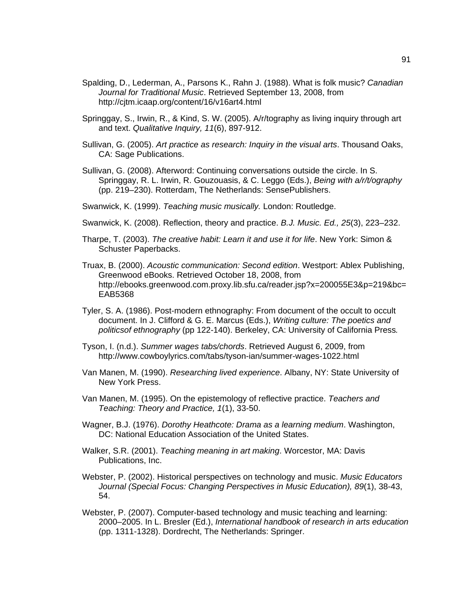- Spalding, D., Lederman, A., Parsons K., Rahn J. (1988). What is folk music? *Canadian Journal for Traditional Music*. Retrieved September 13, 2008, from <http://cjtm.icaap.org/content/16/v16art4.html>
- Springgay, S., Irwin, R., & Kind, S. W. (2005). A/r/tography as living inquiry through art and text. *Qualitative Inquiry, 11*(6), 897-912.
- Sullivan, G. (2005). *Art practice as research: Inquiry in the visual arts*. Thousand Oaks, CA: Sage Publications.
- Sullivan, G. (2008). Afterword: Continuing conversations outside the circle. In S. Springgay, R. L. Irwin, R. Gouzouasis, & C. Leggo (Eds.), *Being with a/r/t/ography*  (pp. 219–230). Rotterdam, The Netherlands: SensePublishers.
- Swanwick, K. (1999). *Teaching music musically.* London: Routledge.
- Swanwick, K. (2008). Reflection, theory and practice. *B.J. Music. Ed., 25*(3), 223–232.
- Tharpe, T. (2003). *The creative habit: Learn it and use it for life*. New York: Simon & Schuster Paperbacks.
- Truax, B. (2000). *Acoustic communication: Second edition*. Westport: Ablex Publishing, Greenwood eBooks. Retrieved October 18, 2008, from http://ebooks.greenwood.com.proxy.lib.sfu.ca/reader.jsp?x=200055E3&p=219&bc= EAB5368
- Tyler, S. A. (1986). Post-modern ethnography: From document of the occult to occult document. In J. Clifford & G. E. Marcus (Eds.), *Writing culture: The poetics and politicsof ethnography* (pp 122-140). Berkeley, CA: University of California Press*.*
- Tyson, I. (n.d.). *Summer wages tabs/chords*. Retrieved August 6, 2009, from http://www.cowboylyrics.com/tabs/tyson-ian/summer-wages-1022.html
- Van Manen, M. (1990). *Researching lived experience*. Albany, NY: State University of New York Press.
- Van Manen, M. (1995). On the epistemology of reflective practice. *Teachers and Teaching: Theory and Practice, 1*(1), 33-50.
- Wagner, B.J. (1976). *Dorothy Heathcote: Drama as a learning medium*. Washington, DC: National Education Association of the United States.
- Walker, S.R. (2001). *Teaching meaning in art making*. Worcestor, MA: Davis Publications, Inc.
- Webster, P. (2002). Historical perspectives on technology and music. *Music Educators Journal (Special Focus: Changing Perspectives in Music Education), 89*(1), 38-43, 54.
- Webster, P. (2007). Computer-based technology and music teaching and learning: 2000–2005. In L. Bresler (Ed.), *International handbook of research in arts education* (pp. 1311-1328). Dordrecht, The Netherlands: Springer.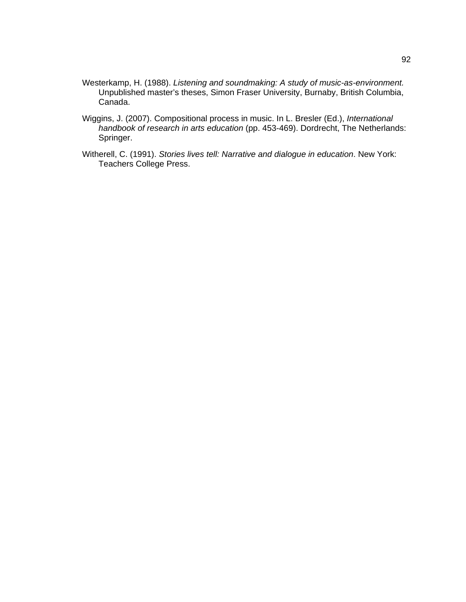- Westerkamp, H. (1988). *Listening and soundmaking: A study of music-as-environment.*  Unpublished master's theses, Simon Fraser University, Burnaby, British Columbia, Canada.
- Wiggins, J. (2007). Compositional process in music. In L. Bresler (Ed.), *International handbook of research in arts education* (pp. 453-469). Dordrecht, The Netherlands: Springer.
- Witherell, C. (1991). *Stories lives tell: Narrative and dialogue in education*. New York: Teachers College Press.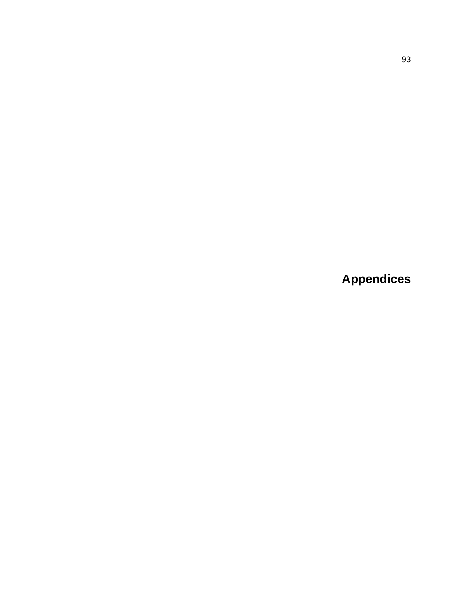**Appendices**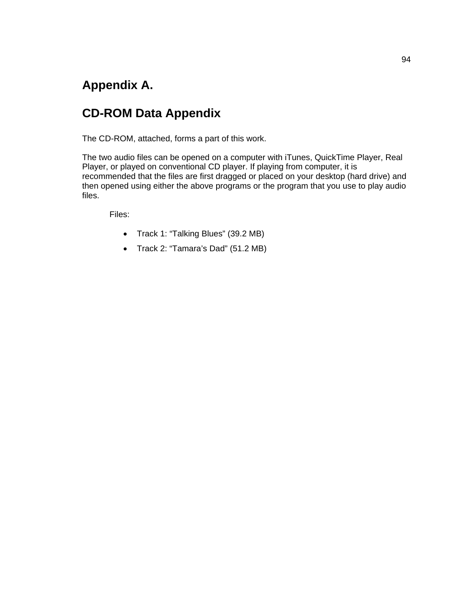# **Appendix A.**

# **CD-ROM Data Appendix**

The CD-ROM, attached, forms a part of this work.

The two audio files can be opened on a computer with iTunes, QuickTime Player, Real Player, or played on conventional CD player. If playing from computer, it is recommended that the files are first dragged or placed on your desktop (hard drive) and then opened using either the above programs or the program that you use to play audio files.

Files:

- Track 1: "Talking Blues" (39.2 MB)
- Track 2: "Tamara's Dad" (51.2 MB)